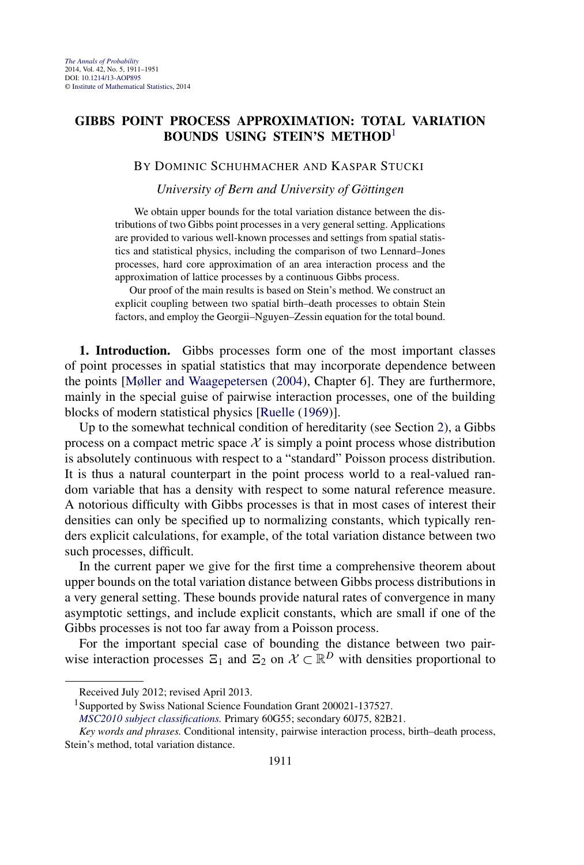# <span id="page-0-0"></span>**GIBBS POINT PROCESS APPROXIMATION: TOTAL VARIATION BOUNDS USING STEIN'S METHOD**<sup>1</sup>

## BY DOMINIC SCHUHMACHER AND KASPAR STUCKI

*University of Bern and University of Göttingen*

We obtain upper bounds for the total variation distance between the distributions of two Gibbs point processes in a very general setting. Applications are provided to various well-known processes and settings from spatial statistics and statistical physics, including the comparison of two Lennard–Jones processes, hard core approximation of an area interaction process and the approximation of lattice processes by a continuous Gibbs process.

Our proof of the main results is based on Stein's method. We construct an explicit coupling between two spatial birth–death processes to obtain Stein factors, and employ the Georgii–Nguyen–Zessin equation for the total bound.

**1. Introduction.** Gibbs processes form one of the most important classes of point processes in spatial statistics that may incorporate dependence between the points [\[Møller and Waagepetersen](#page-39-0) [\(2004\)](#page-39-0), Chapter 6]. They are furthermore, mainly in the special guise of pairwise interaction processes, one of the building blocks of modern statistical physics [\[Ruelle](#page-39-0) [\(1969\)](#page-39-0)].

Up to the somewhat technical condition of hereditarity (see Section [2\)](#page-2-0), a Gibbs process on a compact metric space  $X$  is simply a point process whose distribution is absolutely continuous with respect to a "standard" Poisson process distribution. It is thus a natural counterpart in the point process world to a real-valued random variable that has a density with respect to some natural reference measure. A notorious difficulty with Gibbs processes is that in most cases of interest their densities can only be specified up to normalizing constants, which typically renders explicit calculations, for example, of the total variation distance between two such processes, difficult.

In the current paper we give for the first time a comprehensive theorem about upper bounds on the total variation distance between Gibbs process distributions in a very general setting. These bounds provide natural rates of convergence in many asymptotic settings, and include explicit constants, which are small if one of the Gibbs processes is not too far away from a Poisson process.

For the important special case of bounding the distance between two pairwise interaction processes  $\Xi_1$  and  $\Xi_2$  on  $\mathcal{X} \subset \mathbb{R}^D$  with densities proportional to

Received July 2012; revised April 2013.

<sup>1</sup>Supported by Swiss National Science Foundation Grant 200021-137527.

*[MSC2010 subject classifications.](http://www.ams.org/mathscinet/msc/msc2010.html)* Primary 60G55; secondary 60J75, 82B21.

*Key words and phrases.* Conditional intensity, pairwise interaction process, birth–death process, Stein's method, total variation distance.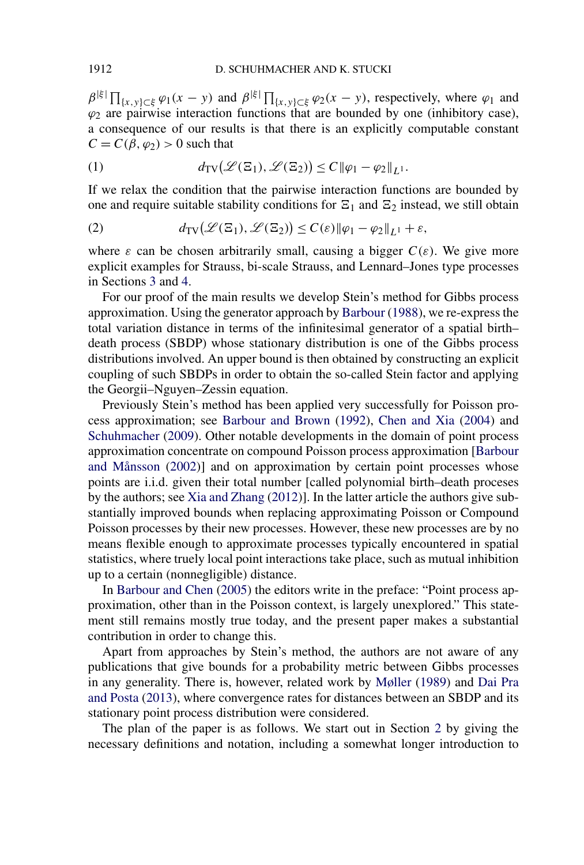<span id="page-1-0"></span> $\beta^{|\xi|} \prod_{\{x,y\} \subset \xi} \varphi_1(x-y)$  and  $\beta^{|\xi|} \prod_{\{x,y\} \subset \xi} \varphi_2(x-y)$ , respectively, where  $\varphi_1$  and  $\varphi_2$  are pairwise interaction functions that are bounded by one (inhibitory case), a consequence of our results is that there is an explicitly computable constant  $C = C(\beta, \varphi_2) > 0$  such that

(1) 
$$
d_{\mathrm{TV}}(\mathscr{L}(\Xi_1), \mathscr{L}(\Xi_2)) \leq C \|\varphi_1 - \varphi_2\|_{L^1}.
$$

If we relax the condition that the pairwise interaction functions are bounded by one and require suitable stability conditions for  $\Xi_1$  and  $\Xi_2$  instead, we still obtain

(2) 
$$
d_{TV}(\mathcal{L}(\Xi_1), \mathcal{L}(\Xi_2)) \leq C(\varepsilon) \|\varphi_1 - \varphi_2\|_{L^1} + \varepsilon,
$$

where  $\varepsilon$  can be chosen arbitrarily small, causing a bigger  $C(\varepsilon)$ . We give more explicit examples for Strauss, bi-scale Strauss, and Lennard–Jones type processes in Sections [3](#page-6-0) and [4.](#page-16-0)

For our proof of the main results we develop Stein's method for Gibbs process approximation. Using the generator approach by [Barbour](#page-39-0) [\(1988\)](#page-39-0), we re-express the total variation distance in terms of the infinitesimal generator of a spatial birth– death process (SBDP) whose stationary distribution is one of the Gibbs process distributions involved. An upper bound is then obtained by constructing an explicit coupling of such SBDPs in order to obtain the so-called Stein factor and applying the Georgii–Nguyen–Zessin equation.

Previously Stein's method has been applied very successfully for Poisson process approximation; see [Barbour and Brown](#page-39-0) [\(1992\)](#page-39-0), [Chen and Xia](#page-39-0) [\(2004\)](#page-39-0) and [Schuhmacher](#page-40-0) [\(2009\)](#page-40-0). Other notable developments in the domain of point process approximation concentrate on compound Poisson process approximation [\[Barbour](#page-39-0) [and Månsson](#page-39-0) [\(2002\)](#page-39-0)] and on approximation by certain point processes whose points are i.i.d. given their total number [called polynomial birth–death proceses by the authors; see [Xia and Zhang](#page-40-0) [\(2012\)](#page-40-0)]. In the latter article the authors give substantially improved bounds when replacing approximating Poisson or Compound Poisson processes by their new processes. However, these new processes are by no means flexible enough to approximate processes typically encountered in spatial statistics, where truely local point interactions take place, such as mutual inhibition up to a certain (nonnegligible) distance.

In [Barbour and Chen](#page-39-0) [\(2005\)](#page-39-0) the editors write in the preface: "Point process approximation, other than in the Poisson context, is largely unexplored." This statement still remains mostly true today, and the present paper makes a substantial contribution in order to change this.

Apart from approaches by Stein's method, the authors are not aware of any publications that give bounds for a probability metric between Gibbs processes in any generality. There is, however, related work by [Møller](#page-39-0) [\(1989\)](#page-39-0) and [Dai Pra](#page-39-0) [and Posta](#page-39-0) [\(2013\)](#page-39-0), where convergence rates for distances between an SBDP and its stationary point process distribution were considered.

The plan of the paper is as follows. We start out in Section [2](#page-2-0) by giving the necessary definitions and notation, including a somewhat longer introduction to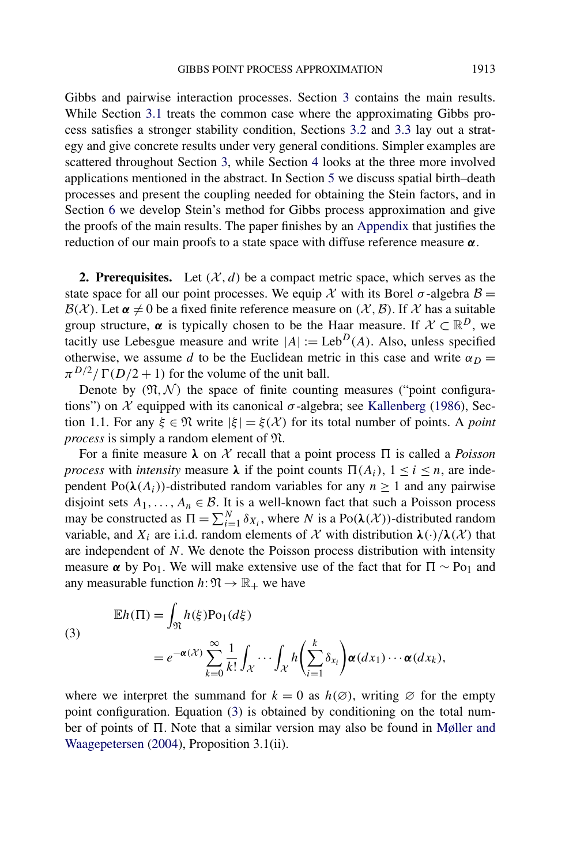<span id="page-2-0"></span>Gibbs and pairwise interaction processes. Section [3](#page-6-0) contains the main results. While Section [3.1](#page-6-0) treats the common case where the approximating Gibbs process satisfies a stronger stability condition, Sections [3.2](#page-10-0) and [3.3](#page-11-0) lay out a strategy and give concrete results under very general conditions. Simpler examples are scattered throughout Section [3,](#page-6-0) while Section [4](#page-16-0) looks at the three more involved applications mentioned in the abstract. In Section [5](#page-26-0) we discuss spatial birth–death processes and present the coupling needed for obtaining the Stein factors, and in Section [6](#page-34-0) we develop Stein's method for Gibbs process approximation and give the proofs of the main results. The paper finishes by an [Appendix](#page-37-0) that justifies the reduction of our main proofs to a state space with diffuse reference measure *α*.

**2. Prerequisites.** Let  $(X, d)$  be a compact metric space, which serves as the state space for all our point processes. We equip X with its Borel  $\sigma$ -algebra  $\beta$  =  $B(X)$ . Let  $\alpha \neq 0$  be a fixed finite reference measure on  $(X, \mathcal{B})$ . If X has a suitable group structure,  $\alpha$  is typically chosen to be the Haar measure. If  $\mathcal{X} \subset \mathbb{R}^D$ , we tacitly use Lebesgue measure and write  $|A| := \text{Leb}^D(A)$ . Also, unless specified otherwise, we assume *d* to be the Euclidean metric in this case and write  $\alpha_D =$  $\pi^{D/2}/\Gamma(D/2+1)$  for the volume of the unit ball.

Denote by  $(\mathfrak{N}, \mathcal{N})$  the space of finite counting measures ("point configurations") on  $\mathcal X$  equipped with its canonical  $\sigma$ -algebra; see [Kallenberg](#page-39-0) [\(1986\)](#page-39-0), Section 1.1. For any  $\xi \in \mathfrak{N}$  write  $|\xi| = \xi(\mathcal{X})$  for its total number of points. A *point process* is simply a random element of N.

For a finite measure  $\lambda$  on X recall that a point process  $\Pi$  is called a *Poisson process* with *intensity* measure  $\lambda$  if the point counts  $\Pi(A_i)$ ,  $1 \le i \le n$ , are independent  $Po(\lambda(A_i))$ -distributed random variables for any  $n \ge 1$  and any pairwise disjoint sets  $A_1, \ldots, A_n \in \mathcal{B}$ . It is a well-known fact that such a Poisson process may be constructed as  $\Pi = \sum_{i=1}^{N} \delta_{X_i}$ , where *N* is a Po $(\lambda(\mathcal{X}))$ -distributed random variable, and  $X_i$  are i.i.d. random elements of X with distribution  $\lambda(\cdot)/\lambda(\mathcal{X})$  that are independent of *N*. We denote the Poisson process distribution with intensity measure  $\alpha$  by Po<sub>1</sub>. We will make extensive use of the fact that for  $\Pi \sim \text{Po}_1$  and any measurable function  $h: \mathfrak{N} \to \mathbb{R}_+$  we have

(3)  
\n
$$
\mathbb{E}h(\Pi) = \int_{\mathfrak{N}} h(\xi) \mathrm{Po}_1(d\xi)
$$
\n
$$
= e^{-\alpha(\mathcal{X})} \sum_{k=0}^{\infty} \frac{1}{k!} \int_{\mathcal{X}} \cdots \int_{\mathcal{X}} h\left(\sum_{i=1}^{k} \delta_{x_i}\right) \alpha(dx_1) \cdots \alpha(dx_k),
$$

where we interpret the summand for  $k = 0$  as  $h(\emptyset)$ , writing  $\emptyset$  for the empty point configuration. Equation (3) is obtained by conditioning on the total number of points of  $\Pi$ . Note that a similar version may also be found in [Møller and](#page-39-0) [Waagepetersen](#page-39-0) [\(2004\)](#page-39-0), Proposition 3.1(ii).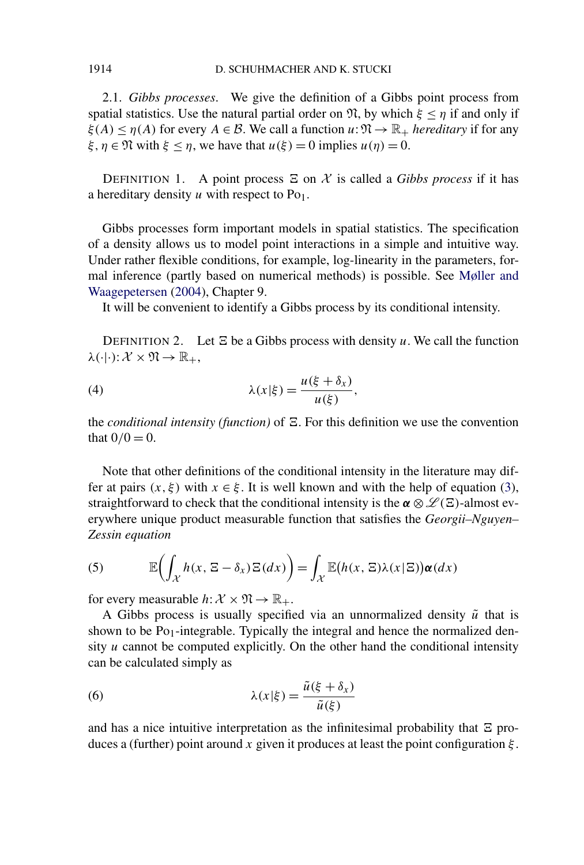2.1. *Gibbs processes*. We give the definition of a Gibbs point process from spatial statistics. Use the natural partial order on  $\mathfrak{N}$ , by which  $\xi \leq \eta$  if and only if  $\xi(A) \leq \eta(A)$  for every  $A \in \mathcal{B}$ . We call a function  $u: \mathfrak{N} \to \mathbb{R}_+$  *hereditary* if for any *ξ*,  $\eta \in \mathfrak{N}$  with  $\xi \leq \eta$ , we have that  $u(\xi) = 0$  implies  $u(\eta) = 0$ .

DEFINITION 1. A point process  $\Xi$  on  $\mathcal X$  is called a *Gibbs process* if it has a hereditary density  $u$  with respect to Po<sub>1</sub>.

Gibbs processes form important models in spatial statistics. The specification of a density allows us to model point interactions in a simple and intuitive way. Under rather flexible conditions, for example, log-linearity in the parameters, formal inference (partly based on numerical methods) is possible. See [Møller and](#page-39-0) [Waagepetersen](#page-39-0) [\(2004\)](#page-39-0), Chapter 9.

It will be convenient to identify a Gibbs process by its conditional intensity.

DEFINITION 2. Let  $\Xi$  be a Gibbs process with density  $u$ . We call the function  $\lambda(\cdot|\cdot): \mathcal{X} \times \mathfrak{N} \to \mathbb{R}_+,$ 

(4) 
$$
\lambda(x|\xi) = \frac{u(\xi + \delta_x)}{u(\xi)},
$$

the *conditional intensity (function)* of  $\Xi$ . For this definition we use the convention that  $0/0 = 0$ .

Note that other definitions of the conditional intensity in the literature may differ at pairs  $(x, \xi)$  with  $x \in \xi$ . It is well known and with the help of equation [\(3\)](#page-2-0), straightforward to check that the conditional intensity is the  $\alpha \otimes \mathcal{L}(\Xi)$ -almost everywhere unique product measurable function that satisfies the *Georgii–Nguyen– Zessin equation*

(5) 
$$
\mathbb{E}\left(\int_{\mathcal{X}} h(x, \Xi - \delta_x) \Xi(dx)\right) = \int_{\mathcal{X}} \mathbb{E}(h(x, \Xi) \lambda(x|\Xi)) \alpha(dx)
$$

for every measurable  $h: \mathcal{X} \times \mathfrak{N} \to \mathbb{R}_+$ .

A Gibbs process is usually specified via an unnormalized density  $\tilde{u}$  that is shown to be  $Po_1$ -integrable. Typically the integral and hence the normalized density  $u$  cannot be computed explicitly. On the other hand the conditional intensity can be calculated simply as

(6) 
$$
\lambda(x|\xi) = \frac{\tilde{u}(\xi + \delta_x)}{\tilde{u}(\xi)}
$$

and has a nice intuitive interpretation as the infinitesimal probability that  $\Xi$  produces a (further) point around *x* given it produces at least the point configuration *ξ* .

<span id="page-3-0"></span>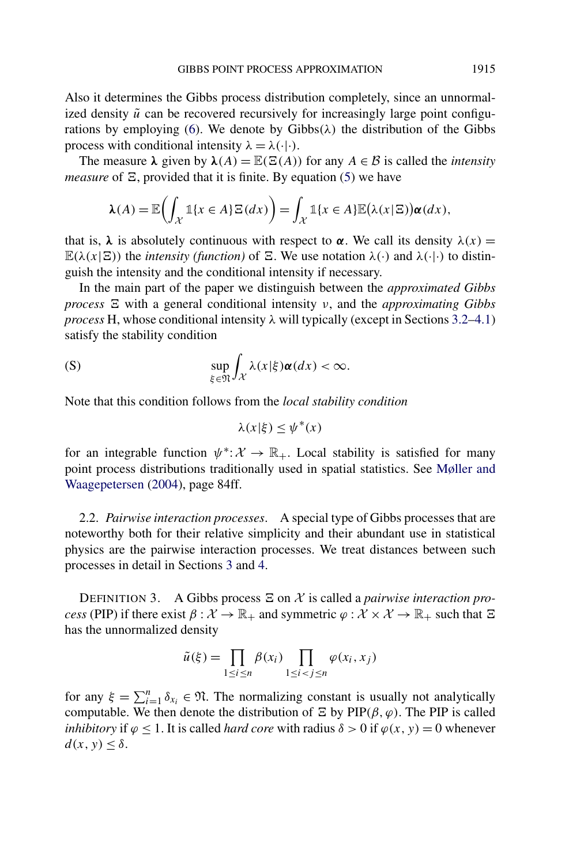Also it determines the Gibbs process distribution completely, since an unnormalized density  $\tilde{u}$  can be recovered recursively for increasingly large point configu-rations by employing [\(6\)](#page-3-0). We denote by  $Gibbs(\lambda)$  the distribution of the Gibbs process with conditional intensity  $\lambda = \lambda(\cdot|\cdot)$ .

The measure  $\lambda$  given by  $\lambda(A) = \mathbb{E}(\Xi(A))$  for any  $A \in \mathcal{B}$  is called the *intensity measure* of  $\Xi$ , provided that it is finite. By equation [\(5\)](#page-3-0) we have

$$
\lambda(A) = \mathbb{E}\biggl(\int_{\mathcal{X}} \mathbb{1}\{x \in A\} \Xi(dx)\biggr) = \int_{\mathcal{X}} \mathbb{1}\{x \in A\} \mathbb{E}(\lambda(x|\Xi)) \alpha(dx),
$$

that is,  $\lambda$  is absolutely continuous with respect to  $\alpha$ . We call its density  $\lambda(x) =$  $\mathbb{E}(\lambda(x|\mathbf{\Xi}))$  the *intensity (function)* of  $\mathbf{\Xi}$ . We use notation  $\lambda(\cdot)$  and  $\lambda(\cdot|\cdot)$  to distinguish the intensity and the conditional intensity if necessary.

In the main part of the paper we distinguish between the *approximated Gibbs process*  $\Xi$  with a general conditional intensity *ν*, and the *approximating Gibbs process* H, whose conditional intensity λ will typically (except in Sections [3.2](#page-10-0)[–4.1\)](#page-16-0) satisfy the stability condition

$$
\sup_{\xi \in \mathfrak{N}} \int_{\mathcal{X}} \lambda(x|\xi) \alpha(dx) < \infty.
$$

Note that this condition follows from the *local stability condition*

$$
\lambda(x|\xi) \le \psi^*(x)
$$

for an integrable function  $\psi^*$ :  $\mathcal{X} \to \mathbb{R}_+$ . Local stability is satisfied for many point process distributions traditionally used in spatial statistics. See [Møller and](#page-39-0) [Waagepetersen](#page-39-0) [\(2004\)](#page-39-0), page 84ff.

2.2. *Pairwise interaction processes*. A special type of Gibbs processes that are noteworthy both for their relative simplicity and their abundant use in statistical physics are the pairwise interaction processes. We treat distances between such processes in detail in Sections [3](#page-6-0) and [4.](#page-16-0)

DEFINITION 3. A Gibbs process  $\Xi$  on  $\mathcal X$  is called a *pairwise interaction process* (PIP) if there exist  $\beta : \mathcal{X} \to \mathbb{R}_+$  and symmetric  $\varphi : \mathcal{X} \times \mathcal{X} \to \mathbb{R}_+$  such that  $\Xi$ has the unnormalized density

$$
\tilde{u}(\xi) = \prod_{1 \le i \le n} \beta(x_i) \prod_{1 \le i < j \le n} \varphi(x_i, x_j)
$$

for any  $\xi = \sum_{i=1}^{n} \delta_{x_i} \in \mathfrak{N}$ . The normalizing constant is usually not analytically computable. We then denote the distribution of  $\Xi$  by  $\text{PIP}(\beta, \varphi)$ . The PIP is called *inhibitory* if  $\varphi \leq 1$ . It is called *hard core* with radius  $\delta > 0$  if  $\varphi(x, y) = 0$  whenever  $d(x, y) \leq \delta$ .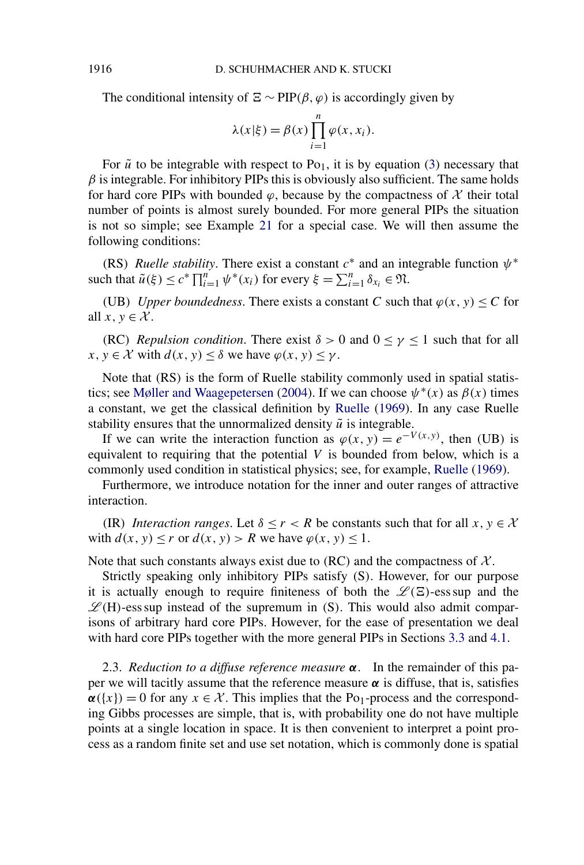The conditional intensity of  $\Xi \sim \text{PIP}(\beta, \varphi)$  is accordingly given by

$$
\lambda(x|\xi) = \beta(x) \prod_{i=1}^{n} \varphi(x, x_i).
$$

For  $\tilde{u}$  to be integrable with respect to Po<sub>1</sub>, it is by equation [\(3\)](#page-2-0) necessary that  $\beta$  is integrable. For inhibitory PIPs this is obviously also sufficient. The same holds for hard core PIPs with bounded  $\varphi$ , because by the compactness of  $\chi$  their total number of points is almost surely bounded. For more general PIPs the situation is not so simple; see Example [21](#page-15-0) for a special case. We will then assume the following conditions:

*(RS) Ruelle stability.* There exist a constant  $c^*$  and an integrable function  $\psi^*$ such that  $\tilde{u}(\xi) \le c^* \prod_{i=1}^n \psi^*(x_i)$  for every  $\xi = \sum_{i=1}^n \delta_{x_i} \in \mathfrak{N}$ .

*(UB) Upper boundedness.* There exists a constant *C* such that  $\varphi(x, y) \leq C$  for all  $x, y \in \mathcal{X}$ .

*(RC) Repulsion condition.* There exist  $\delta > 0$  and  $0 \leq \gamma \leq 1$  such that for all  $x, y \in \mathcal{X}$  with  $d(x, y) \leq \delta$  we have  $\varphi(x, y) \leq \gamma$ .

Note that *(*RS*)* is the form of Ruelle stability commonly used in spatial statis-tics; see [Møller and Waagepetersen](#page-39-0) [\(2004\)](#page-39-0). If we can choose  $\psi^*(x)$  as  $\beta(x)$  times a constant, we get the classical definition by [Ruelle](#page-39-0) [\(1969\)](#page-39-0). In any case Ruelle stability ensures that the unnormalized density  $\tilde{u}$  is integrable.

If we can write the interaction function as  $\varphi(x, y) = e^{-V(x, y)}$ , then *(UB)* is equivalent to requiring that the potential *V* is bounded from below, which is a commonly used condition in statistical physics; see, for example, [Ruelle](#page-39-0) [\(1969\)](#page-39-0).

Furthermore, we introduce notation for the inner and outer ranges of attractive interaction.

*(IR) Interaction ranges.* Let  $\delta \le r < R$  be constants such that for all  $x, y \in \mathcal{X}$ with  $d(x, y) \le r$  or  $d(x, y) > R$  we have  $\varphi(x, y) \le 1$ .

Note that such constants always exist due to  $(RC)$  and the compactness of  $\mathcal{X}$ .

Strictly speaking only inhibitory PIPs satisfy *(*S*)*. However, for our purpose it is actually enough to require finiteness of both the  $\mathscr{L}(\Xi)$ -ess sup and the  $\mathscr{L}(H)$ -ess sup instead of the supremum in *(S)*. This would also admit comparisons of arbitrary hard core PIPs. However, for the ease of presentation we deal with hard core PIPs together with the more general PIPs in Sections [3.3](#page-11-0) and [4.1.](#page-16-0)

2.3. *Reduction to a diffuse reference measure α*. In the remainder of this paper we will tacitly assume that the reference measure  $\alpha$  is diffuse, that is, satisfies  $\alpha({x}) = 0$  for any  $x \in \mathcal{X}$ . This implies that the Po<sub>1</sub>-process and the corresponding Gibbs processes are simple, that is, with probability one do not have multiple points at a single location in space. It is then convenient to interpret a point process as a random finite set and use set notation, which is commonly done is spatial

<span id="page-5-0"></span>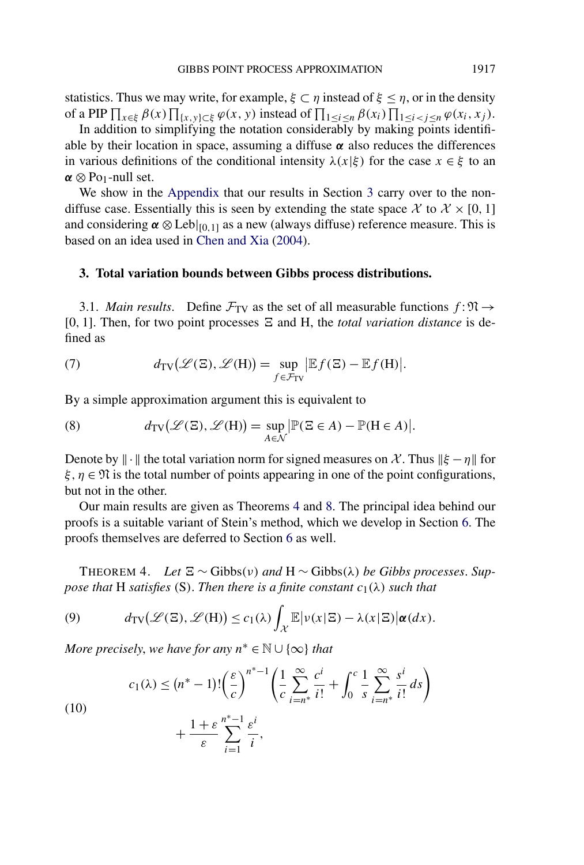<span id="page-6-0"></span>statistics. Thus we may write, for example,  $\xi \subset \eta$  instead of  $\xi \leq \eta$ , or in the density of a PIP  $\prod_{x \in \xi} \beta(x) \prod_{\{x, y\} \subset \xi} \varphi(x, y)$  instead of  $\prod_{1 \le i \le n} \beta(x_i) \prod_{1 \le i < j \le n} \varphi(x_i, x_j)$ .

In addition to simplifying the notation considerably by making points identifiable by their location in space, assuming a diffuse  $\alpha$  also reduces the differences in various definitions of the conditional intensity  $\lambda(x|\xi)$  for the case  $x \in \xi$  to an  $\alpha \otimes P_{01}$ -null set.

We show in the [Appendix](#page-37-0) that our results in Section 3 carry over to the nondiffuse case. Essentially this is seen by extending the state space  $\mathcal{X}$  to  $\mathcal{X} \times [0, 1]$ and considering  $\alpha \otimes \text{Leb}|_{[0,1]}$  as a new (always diffuse) reference measure. This is based on an idea used in [Chen and Xia](#page-39-0) [\(2004\)](#page-39-0).

## **3. Total variation bounds between Gibbs process distributions.**

3.1. *Main results*. Define  $\mathcal{F}_{TV}$  as the set of all measurable functions  $f : \mathfrak{N} \rightarrow$ [0, 1]. Then, for two point processes  $\Xi$  and H, the *total variation distance* is defined as

(7) 
$$
d_{\text{TV}}(\mathscr{L}(\Xi), \mathscr{L}(H)) = \sup_{f \in \mathcal{F}_{\text{TV}}} |\mathbb{E} f(\Xi) - \mathbb{E} f(H)|.
$$

By a simple approximation argument this is equivalent to

(8) 
$$
d_{\text{TV}}(\mathscr{L}(\Xi), \mathscr{L}(H)) = \sup_{A \in \mathcal{N}} |\mathbb{P}(\Xi \in A) - \mathbb{P}(H \in A)|.
$$

Denote by  $\|\cdot\|$  the total variation norm for signed measures on X. Thus  $\|\xi - \eta\|$  for  $\xi, \eta \in \mathfrak{N}$  is the total number of points appearing in one of the point configurations, but not in the other.

Our main results are given as Theorems 4 and [8.](#page-8-0) The principal idea behind our proofs is a suitable variant of Stein's method, which we develop in Section [6.](#page-34-0) The proofs themselves are deferred to Section [6](#page-34-0) as well.

THEOREM 4. Let  $\Xi \sim \text{Gibbs}(v)$  and  $H \sim \text{Gibbs}(\lambda)$  be Gibbs processes. Sup*pose that* H *satisfies* (S). *Then there is a finite constant*  $c_1(\lambda)$  *such that* 

(9) 
$$
d_{\text{TV}}(\mathscr{L}(\Xi), \mathscr{L}(H)) \leq c_1(\lambda) \int_{\mathcal{X}} \mathbb{E} |\nu(x|\Xi) - \lambda(x|\Xi)| \alpha(dx).
$$

*More precisely, we have for any*  $n^* \in \mathbb{N} \cup \{\infty\}$  *that* 

(10)  

$$
c_1(\lambda) \le (n^* - 1)! \left(\frac{\varepsilon}{c}\right)^{n^*-1} \left(\frac{1}{c} \sum_{i=n^*}^{\infty} \frac{c^i}{i!} + \int_0^c \frac{1}{s} \sum_{i=n^*}^{\infty} \frac{s^i}{i!} ds\right) + \frac{1+\varepsilon}{\varepsilon} \sum_{i=1}^{n^*-1} \frac{\varepsilon^i}{i},
$$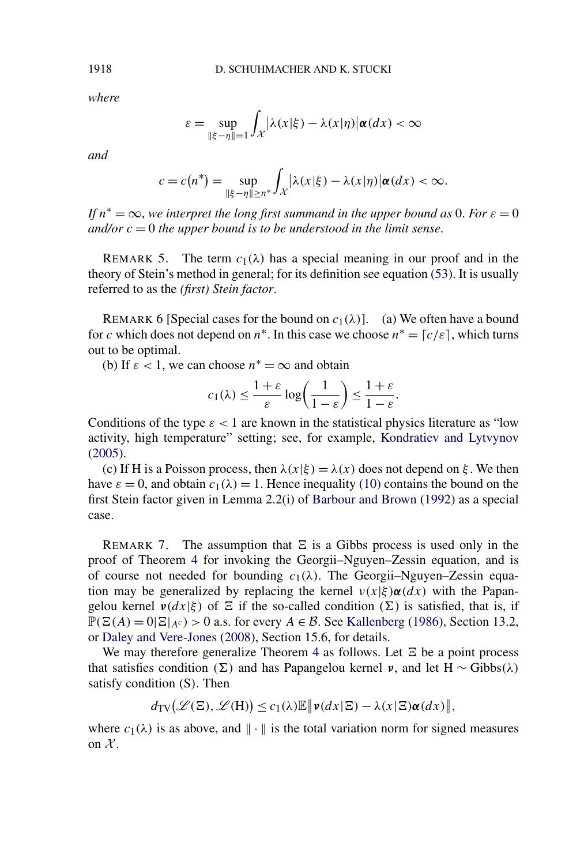*where*

$$
\varepsilon = \sup_{\|\xi - \eta\| = 1} \int_{\mathcal{X}} |\lambda(x|\xi) - \lambda(x|\eta)| \alpha(dx) < \infty
$$

*and*

$$
c = c(n^*) = \sup_{\|\xi - \eta\| \ge n^*} \int_{\mathcal{X}} |\lambda(x|\xi) - \lambda(x|\eta)| \alpha(dx) < \infty.
$$

*If*  $n^* = \infty$ , we interpret the long first summand in the upper bound as 0. For  $\varepsilon = 0$ *and/or*  $c = 0$  *the upper bound is to be understood in the limit sense.* 

REMARK 5. The term  $c_1(\lambda)$  has a special meaning in our proof and in the theory of Stein's method in general; for its definition see equation [\(53\)](#page-35-0). It is usually referred to as the *(first) Stein factor*.

REMARK 6 [Special cases for the bound on  $c_1(\lambda)$ ]. (a) We often have a bound for *c* which does not depend on  $n^*$ . In this case we choose  $n^* = [c/\varepsilon]$ , which turns out to be optimal.

(b) If  $\varepsilon$  < 1, we can choose  $n^* = \infty$  and obtain

$$
c_1(\lambda) \le \frac{1+\varepsilon}{\varepsilon} \log \left( \frac{1}{1-\varepsilon} \right) \le \frac{1+\varepsilon}{1-\varepsilon}.
$$

Conditions of the type  $\varepsilon$  < 1 are known in the statistical physics literature as "low activity, high temperature" setting; see, for example, [Kondratiev and Lytvynov](#page-39-0) [\(2005\)](#page-39-0).

(c) If H is a Poisson process, then  $\lambda(x|\xi) = \lambda(x)$  does not depend on  $\xi$ . We then have  $\varepsilon = 0$ , and obtain  $c_1(\lambda) = 1$ . Hence inequality [\(10\)](#page-6-0) contains the bound on the first Stein factor given in Lemma 2.2(i) of [Barbour and Brown](#page-39-0) [\(1992\)](#page-39-0) as a special case.

REMARK 7. The assumption that  $\Xi$  is a Gibbs process is used only in the proof of Theorem [4](#page-6-0) for invoking the Georgii–Nguyen–Zessin equation, and is of course not needed for bounding  $c_1(\lambda)$ . The Georgii–Nguyen–Zessin equation may be generalized by replacing the kernel  $v(x|\xi) \alpha(dx)$  with the Papangelou kernel  $v(dx|\xi)$  of  $\Xi$  if the so-called condition  $(\Sigma)$  is satisfied, that is, if  $\mathbb{P}(\Xi(A) = 0 | \Xi|_{A^c}) > 0$  a.s. for every  $A \in \mathcal{B}$ . See [Kallenberg](#page-39-0) [\(1986\)](#page-39-0), Section 13.2, or [Daley and Vere-Jones](#page-39-0) [\(2008\)](#page-39-0), Section 15.6, for details.

We may therefore generalize Theorem [4](#page-6-0) as follows. Let  $\Xi$  be a point process that satisfies condition ( $\Sigma$ ) and has Papangelou kernel *v*, and let H ~ Gibbs( $\lambda$ ) satisfy condition *(*S*)*. Then

$$
d_{\mathrm{TV}}(\mathscr{L}(\Xi), \mathscr{L}(\mathrm{H})) \le c_1(\lambda) \mathbb{E} \|\mathbf{v}(dx|\Xi) - \lambda(x|\Xi) \alpha(dx) \|,
$$

where  $c_1(\lambda)$  is as above, and  $\|\cdot\|$  is the total variation norm for signed measures on  $\mathcal{X}$ .

<span id="page-7-0"></span>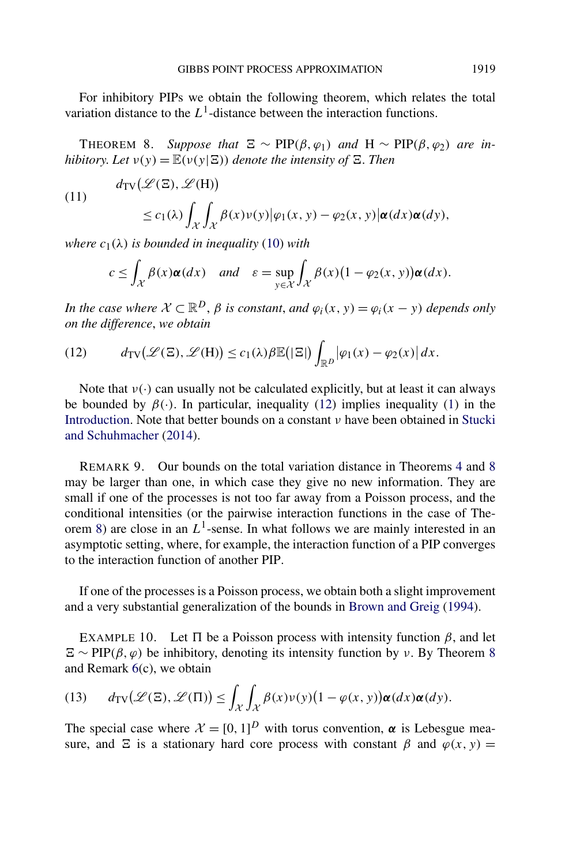<span id="page-8-0"></span>For inhibitory PIPs we obtain the following theorem, which relates the total variation distance to the  $L<sup>1</sup>$ -distance between the interaction functions.

THEOREM 8. Suppose that  $\Xi \sim \text{PIP}(\beta, \varphi_1)$  and  $H \sim \text{PIP}(\beta, \varphi_2)$  are in*hibitory. Let*  $v(y) = \mathbb{E}(v(y|\Xi))$  *denote the intensity of*  $\Xi$ *. Then* 

(11)  

$$
d_{TV}(\mathcal{L}(\Xi), \mathcal{L}(H))
$$

$$
\leq c_1(\lambda) \int_{\mathcal{X}} \int_{\mathcal{X}} \beta(x) \nu(y) |\varphi_1(x, y) - \varphi_2(x, y)| \alpha(dx) \alpha(dy),
$$

*where*  $c_1(\lambda)$  *is bounded in inequality* [\(10\)](#page-6-0) *with* 

$$
c \leq \int_{\mathcal{X}} \beta(x) \alpha(dx) \quad \text{and} \quad \varepsilon = \sup_{y \in \mathcal{X}} \int_{\mathcal{X}} \beta(x) \big(1 - \varphi_2(x, y)\big) \alpha(dx).
$$

*In the case where*  $X \subset \mathbb{R}^D$ ,  $\beta$  *is constant, and*  $\varphi_i(x, y) = \varphi_i(x - y)$  *depends only on the difference*, *we obtain*

(12) 
$$
d_{TV}(\mathscr{L}(\Xi), \mathscr{L}(H)) \leq c_1(\lambda) \beta \mathbb{E}(|\Xi|) \int_{\mathbb{R}^D} |\varphi_1(x) - \varphi_2(x)| dx.
$$

Note that  $v(\cdot)$  can usually not be calculated explicitly, but at least it can always be bounded by  $\beta(\cdot)$ . In particular, inequality (12) implies inequality [\(1\)](#page-1-0) in the [Introduction.](#page-0-0) Note that better bounds on a constant *ν* have been obtained in [Stucki](#page-40-0) [and Schuhmacher](#page-40-0) [\(2014\)](#page-40-0).

REMARK 9. Our bounds on the total variation distance in Theorems [4](#page-6-0) and 8 may be larger than one, in which case they give no new information. They are small if one of the processes is not too far away from a Poisson process, and the conditional intensities (or the pairwise interaction functions in the case of Theorem 8) are close in an  $L^1$ -sense. In what follows we are mainly interested in an asymptotic setting, where, for example, the interaction function of a PIP converges to the interaction function of another PIP.

If one of the processes is a Poisson process, we obtain both a slight improvement and a very substantial generalization of the bounds in [Brown and Greig](#page-39-0) [\(1994\)](#page-39-0).

EXAMPLE 10. Let  $\Pi$  be a Poisson process with intensity function  $\beta$ , and let  $\Xi \sim \text{PIP}(\beta, \varphi)$  be inhibitory, denoting its intensity function by *ν*. By Theorem 8 and Remark [6\(](#page-7-0)c), we obtain

(13) 
$$
d_{TV}(\mathscr{L}(\Xi), \mathscr{L}(\Pi)) \leq \int_{\mathcal{X}} \int_{\mathcal{X}} \beta(x) \nu(y) (1 - \varphi(x, y)) \alpha(dx) \alpha(dy).
$$

The special case where  $\mathcal{X} = [0, 1]^D$  with torus convention,  $\alpha$  is Lebesgue measure, and  $\Xi$  is a stationary hard core process with constant  $\beta$  and  $\varphi(x, y) =$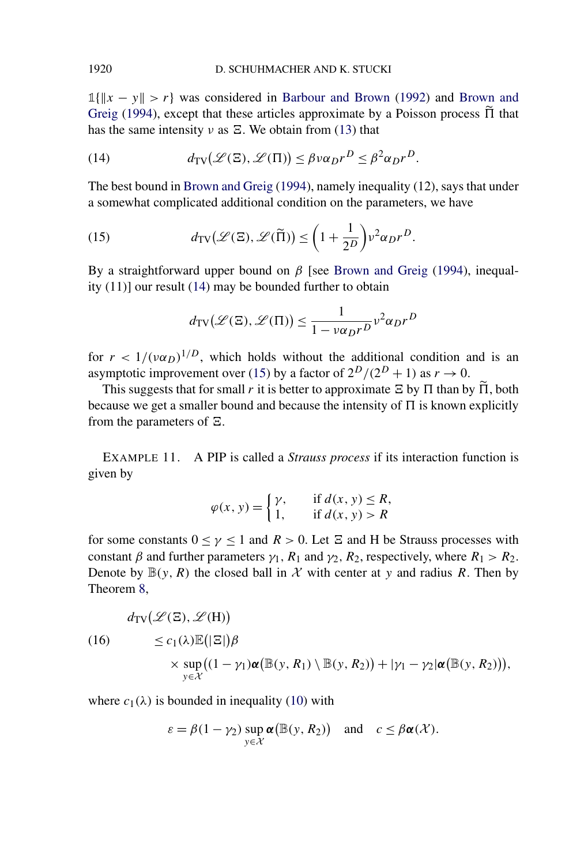**1**{*x* − *y > r*} was considered in [Barbour and Brown](#page-39-0) [\(1992\)](#page-39-0) and [Brown and](#page-39-0) [Greig](#page-39-0) [\(1994\)](#page-39-0), except that these articles approximate by a Poisson process  $\tilde{\Pi}$  that has the same intensity *ν* as  $\Xi$ . We obtain from [\(13\)](#page-8-0) that

(14) 
$$
d_{TV}(\mathcal{L}(\Xi), \mathcal{L}(\Pi)) \leq \beta v \alpha_D r^D \leq \beta^2 \alpha_D r^D.
$$

The best bound in [Brown and Greig](#page-39-0) [\(1994\)](#page-39-0), namely inequality (12), says that under a somewhat complicated additional condition on the parameters, we have

(15) 
$$
d_{\text{TV}}(\mathscr{L}(\Xi), \mathscr{L}(\widetilde{\Pi})) \leq \left(1 + \frac{1}{2^D}\right) \nu^2 \alpha_D r^D.
$$

By a straightforward upper bound on  $β$  [see [Brown and Greig](#page-39-0) [\(1994\)](#page-39-0), inequality (11)] our result (14) may be bounded further to obtain

$$
d_{\text{TV}}(\mathcal{L}(\Xi), \mathcal{L}(\Pi)) \le \frac{1}{1 - v\alpha_D r^D} v^2 \alpha_D r^D
$$

for  $r < 1/(\nu \alpha_D)^{1/D}$ , which holds without the additional condition and is an asymptotic improvement over (15) by a factor of  $2^D/(2^D + 1)$  as  $r \to 0$ .

This suggests that for small *r* it is better to approximate  $\Xi$  by  $\Pi$  than by  $\Pi$ , both because we get a smaller bound and because the intensity of  $\Pi$  is known explicitly from the parameters of  $\Xi$ .

EXAMPLE 11. A PIP is called a *Strauss process* if its interaction function is given by

$$
\varphi(x, y) = \begin{cases} \gamma, & \text{if } d(x, y) \le R, \\ 1, & \text{if } d(x, y) > R \end{cases}
$$

for some constants  $0 \leq \gamma \leq 1$  and  $R > 0$ . Let  $\Xi$  and H be Strauss processes with constant  $\beta$  and further parameters  $\gamma_1$ ,  $R_1$  and  $\gamma_2$ ,  $R_2$ , respectively, where  $R_1 > R_2$ . Denote by  $\mathbb{B}(y, R)$  the closed ball in X with center at y and radius R. Then by Theorem [8,](#page-8-0)

(16)  
\n
$$
d_{TV}(\mathcal{L}(\Xi), \mathcal{L}(H))
$$
\n
$$
\leq c_1(\lambda) \mathbb{E}(|\Xi|) \beta
$$
\n
$$
\times \sup_{y \in \mathcal{X}} ((1 - \gamma_1) \alpha (\mathbb{B}(y, R_1) \setminus \mathbb{B}(y, R_2)) + |\gamma_1 - \gamma_2| \alpha (\mathbb{B}(y, R_2))),
$$

where  $c_1(\lambda)$  is bounded in inequality [\(10\)](#page-6-0) with

$$
\varepsilon = \beta(1 - \gamma_2) \sup_{y \in \mathcal{X}} \alpha(\mathbb{B}(y, R_2)) \quad \text{and} \quad c \leq \beta \alpha(\mathcal{X}).
$$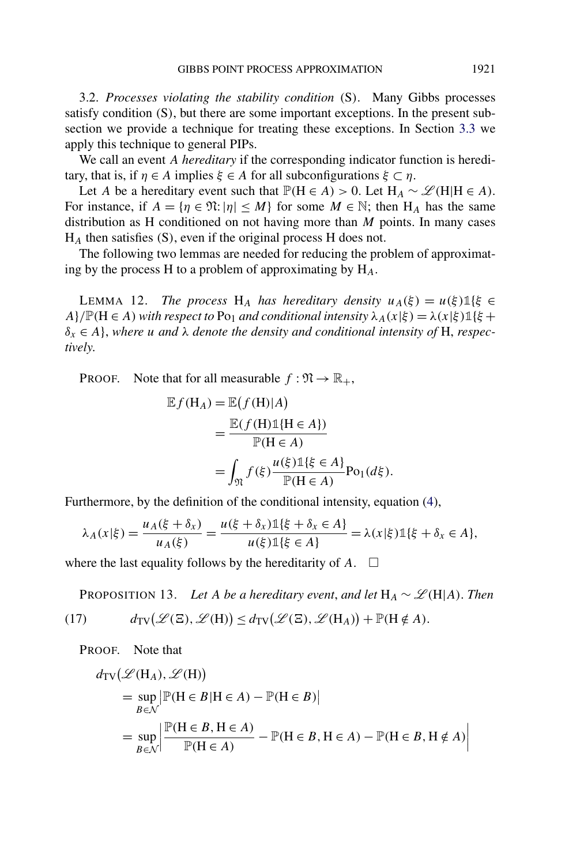<span id="page-10-0"></span>3.2. *Processes violating the stability condition (*S*)*. Many Gibbs processes satisfy condition *(*S*)*, but there are some important exceptions. In the present subsection we provide a technique for treating these exceptions. In Section [3.3](#page-11-0) we apply this technique to general PIPs.

We call an event *A hereditary* if the corresponding indicator function is hereditary, that is, if *η* ∈ *A* implies *ξ* ∈ *A* for all subconfigurations *ξ* ⊂ *η*.

Let *A* be a hereditary event such that  $\mathbb{P}(H \in A) > 0$ . Let  $H_A \sim \mathcal{L}(H|H \in A)$ . For instance, if  $A = \{ \eta \in \mathfrak{N} : |\eta| \leq M \}$  for some  $M \in \mathbb{N}$ ; then  $H_A$  has the same distribution as H conditioned on not having more than *M* points. In many cases H*<sup>A</sup>* then satisfies *(*S*)*, even if the original process H does not.

The following two lemmas are needed for reducing the problem of approximating by the process H to a problem of approximating by H*A*.

LEMMA 12. *The process* H<sub>A</sub> *has hereditary density*  $u_A(\xi) = u(\xi) \mathbb{1}\{\xi \in$ *A*}*/* $\mathbb{P}(H \in A)$  *with respect to* Po<sub>1</sub> *and conditional intensity*  $\lambda_A(x|\xi) = \lambda(x|\xi) \mathbb{1}\{\xi +$  $\delta_x \in A$ , where *u* and  $\lambda$  *denote the density and conditional intensity of* H, *respectively*.

**PROOF.** Note that for all measurable  $f : \mathfrak{N} \to \mathbb{R}_+$ ,

$$
\mathbb{E}f(\mathbf{H}_A) = \mathbb{E}(f(\mathbf{H})|A)
$$
  
= 
$$
\frac{\mathbb{E}(f(\mathbf{H})\mathbb{1}\{\mathbf{H} \in A\})}{\mathbb{P}(\mathbf{H} \in A)}
$$
  
= 
$$
\int_{\mathfrak{N}} f(\xi) \frac{u(\xi)\mathbb{1}\{\xi \in A\}}{\mathbb{P}(\mathbf{H} \in A)} \text{Po}_1(d\xi).
$$

Furthermore, by the definition of the conditional intensity, equation [\(4\)](#page-3-0),

$$
\lambda_A(x|\xi) = \frac{u_A(\xi + \delta_x)}{u_A(\xi)} = \frac{u(\xi + \delta_x) \mathbb{1}\{\xi + \delta_x \in A\}}{u(\xi) \mathbb{1}\{\xi \in A\}} = \lambda(x|\xi) \mathbb{1}\{\xi + \delta_x \in A\},
$$

where the last equality follows by the hereditarity of  $A$ .  $\Box$ 

PROPOSITION 13. *Let A be a hereditary event, and let*  $H_A \sim \mathcal{L}(H|A)$ . *Then* 

(17) 
$$
d_{TV}(\mathscr{L}(\Xi), \mathscr{L}(H)) \leq d_{TV}(\mathscr{L}(\Xi), \mathscr{L}(H_A)) + \mathbb{P}(H \notin A).
$$

PROOF. Note that

$$
d_{\text{TV}}(\mathcal{L}(H_A), \mathcal{L}(H))
$$
  
= 
$$
\sup_{B \in \mathcal{N}} |\mathbb{P}(H \in B | H \in A) - \mathbb{P}(H \in B)|
$$
  
= 
$$
\sup_{B \in \mathcal{N}} \left| \frac{\mathbb{P}(H \in B, H \in A)}{\mathbb{P}(H \in A)} - \mathbb{P}(H \in B, H \in A) - \mathbb{P}(H \in B, H \notin A) \right|
$$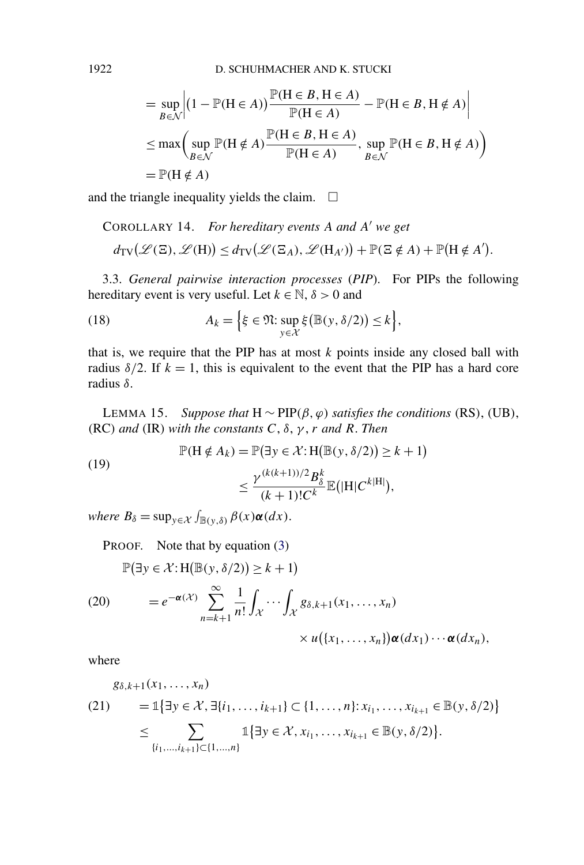$$
= \sup_{B \in \mathcal{N}} \left| (1 - \mathbb{P}(\mathbf{H} \in A)) \frac{\mathbb{P}(\mathbf{H} \in B, \mathbf{H} \in A)}{\mathbb{P}(\mathbf{H} \in A)} - \mathbb{P}(\mathbf{H} \in B, \mathbf{H} \notin A) \right|
$$
  
\n
$$
\leq \max \left( \sup_{B \in \mathcal{N}} \mathbb{P}(\mathbf{H} \notin A) \frac{\mathbb{P}(\mathbf{H} \in B, \mathbf{H} \in A)}{\mathbb{P}(\mathbf{H} \in A)}, \sup_{B \in \mathcal{N}} \mathbb{P}(\mathbf{H} \in B, \mathbf{H} \notin A) \right)
$$
  
\n
$$
= \mathbb{P}(\mathbf{H} \notin A)
$$

and the triangle inequality yields the claim.  $\Box$ 

COROLLARY 14. For hereditary events A and A' we get  
\n
$$
d_{TV}(\mathcal{L}(\Xi), \mathcal{L}(H)) \leq d_{TV}(\mathcal{L}(\Xi_A), \mathcal{L}(H_{A'})) + \mathbb{P}(\Xi \notin A) + \mathbb{P}(H \notin A').
$$

3.3. *General pairwise interaction processes* (*PIP*). For PIPs the following hereditary event is very useful. Let  $k \in \mathbb{N}$ ,  $\delta > 0$  and

(18) 
$$
A_k = \Big\{ \xi \in \mathfrak{N} : \sup_{y \in \mathcal{X}} \xi \big( \mathbb{B}(y, \delta/2) \big) \leq k \Big\},
$$

that is, we require that the PIP has at most  $k$  points inside any closed ball with radius  $\delta/2$ . If  $k = 1$ , this is equivalent to the event that the PIP has a hard core radius *δ*.

LEMMA 15. *Suppose that* H ∼ PIP*(β, ϕ) satisfies the conditions (*RS*)*, *(*UB*)*, *(*RC*) and (*IR*) with the constants C*, *δ*, *γ* , *r and R*. *Then*

(19)  
\n
$$
\mathbb{P}(\mathbf{H} \notin A_k) = \mathbb{P}(\exists y \in \mathcal{X} : \mathbf{H}(\mathbb{B}(y, \delta/2)) \ge k+1)
$$
\n
$$
\le \frac{\gamma^{(k(k+1))/2} B_{\delta}^k}{(k+1)! C^k} \mathbb{E}(|\mathbf{H}| C^{k|\mathbf{H}|}),
$$

 $where B_{\delta} = \sup_{y \in \mathcal{X}} \int_{\mathbb{B}(y,\delta)} \beta(x) \alpha(dx).$ 

PROOF. Note that by equation [\(3\)](#page-2-0)

$$
\mathbb{P}(\exists y \in \mathcal{X}: H(\mathbb{B}(y, \delta/2)) \ge k+1)
$$
  
(20) 
$$
= e^{-\alpha(\mathcal{X})} \sum_{n=k+1}^{\infty} \frac{1}{n!} \int_{\mathcal{X}} \cdots \int_{\mathcal{X}} g_{\delta,k+1}(x_1, \dots, x_n)
$$

$$
\times u(\{x_1, \dots, x_n\}) \alpha(dx_1) \cdots \alpha(dx_n),
$$

where

$$
g_{\delta,k+1}(x_1, ..., x_n)
$$
  
(21) = 1{ $\exists y \in \mathcal{X}, \exists \{i_1, ..., i_{k+1}\} \subset \{1, ..., n\}: x_{i_1}, ..., x_{i_{k+1}} \in \mathbb{B}(y, \delta/2)\}$   

$$
\leq \sum_{\{i_1, ..., i_{k+1}\} \subset \{1, ..., n\}} 1\{\exists y \in \mathcal{X}, x_{i_1}, ..., x_{i_{k+1}} \in \mathbb{B}(y, \delta/2)\}.
$$

<span id="page-11-0"></span>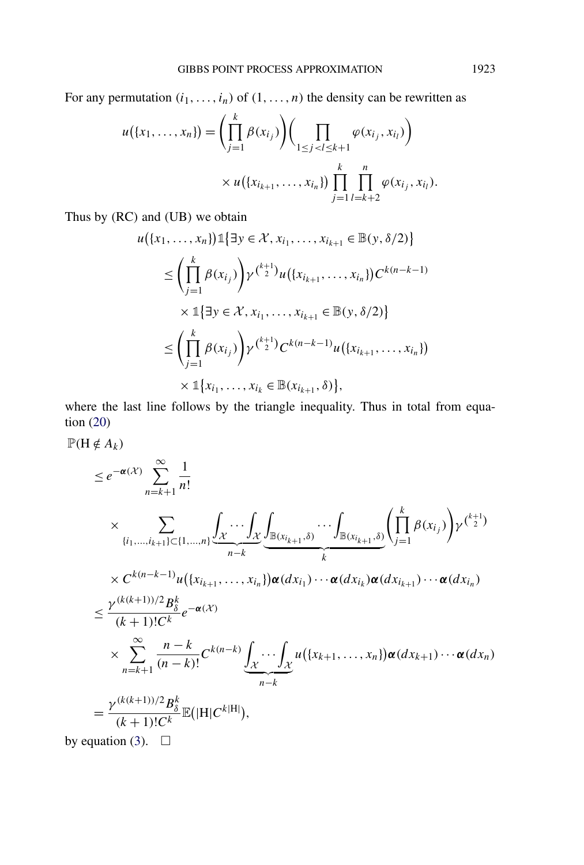For any permutation  $(i_1, \ldots, i_n)$  of  $(1, \ldots, n)$  the density can be rewritten as

$$
u(\{x_1, ..., x_n\}) = \left(\prod_{j=1}^k \beta(x_{i_j})\right) \left(\prod_{1 \leq j < l \leq k+1} \varphi(x_{i_j}, x_{i_l})\right) \\
\times u(\{x_{i_{k+1}}, ..., x_{i_n}\}) \prod_{j=1}^k \prod_{l=k+2}^n \varphi(x_{i_j}, x_{i_l}).
$$

Thus by *(*RC*)* and *(*UB*)* we obtain

$$
u(\{x_1, ..., x_n\}) \mathbb{1} \{\exists y \in \mathcal{X}, x_{i_1}, ..., x_{i_{k+1}} \in \mathbb{B}(y, \delta/2)\}
$$
  
\n
$$
\leq \left(\prod_{j=1}^k \beta(x_{i_j})\right) \gamma^{\binom{k+1}{2}} u(\{x_{i_{k+1}}, ..., x_{i_n}\}) C^{k(n-k-1)}
$$
  
\n
$$
\times \mathbb{1} \{\exists y \in \mathcal{X}, x_{i_1}, ..., x_{i_{k+1}} \in \mathbb{B}(y, \delta/2)\}
$$
  
\n
$$
\leq \left(\prod_{j=1}^k \beta(x_{i_j})\right) \gamma^{\binom{k+1}{2}} C^{k(n-k-1)} u(\{x_{i_{k+1}}, ..., x_{i_n}\})
$$
  
\n
$$
\times \mathbb{1} \{x_{i_1}, ..., x_{i_k} \in \mathbb{B}(x_{i_{k+1}}, \delta)\},
$$

where the last line follows by the triangle inequality. Thus in total from equation [\(20\)](#page-11-0)

 $P(H \notin A_k)$ 

$$
\leq e^{-\alpha(X)} \sum_{n=k+1}^{\infty} \frac{1}{n!} \times \sum_{\{i_1,\dots,i_{k+1}\}\subset\{1,\dots,n\}} \underbrace{\int_{\mathcal{X}} \cdots \int_{\mathcal{X}} \underbrace{\int_{\mathbb{B}(x_{i_{k+1}},\delta)} \cdots \int_{\mathbb{B}(x_{i_{k+1}},\delta)}}_{k} \left(\prod_{j=1}^{k} \beta(x_{i_j})\right) \gamma^{\binom{k+1}{2}}}{\times C^{k(n-k-1)} u(\{x_{i_{k+1}},\dots,x_{i_n}\}) \alpha(dx_{i_1}) \cdots \alpha(dx_{i_k}) \alpha(dx_{i_{k+1}}) \cdots \alpha(dx_{i_n})}
$$
\n
$$
\leq \frac{\gamma^{(k(k+1))/2} B_{\delta}^k}{(k+1)! C^k} e^{-\alpha(X)}
$$
\n
$$
\times \sum_{n=k+1}^{\infty} \frac{n-k}{(n-k)!} C^{k(n-k)} \underbrace{\int_{\mathcal{X}} \cdots \int_{\mathcal{X}} u(\{x_{k+1},\dots,x_n\}) \alpha(dx_{k+1}) \cdots \alpha(dx_n)}_{n-k}
$$
\n
$$
= \frac{\gamma^{(k(k+1))/2} B_{\delta}^k}{(k+1)! C^k} \mathbb{E}(|H| C^{k|H}|),
$$

by equation [\(3\)](#page-2-0).  $\Box$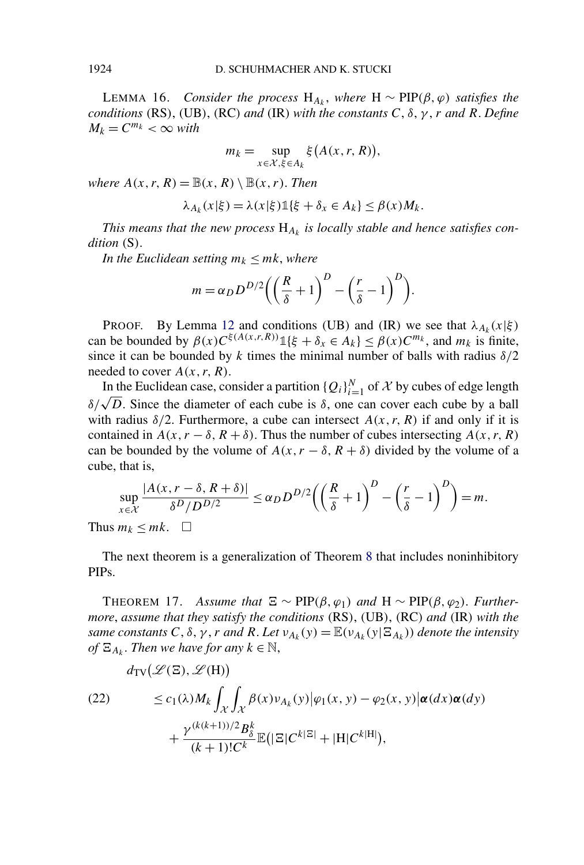<span id="page-13-0"></span>LEMMA 16. *Consider the process*  $H_{A_k}$ , *where*  $H ∼ PIP(\beta, φ)$  *satisfies the conditions*  $(RS)$ ,  $(UB)$ ,  $(RC)$  *and*  $(IR)$  *with the constants*  $C$ ,  $\delta$ ,  $\gamma$ ,  $r$  *and*  $R$ . *Define*  $M_k = C^{m_k} < \infty$  *with* 

$$
m_k = \sup_{x \in \mathcal{X}, \xi \in A_k} \xi(A(x, r, R)),
$$

*where*  $A(x, r, R) = \mathbb{B}(x, R) \setminus \mathbb{B}(x, r)$ . *Then* 

$$
\lambda_{A_k}(x|\xi) = \lambda(x|\xi) \mathbb{1}\{\xi + \delta_x \in A_k\} \le \beta(x)M_k.
$$

This means that the new process  $H_{A_k}$  is locally stable and hence satisfies con*dition (*S*)*.

*In the Euclidean setting*  $m_k \leq m_k$ , *where* 

$$
m = \alpha_D D^{D/2} \left( \left( \frac{R}{\delta} + 1 \right)^D - \left( \frac{r}{\delta} - 1 \right)^D \right).
$$

PROOF. By Lemma [12](#page-10-0) and conditions *(UB)* and *(IR)* we see that  $\lambda_{A_k}(x|\xi)$ can be bounded by  $\beta(x)C^{\xi(A(x,r,R))}\mathbb{1}\{\xi + \delta_x \in A_k\} \leq \beta(x)C^{m_k}$ , and  $m_k$  is finite, since it can be bounded by  $k$  times the minimal number of balls with radius  $\delta/2$ needed to cover *A(x, r, R)*.

In the Euclidean case, consider a partition  ${Q_i}_{i=1}^N$  of X by cubes of edge length *δ*/ $\sqrt{D}$ . Since the diameter of each cube is *δ*, one can cover each cube by a ball with radius  $\delta/2$ . Furthermore, a cube can intersect  $A(x, r, R)$  if and only if it is contained in  $A(x, r - \delta, R + \delta)$ . Thus the number of cubes intersecting  $A(x, r, R)$ can be bounded by the volume of  $A(x, r - \delta, R + \delta)$  divided by the volume of a cube, that is,

$$
\sup_{x \in \mathcal{X}} \frac{|A(x, r - \delta, R + \delta)|}{\delta^D / D^{D/2}} \le \alpha_D D^{D/2} \left( \left( \frac{R}{\delta} + 1 \right)^D - \left( \frac{r}{\delta} - 1 \right)^D \right) = m.
$$

Thus  $m_k \leq mk$ .  $\Box$ 

The next theorem is a generalization of Theorem [8](#page-8-0) that includes noninhibitory PIPs.

THEOREM 17. *Assume that*  $\Xi \sim \text{PIP}(\beta, \varphi_1)$  *and*  $H \sim \text{PIP}(\beta, \varphi_2)$ . *Furthermore*, *assume that they satisfy the conditions (*RS*)*, *(*UB*)*, *(*RC*) and (*IR*) with the same constants*  $C$ ,  $\delta$ ,  $\gamma$ ,  $r$  *and*  $R$ . Let  $v_{A_k}(y) = \mathbb{E}(v_{A_k}(y | \Xi_{A_k}))$  *denote the intensity*  $of E_{A_k}$ . *Then we have for any*  $k \in \mathbb{N}$ ,

(22) 
$$
d_{\text{TV}}(\mathcal{L}(\Xi), \mathcal{L}(H))
$$

$$
\leq c_1(\lambda)M_k \int_{\mathcal{X}} \int_{\mathcal{X}} \beta(x) \nu_{A_k}(y) |\varphi_1(x, y) - \varphi_2(x, y)| \alpha(dx) \alpha(dy)
$$

$$
+ \frac{\gamma^{(k(k+1))/2} B_{\delta}^k}{(k+1)! C^k} \mathbb{E}(|\Xi| C^{k|\Xi|} + |H| C^{k|H|}),
$$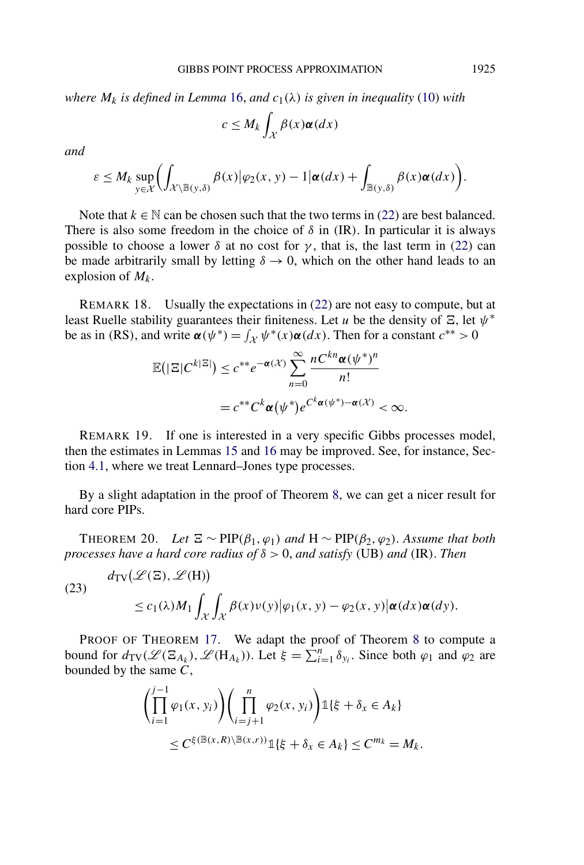<span id="page-14-0"></span>*where*  $M_k$  *is defined in Lemma* [16,](#page-13-0) *and*  $c_1(\lambda)$  *is given in inequality* [\(10\)](#page-6-0) *with* 

$$
c \le M_k \int_{\mathcal{X}} \beta(x) \alpha(dx)
$$

*and*

$$
\varepsilon \leq M_k \sup_{y \in \mathcal{X}} \biggl( \int_{\mathcal{X} \setminus \mathbb{B}(y,\delta)} \beta(x) \big| \varphi_2(x,y) - 1 \big| \alpha(dx) + \int_{\mathbb{B}(y,\delta)} \beta(x) \alpha(dx) \biggr).
$$

Note that  $k \in \mathbb{N}$  can be chosen such that the two terms in [\(22\)](#page-13-0) are best balanced. There is also some freedom in the choice of  $\delta$  in *(IR)*. In particular it is always possible to choose a lower  $\delta$  at no cost for  $\gamma$ , that is, the last term in [\(22\)](#page-13-0) can be made arbitrarily small by letting  $\delta \rightarrow 0$ , which on the other hand leads to an explosion of  $M_k$ .

REMARK 18. Usually the expectations in [\(22\)](#page-13-0) are not easy to compute, but at least Ruelle stability guarantees their finiteness. Let *u* be the density of  $\Xi$ , let  $\psi^*$ be as in *(RS)*, and write  $\alpha(\psi^*) = \int_{\mathcal{X}} \psi^*(x) \alpha(dx)$ . Then for a constant  $c^{**} > 0$ 

$$
\mathbb{E}(|\Xi|C^{k|\Xi|}) \leq c^{**}e^{-\alpha(\mathcal{X})}\sum_{n=0}^{\infty}\frac{nC^{kn}\alpha(\psi^*)^n}{n!}
$$

$$
= c^{**}C^k\alpha(\psi^*)e^{C^k\alpha(\psi^*)-\alpha(\mathcal{X})} < \infty.
$$

REMARK 19. If one is interested in a very specific Gibbs processes model, then the estimates in Lemmas [15](#page-11-0) and [16](#page-13-0) may be improved. See, for instance, Section [4.1,](#page-16-0) where we treat Lennard–Jones type processes.

By a slight adaptation in the proof of Theorem [8,](#page-8-0) we can get a nicer result for hard core PIPs.

THEOREM 20. *Let*  $\Xi \sim \text{PIP}(\beta_1, \varphi_1)$  and  $H \sim \text{PIP}(\beta_2, \varphi_2)$ . Assume that both *processes have a hard core radius of δ >* 0, *and satisfy (*UB*) and (*IR*)*. *Then*

(23)

$$
d_{\text{TV}}(\mathcal{L}(\Xi), \mathcal{L}(H))
$$
  
\$\leq c\_1(\lambda)M\_1 \int\_{\mathcal{X}} \int\_{\mathcal{X}} \beta(x) \nu(y) |\varphi\_1(x, y) - \varphi\_2(x, y)| \alpha(dx) \alpha(dy).

PROOF OF THEOREM [17.](#page-13-0) We adapt the proof of Theorem [8](#page-8-0) to compute a bound for  $d_{TV}(\mathcal{L}(\Xi_{A_k}), \mathcal{L}(H_{A_k}))$ . Let  $\xi = \sum_{i=1}^n \delta_{y_i}$ . Since both  $\varphi_1$  and  $\varphi_2$  are bounded by the same *C*,

$$
\left(\prod_{i=1}^{j-1} \varphi_1(x, y_i)\right)\left(\prod_{i=j+1}^n \varphi_2(x, y_i)\right) \mathbb{1}\{\xi + \delta_x \in A_k\}
$$
  

$$
\leq C^{\xi(\mathbb{B}(x, R) \setminus \mathbb{B}(x, r))} \mathbb{1}\{\xi + \delta_x \in A_k\} \leq C^{m_k} = M_k.
$$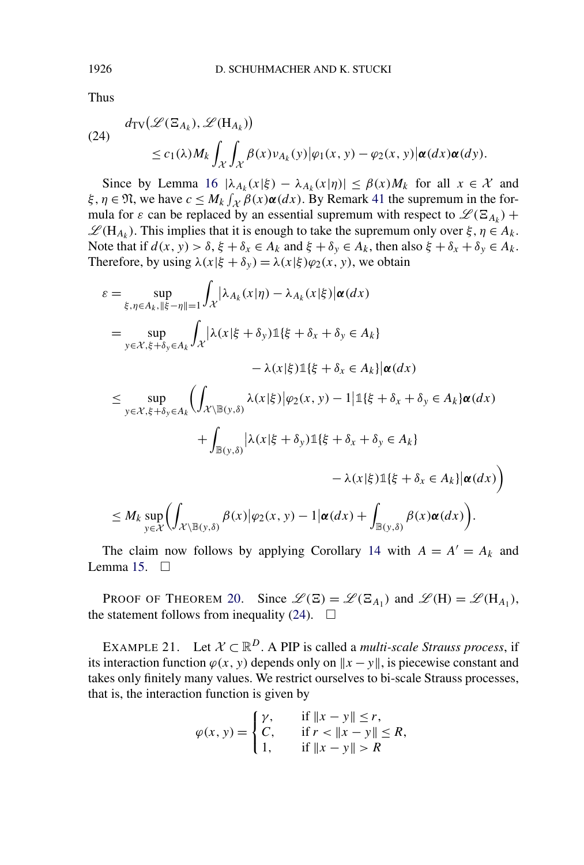Thus

(24) 
$$
d_{TV}(\mathcal{L}(\Xi_{A_k}), \mathcal{L}(H_{A_k}))
$$
  
 
$$
\leq c_1(\lambda)M_k \int_{\mathcal{X}} \int_{\mathcal{X}} \beta(x) \nu_{A_k}(y) |\varphi_1(x, y) - \varphi_2(x, y)| \alpha(dx) \alpha(dy).
$$

Since by Lemma [16](#page-13-0)  $|\lambda_{A_k}(x|\xi) - \lambda_{A_k}(x|\eta)| \leq \beta(x)M_k$  for all  $x \in \mathcal{X}$  and *ξ, η*  $\in$   $\mathfrak{N}$ , we have  $c \leq M_k \int_{\mathcal{X}} \beta(x) \alpha(dx)$ . By Remark [41](#page-36-0) the supremum in the formula for  $\varepsilon$  can be replaced by an essential supremum with respect to  $\mathscr{L}(\Xi_{A_k})$  +  $\mathscr{L}(H_{A_k})$ . This implies that it is enough to take the supremum only over  $\xi, \eta \in A_k$ . Note that if  $d(x, y) > \delta$ ,  $\xi + \delta_x \in A_k$  and  $\xi + \delta_y \in A_k$ , then also  $\xi + \delta_x + \delta_y \in A_k$ . Therefore, by using  $\lambda(x|\xi + \delta_y) = \lambda(x|\xi)\varphi_2(x, y)$ , we obtain

$$
\varepsilon = \sup_{\xi, \eta \in A_k, \|\xi - \eta\| = 1} \int_{\mathcal{X}} |\lambda_{A_k}(x|\eta) - \lambda_{A_k}(x|\xi)| \alpha(dx)
$$
  
\n
$$
= \sup_{y \in \mathcal{X}, \xi + \delta_y \in A_k} \int_{\mathcal{X}} |\lambda(x|\xi + \delta_y)1(\xi + \delta_x + \delta_y \in A_k)
$$
  
\n
$$
- \lambda(x|\xi)1(\xi + \delta_x \in A_k) |\alpha(dx)
$$
  
\n
$$
\leq \sup_{y \in \mathcal{X}, \xi + \delta_y \in A_k} \left( \int_{\mathcal{X} \setminus \mathbb{B}(y,\delta)} \lambda(x|\xi) |\varphi_2(x, y) - 1|1(\xi + \delta_x + \delta_y \in A_k) \alpha(dx) + \int_{\mathbb{B}(y,\delta)} |\lambda(x|\xi + \delta_y)1(\xi + \delta_x + \delta_y \in A_k) - \lambda(x|\xi)1(\xi + \delta_x \in A_k) |\alpha(dx) \right)
$$

$$
\leq M_k \sup_{y \in \mathcal{X}} \left( \int_{\mathcal{X} \setminus \mathbb{B}(y,\delta)} \beta(x) \big| \varphi_2(x,y) - 1 \big| \alpha(dx) + \int_{\mathbb{B}(y,\delta)} \beta(x) \alpha(dx) \right).
$$

The claim now follows by applying Corollary [14](#page-11-0) with  $A = A' = A_k$  and Lemma [15.](#page-11-0)  $\Box$ 

PROOF OF THEOREM [20.](#page-14-0) Since  $\mathcal{L}(\Xi) = \mathcal{L}(\Xi_{A_1})$  and  $\mathcal{L}(H) = \mathcal{L}(H_{A_1}),$ the statement follows from inequality (24).  $\Box$ 

EXAMPLE 21. Let  $X \subset \mathbb{R}^D$ . A PIP is called a *multi-scale Strauss process*, if its interaction function  $\varphi(x, y)$  depends only on  $\|x - y\|$ , is piecewise constant and takes only finitely many values. We restrict ourselves to bi-scale Strauss processes, that is, the interaction function is given by

$$
\varphi(x, y) = \begin{cases} \gamma, & \text{if } \|x - y\| \le r, \\ C, & \text{if } r < \|x - y\| \le R, \\ 1, & \text{if } \|x - y\| > R \end{cases}
$$

<span id="page-15-0"></span>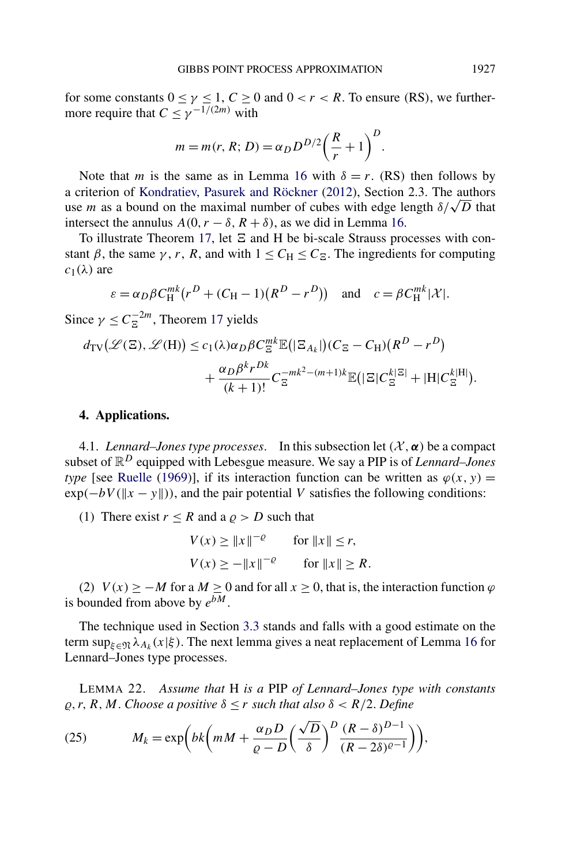<span id="page-16-0"></span>for some constants  $0 \le \gamma \le 1$ ,  $C \ge 0$  and  $0 < r < R$ . To ensure *(RS)*, we furthermore require that  $C \leq \gamma^{-1/(2m)}$  with

$$
m = m(r, R; D) = \alpha_D D^{D/2} \left(\frac{R}{r} + 1\right)^D.
$$

Note that *m* is the same as in Lemma [16](#page-13-0) with  $\delta = r$ . *(RS)* then follows by a criterion of [Kondratiev, Pasurek and Röckner](#page-39-0) [\(2012\)](#page-39-0), Section 2.3. The authors use *m* as a bound on the maximal number of cubes with edge length  $\delta/\sqrt{D}$  that intersect the annulus  $A(0, r - \delta, R + \delta)$ , as we did in Lemma [16.](#page-13-0)

To illustrate Theorem [17,](#page-13-0) let  $\Xi$  and H be bi-scale Strauss processes with constant  $\beta$ , the same  $\gamma$ , *r*, *R*, and with  $1 \le C_H \le C_{\overline{\beta}}$ . The ingredients for computing  $c_1(λ)$  are

$$
\varepsilon = \alpha_D \beta C_H^{mk} (r^D + (C_H - 1)(R^D - r^D)) \quad \text{and} \quad c = \beta C_H^{mk} |\mathcal{X}|.
$$

Since  $\gamma \leq C_{\Xi}^{-2m}$ , Theorem [17](#page-13-0) yields

$$
d_{\text{TV}}(\mathcal{L}(\Xi), \mathcal{L}(\text{H})) \le c_1(\lambda)\alpha_D \beta C_{\Xi}^{mk} \mathbb{E}(|\Xi_{A_k}|)(C_{\Xi} - C_{\text{H}})(R^D - r^D) + \frac{\alpha_D \beta^k r^{Dk}}{(k+1)!} C_{\Xi}^{-mk^2 - (m+1)k} \mathbb{E}(|\Xi| C_{\Xi}^{k|\Xi|} + |\text{H}| C_{\Xi}^{k|\text{H}|}).
$$

# **4. Applications.**

4.1. *Lennard–Jones type processes.* In this subsection let  $(\mathcal{X}, \alpha)$  be a compact subset of R*<sup>D</sup>* equipped with Lebesgue measure. We say a PIP is of *Lennard–Jones type* [see [Ruelle](#page-39-0) [\(1969\)](#page-39-0)], if its interaction function can be written as  $\varphi(x, y) =$  $\exp(-bV(\|x - y\|))$ , and the pair potential *V* satisfies the following conditions:

(1) There exist  $r \leq R$  and a  $\rho > D$  such that

$$
V(x) \ge ||x||^{-\varrho} \quad \text{for } ||x|| \le r,
$$
  

$$
V(x) \ge -||x||^{-\varrho} \quad \text{for } ||x|| \ge R.
$$

(2)  $V(x) \geq -M$  for a  $M \geq 0$  and for all  $x \geq 0$ , that is, the interaction function  $\varphi$ is bounded from above by  $e^{bM}$ .

The technique used in Section [3.3](#page-11-0) stands and falls with a good estimate on the term sup<sub> $\xi \in \mathfrak{N} \lambda_{A_k}(x|\xi)$ . The next lemma gives a neat replacement of Lemma [16](#page-13-0) for</sub> Lennard–Jones type processes.

LEMMA 22. *Assume that* H *is a* PIP *of Lennard–Jones type with constants*  $\rho$ , *r*, *R*, *M*. *Choose a positive*  $\delta \leq r$  *such that also*  $\delta \leq R/2$ . *Define* 

(25) 
$$
M_k = \exp\left(bk\left(mM + \frac{\alpha_D D}{\varrho - D}\left(\frac{\sqrt{D}}{\delta}\right)^D \frac{(R - \delta)^{D-1}}{(R - 2\delta)^{\varrho - 1}}\right)\right),
$$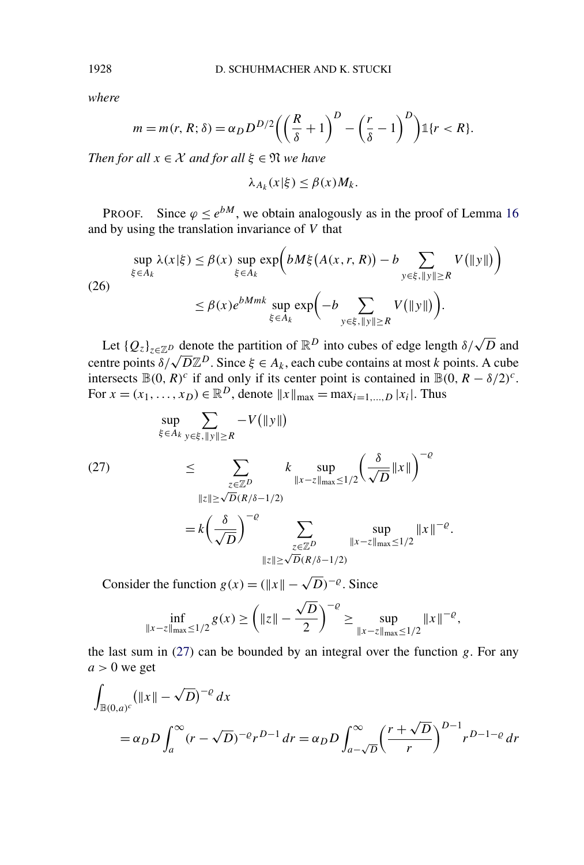*where*

$$
m = m(r, R; \delta) = \alpha_D D^{D/2} \left( \left( \frac{R}{\delta} + 1 \right)^D - \left( \frac{r}{\delta} - 1 \right)^D \right) \mathbb{1} \{r < R\}.
$$

*Then for all*  $x \in \mathcal{X}$  *and for all*  $\xi \in \mathfrak{N}$  *we have* 

$$
\lambda_{A_k}(x|\xi) \leq \beta(x)M_k.
$$

PROOF. Since  $\varphi \le e^{bM}$ , we obtain analogously as in the proof of Lemma [16](#page-13-0) and by using the translation invariance of *V* that

$$
\sup_{\xi \in A_k} \lambda(x|\xi) \le \beta(x) \sup_{\xi \in A_k} \exp\left(bM\xi(A(x,r,R)) - b \sum_{y \in \xi, ||y|| \ge R} V(||y||)\right)
$$
  
(26)  

$$
\le \beta(x)e^{bMmk} \sup_{\xi \in A_k} \exp\left(-b \sum_{y \in \xi, ||y|| \ge R} V(||y||)\right).
$$

Let  ${Q_z}_{z \in \mathbb{Z}^D}$  denote the partition of  $\mathbb{R}^D$  into cubes of edge length  $\delta/\sqrt{D}$  and centre points  $\delta/\sqrt{D}\mathbb{Z}^D$ . Since  $\xi \in A_k$ , each cube contains at most *k* points. A cube intersects  $\mathbb{B}(0, R)^c$  if and only if its center point is contained in  $\mathbb{B}(0, R - \delta/2)^c$ . For  $x = (x_1, ..., x_D) \in \mathbb{R}^D$ , denote  $||x||_{\max} = \max_{i=1,...,D} |x_i|$ . Thus

$$
\sup_{\xi \in A_k} \sum_{y \in \xi, \|y\| \ge R} -V(\|y\|)
$$
\n
$$
\le \sum_{\substack{z \in \mathbb{Z}^D \\ \|z\| \ge \sqrt{D}(R/\delta - 1/2)}} k \sup_{\|x - z\|_{\max} \le 1/2} \left(\frac{\delta}{\sqrt{D}} \|x\|\right)^{-\varrho}
$$
\n
$$
= k \left(\frac{\delta}{\sqrt{D}}\right)^{-\varrho} \sum_{\substack{z \in \mathbb{Z}^D \\ \|z\| \ge \sqrt{D}(R/\delta - 1/2)}} \sup_{\|x - z\|_{\max} \le 1/2} \|x\|^{-\varrho}.
$$

Consider the function  $g(x) = (\Vert x \Vert - \sqrt{D})^{-\varrho}$ . Since

$$
\inf_{\|x-z\|_{\max}\le 1/2} g(x) \ge \left(\|z\| - \frac{\sqrt{D}}{2}\right)^{-\varrho} \ge \sup_{\|x-z\|_{\max}\le 1/2} \|x\|^{-\varrho},
$$

the last sum in (27) can be bounded by an integral over the function *g*. For any  $a > 0$  we get

$$
\int_{\mathbb{B}(0,a)^c} (\|x\| - \sqrt{D})^{-\varrho} dx
$$
\n
$$
= \alpha_D D \int_a^\infty (r - \sqrt{D})^{-\varrho} r^{D-1} dr = \alpha_D D \int_{a-\sqrt{D}}^\infty \left(\frac{r + \sqrt{D}}{r}\right)^{D-1} r^{D-1-\varrho} dr
$$

<span id="page-17-0"></span>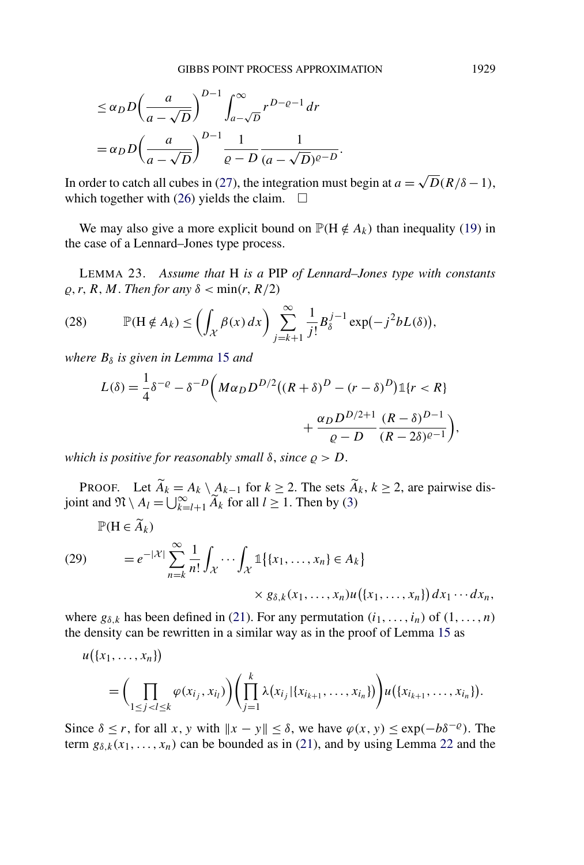$$
\leq \alpha_D D \left( \frac{a}{a - \sqrt{D}} \right)^{D-1} \int_{a - \sqrt{D}}^{\infty} r^{D - \varrho - 1} dr
$$
  
=  $\alpha_D D \left( \frac{a}{a - \sqrt{D}} \right)^{D-1} \frac{1}{\varrho - D} \frac{1}{(a - \sqrt{D})^{\varrho - D}}.$ 

In order to catch all cubes in [\(27\)](#page-17-0), the integration must begin at  $a = \sqrt{D(R/\delta - 1)}$ , which together with [\(26\)](#page-17-0) yields the claim.  $\Box$ 

We may also give a more explicit bound on  $\mathbb{P}(\mathbf{H} \notin A_k)$  than inequality [\(19\)](#page-11-0) in the case of a Lennard–Jones type process.

LEMMA 23. *Assume that* H *is a* PIP *of Lennard–Jones type with constants*  $\rho$ , *r*, *R*, *M*. *Then for any*  $\delta$  < min(*r*, *R*/2)

(28) 
$$
\mathbb{P}(\mathbf{H} \notin A_k) \leq \left( \int_{\mathcal{X}} \beta(x) dx \right) \sum_{j=k+1}^{\infty} \frac{1}{j!} B_{\delta}^{j-1} \exp(-j^2 b L(\delta)),
$$

*where*  $B<sub>δ</sub>$  *is given in Lemma* [15](#page-11-0) *and* 

$$
L(\delta) = \frac{1}{4}\delta^{-\varrho} - \delta^{-D}\bigg(M\alpha_D D^{D/2}((R+\delta)^D - (r-\delta)^D)\mathbb{1}\{r < R\} + \frac{\alpha_D D^{D/2+1}}{\varrho - D}\frac{(R-\delta)^{D-1}}{(R-2\delta)^{\varrho-1}}\bigg),
$$

*which is positive for reasonably small*  $\delta$ *, since*  $\rho > D$ *.* 

PROOF. Let  $\hat{A}_k = A_k \setminus A_{k-1}$  for  $k \geq 2$ . The sets  $\hat{A}_k$ ,  $k \geq 2$ , are pairwise disjoint and  $\mathfrak{N} \setminus A_l = \bigcup_{k=l+1}^{\infty} \widetilde{A}_k$  for all  $l \geq 1$ . Then by [\(3\)](#page-2-0)

$$
\mathbb{P}(\mathbf{H} \in \widetilde{A}_k)
$$
\n
$$
(29) \qquad = e^{-|\mathcal{X}|} \sum_{n=k}^{\infty} \frac{1}{n!} \int_{\mathcal{X}} \cdots \int_{\mathcal{X}} \mathbb{1}\{\{x_1, \dots, x_n\} \in A_k\} \times g_{\delta,k}(x_1, \dots, x_n) u(\{x_1, \dots, x_n\}) dx_1 \cdots dx_n,
$$

where  $g_{\delta,k}$  has been defined in [\(21\)](#page-11-0). For any permutation  $(i_1, \ldots, i_n)$  of  $(1, \ldots, n)$ the density can be rewritten in a similar way as in the proof of Lemma [15](#page-11-0) as

$$
u(\{x_1, \ldots, x_n\})
$$
  
=  $\left(\prod_{1 \leq j < l \leq k} \varphi(x_{i_j}, x_{i_l})\right) \left(\prod_{j=1}^k \lambda(x_{i_j} | \{x_{i_{k+1}}, \ldots, x_{i_n}\})\right) u(\{x_{i_{k+1}}, \ldots, x_{i_n}\}).$ 

Since  $\delta \le r$ , for all *x*, *y* with  $||x - y|| \le \delta$ , we have  $\varphi(x, y) \le \exp(-b\delta^{-\varrho})$ . The term  $g_{\delta,k}(x_1,\ldots,x_n)$  can be bounded as in [\(21\)](#page-11-0), and by using Lemma [22](#page-16-0) and the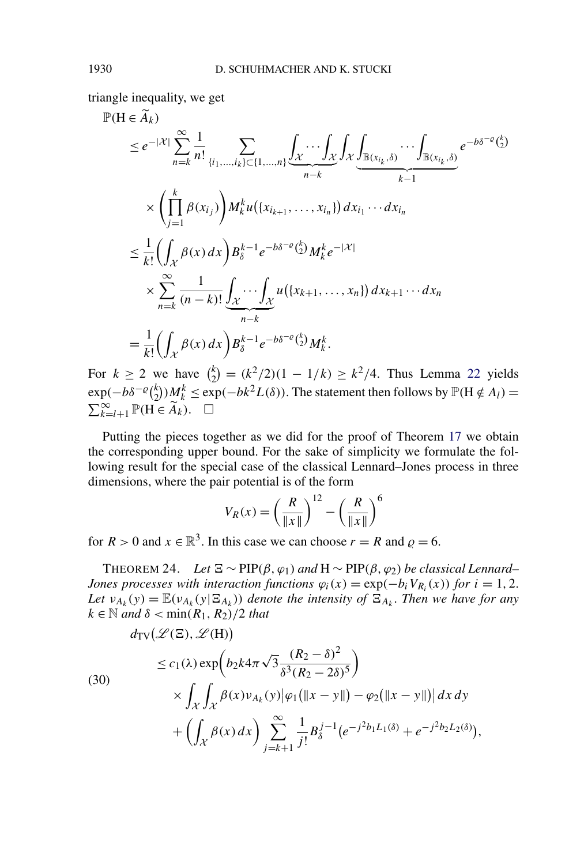triangle inequality, we get

$$
\mathbb{P}(\mathbf{H} \in \widetilde{A}_{k}) \leq e^{-|\mathcal{X}|} \sum_{n=k}^{\infty} \frac{1}{n!} \sum_{\{i_{1},...,i_{k}\} \subset \{1,...,n\}} \int_{\mathcal{X}} \cdots \int_{\mathcal{X}} \int_{\mathcal{X}} \int_{\mathbb{B}(x_{i_{k}},\delta)} \cdots \int_{\mathbb{B}(x_{i_{k}},\delta)} e^{-b\delta^{-\varrho} \binom{k}{2}}
$$
\n
$$
\times \left( \prod_{j=1}^{k} \beta(x_{i_{j}}) \right) M_{k}^{k} u(\{x_{i_{k+1}},...,x_{i_{n}}\}) dx_{i_{1}} \cdots dx_{i_{n}}
$$
\n
$$
\leq \frac{1}{k!} \left( \int_{\mathcal{X}} \beta(x) dx \right) B_{\delta}^{k-1} e^{-b\delta^{-\varrho} \binom{k}{2}} M_{k}^{k} e^{-|\mathcal{X}|}
$$
\n
$$
\times \sum_{n=k}^{\infty} \frac{1}{(n-k)!} \int_{\mathcal{X}} \cdots \int_{\mathcal{X}} u(\{x_{k+1},...,x_{n}\}) dx_{k+1} \cdots dx_{n}
$$
\n
$$
= \frac{1}{k!} \left( \int_{\mathcal{X}} \beta(x) dx \right) B_{\delta}^{k-1} e^{-b\delta^{-\varrho} \binom{k}{2}} M_{k}^{k}.
$$

For  $k \ge 2$  we have  ${k \choose 2} = (k^2/2)(1 - 1/k) \ge k^2/4$ . Thus Lemma [22](#page-16-0) yields  $\exp(-b\delta^{-\varrho} {k \choose 2} M_k^k \leq \exp(-bk^2L(\delta))$ . The statement then follows by  $\mathbb{P}(\mathbf{H} \notin A_l) = \sum_{k=l+1}^{\infty} \mathbb{P}(\mathbf{H} \in \widetilde{A}_k)$ .  $\sum_{k=l+1}^{\infty}$  P(**H** ∈  $\widetilde{A}_k$ ).  $\Box$ 

Putting the pieces together as we did for the proof of Theorem [17](#page-13-0) we obtain the corresponding upper bound. For the sake of simplicity we formulate the following result for the special case of the classical Lennard–Jones process in three dimensions, where the pair potential is of the form

$$
V_R(x) = \left(\frac{R}{\|x\|}\right)^{12} - \left(\frac{R}{\|x\|}\right)^6
$$

for  $R > 0$  and  $x \in \mathbb{R}^3$ . In this case we can choose  $r = R$  and  $\rho = 6$ .

THEOREM 24. *Let*  $\Xi \sim \text{PIP}(\beta, \varphi_1)$  and  $H \sim \text{PIP}(\beta, \varphi_2)$  be classical Lennard– *Jones processes with interaction functions*  $\varphi_i(x) = \exp(-b_i V_{R_i}(x))$  *for*  $i = 1, 2$ . *Let*  $v_{A_k}(y) = \mathbb{E}(v_{A_k}(y|\Xi_{A_k}))$  *denote the intensity of*  $\Xi_{A_k}$ *. Then we have for any*  $k \in \mathbb{N}$  *and*  $\delta < \min(R_1, R_2)/2$  *that* 

(30)  
\n
$$
\leq c_1(\lambda) \exp\left(b_2 k 4\pi \sqrt{3} \frac{(R_2 - \delta)^2}{\delta^3 (R_2 - 2\delta)^5}\right)
$$
\n
$$
\times \int_{\mathcal{X}} \int_{\mathcal{X}} \beta(x) \nu_{A_k}(y) |\varphi_1(\|x - y\|) - \varphi_2(\|x - y\|) | dx dy
$$
\n
$$
+ \left( \int_{\mathcal{X}} \beta(x) dx \right) \sum_{j=k+1}^{\infty} \frac{1}{j!} B_{\delta}^{j-1} (e^{-j^2 b_1 L_1(\delta)} + e^{-j^2 b_2 L_2(\delta)}),
$$

<span id="page-19-0"></span>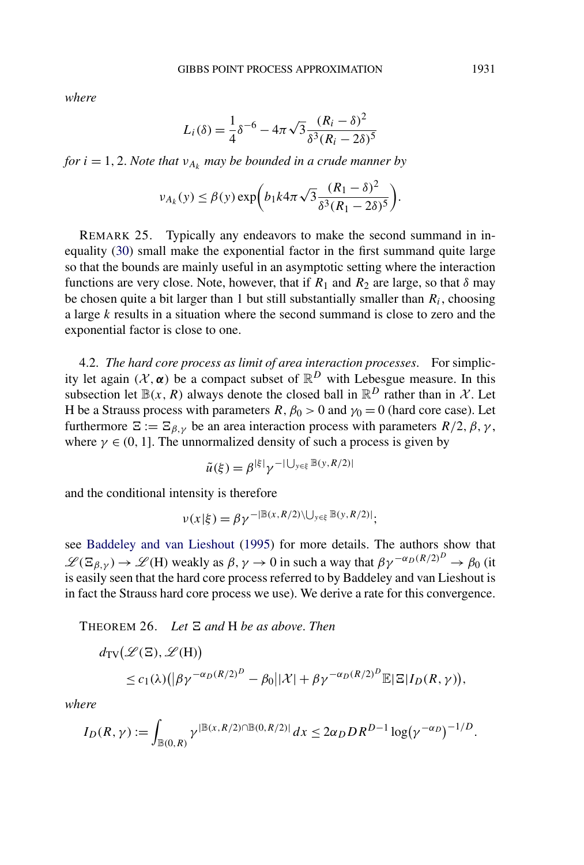*where*

$$
L_i(\delta) = \frac{1}{4}\delta^{-6} - 4\pi\sqrt{3}\frac{(R_i - \delta)^2}{\delta^3 (R_i - 2\delta)^5}
$$

*for*  $i = 1, 2$ *. Note that*  $v_{A_k}$  *may be bounded in a crude manner by* 

$$
\nu_{A_k}(y) \le \beta(y) \exp\bigg(b_1 k 4\pi \sqrt{3} \frac{(R_1 - \delta)^2}{\delta^3 (R_1 - 2\delta)^5}\bigg).
$$

REMARK 25. Typically any endeavors to make the second summand in inequality [\(30\)](#page-19-0) small make the exponential factor in the first summand quite large so that the bounds are mainly useful in an asymptotic setting where the interaction functions are very close. Note, however, that if  $R_1$  and  $R_2$  are large, so that  $\delta$  may be chosen quite a bit larger than 1 but still substantially smaller than *Ri*, choosing a large *k* results in a situation where the second summand is close to zero and the exponential factor is close to one.

4.2. *The hard core process as limit of area interaction processes*. For simplicity let again  $(X, \alpha)$  be a compact subset of  $\mathbb{R}^D$  with Lebesgue measure. In this subsection let  $\mathbb{B}(x, R)$  always denote the closed ball in  $\mathbb{R}^D$  rather than in X. Let H be a Strauss process with parameters  $R, \beta_0 > 0$  and  $\gamma_0 = 0$  (hard core case). Let furthermore  $\Xi := \Xi_{\beta,\gamma}$  be an area interaction process with parameters  $R/2$ ,  $\beta$ ,  $\gamma$ , where  $\gamma \in (0, 1]$ . The unnormalized density of such a process is given by

$$
\tilde{u}(\xi) = \beta^{|\xi|} \gamma^{-|\bigcup_{y \in \xi} \mathbb{B}(y, R/2)|}
$$

and the conditional intensity is therefore

$$
\nu(x|\xi) = \beta \gamma^{-|\mathbb{B}(x,R/2)\setminus \bigcup_{y \in \xi} \mathbb{B}(y,R/2)|};
$$

see [Baddeley and van Lieshout](#page-39-0) [\(1995\)](#page-39-0) for more details. The authors show that  $\mathscr{L}(\Xi_{\beta,\gamma}) \to \mathscr{L}(H)$  weakly as  $\beta, \gamma \to 0$  in such a way that  $\beta \gamma^{-\alpha_D (R/2)^D} \to \beta_0$  (it is easily seen that the hard core process referred to by Baddeley and van Lieshout is in fact the Strauss hard core process we use). We derive a rate for this convergence.

THEOREM 26. Let  $\Xi$  and H be as above. Then

$$
d_{\text{TV}}(\mathcal{L}(\Xi), \mathcal{L}(H))
$$
  
\n
$$
\leq c_1(\lambda) \left( |\beta \gamma^{-\alpha_D(R/2)^D} - \beta_0||\mathcal{X}| + \beta \gamma^{-\alpha_D(R/2)^D} \mathbb{E}|\Xi| I_D(R, \gamma) \right),
$$

*where*

$$
I_D(R,\gamma) := \int_{\mathbb{B}(0,R)} \gamma^{\left| \mathbb{B}(x,R/2) \cap \mathbb{B}(0,R/2) \right|} dx \leq 2\alpha_D D R^{D-1} \log(\gamma^{-\alpha_D})^{-1/D}.
$$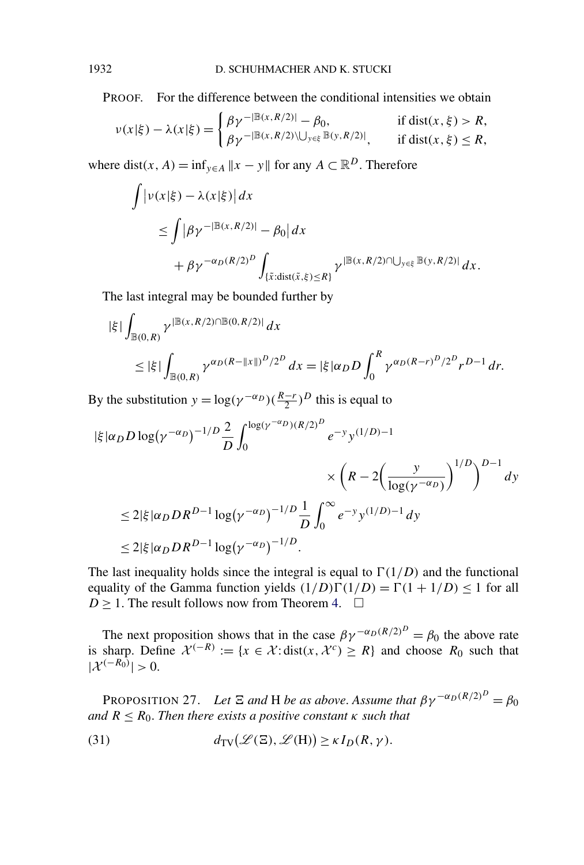PROOF. For the difference between the conditional intensities we obtain

$$
\nu(x|\xi) - \lambda(x|\xi) = \begin{cases} \beta \gamma^{-|\mathbb{B}(x,R/2)|} - \beta_0, & \text{if } \text{dist}(x,\xi) > R, \\ \beta \gamma^{-|\mathbb{B}(x,R/2) \setminus \bigcup_{y \in \xi} \mathbb{B}(y,R/2)|}, & \text{if } \text{dist}(x,\xi) \le R, \end{cases}
$$

where dist(x, A) = inf<sub> $y \in A$ </sub>  $||x - y||$  for any  $A \subset \mathbb{R}^D$ . Therefore

$$
\int \left| \nu(x|\xi) - \lambda(x|\xi) \right| dx
$$
  
\n
$$
\leq \int \left| \beta \gamma^{-|\mathbb{B}(x,R/2)|} - \beta_0 \right| dx
$$
  
\n
$$
+ \beta \gamma^{-\alpha_D(R/2)^D} \int_{\{\tilde{x} : \text{dist}(\tilde{x}, \xi) \leq R\}} \gamma^{|\mathbb{B}(x,R/2) \cap \bigcup_{y \in \xi} \mathbb{B}(y,R/2)|} dx.
$$

The last integral may be bounded further by

$$
\begin{aligned} |\xi| \int_{\mathbb{B}(0,R)} \gamma^{|B(x,R/2) \cap B(0,R/2)|} dx \\ &\leq |\xi| \int_{\mathbb{B}(0,R)} \gamma^{\alpha_D (R - ||x||)^D / 2^D} dx = |\xi| \alpha_D D \int_0^R \gamma^{\alpha_D (R-r)^D / 2^D} r^{D-1} dr. \end{aligned}
$$

By the substitution  $y = \log(\gamma^{-\alpha_D})(\frac{R-r}{2})^D$  this is equal to

$$
\begin{split} |\xi| \alpha_D D \log(\gamma^{-\alpha_D})^{-1/D} & \frac{2}{D} \int_0^{\log(\gamma^{-\alpha_D})(R/2)^D} e^{-y} y^{(1/D)-1} \\ &\times \left( R - 2 \left( \frac{y}{\log(\gamma^{-\alpha_D})} \right)^{1/D} \right)^{D-1} dy \\ &\le 2|\xi| \alpha_D D R^{D-1} \log(\gamma^{-\alpha_D})^{-1/D} \frac{1}{D} \int_0^\infty e^{-y} y^{(1/D)-1} dy \\ &\le 2|\xi| \alpha_D D R^{D-1} \log(\gamma^{-\alpha_D})^{-1/D} . \end{split}
$$

The last inequality holds since the integral is equal to  $\Gamma(1/D)$  and the functional equality of the Gamma function yields  $(1/D)\Gamma(1/D) = \Gamma(1 + 1/D) \le 1$  for all *D*  $\geq$  1. The result follows now from Theorem [4.](#page-6-0)  $\Box$ 

The next proposition shows that in the case  $\beta \gamma^{-\alpha_D (R/2)^D} = \beta_0$  the above rate is sharp. Define  $\mathcal{X}^{(-R)} := \{x \in \mathcal{X} : \text{dist}(x, \mathcal{X}^c) \ge R\}$  and choose  $R_0$  such that  $|\mathcal{X}^{(-R_0)}| > 0.$ 

PROPOSITION 27. Let  $\Xi$  and H be as above. Assume that  $\beta \gamma^{-\alpha_D (R/2)^D} = \beta_0$ *and*  $R \leq R_0$ . *Then there exists a positive constant*  $\kappa$  *such that* 

(31) 
$$
d_{\mathrm{TV}}(\mathscr{L}(\Xi), \mathscr{L}(\mathrm{H})) \geq \kappa I_D(R, \gamma).
$$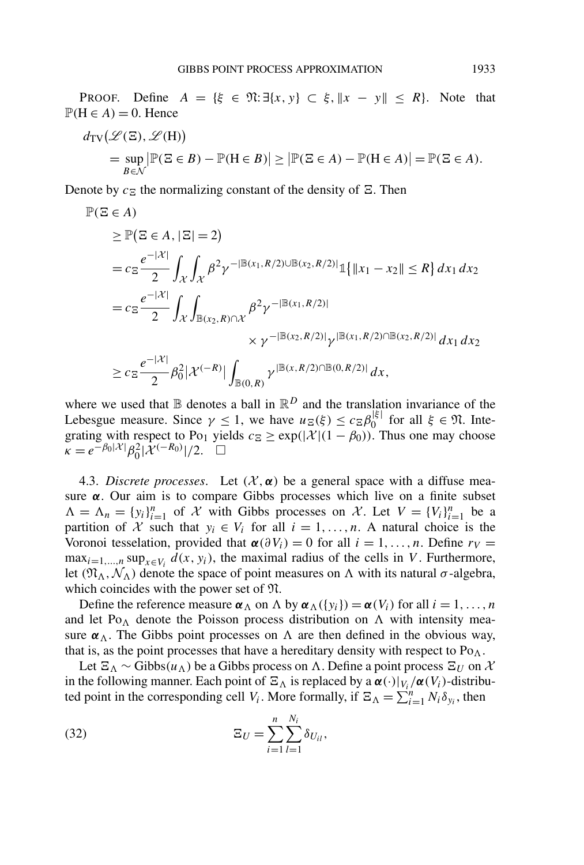<span id="page-22-0"></span>PROOF. Define  $A = \{\xi \in \mathfrak{N} : \exists \{x, y\} \subset \xi, \|x - y\| \le R\}$ . Note that  $P(H \in A) = 0$ . Hence

$$
d_{\text{TV}}(\mathcal{L}(\Xi), \mathcal{L}(H))
$$
  
= 
$$
\sup_{B \in \mathcal{N}} |\mathbb{P}(\Xi \in B) - \mathbb{P}(H \in B)| \ge |\mathbb{P}(\Xi \in A) - \mathbb{P}(H \in A)| = \mathbb{P}(\Xi \in A).
$$

Denote by  $c_{\Xi}$  the normalizing constant of the density of  $\Xi$ . Then

$$
\mathbb{P}(\Xi \in A) \n\geq \mathbb{P}(\Xi \in A, |\Xi| = 2) \n= c_{\Xi} \frac{e^{-|\mathcal{X}|}}{2} \int_{\mathcal{X}} \int_{\mathcal{X}} \beta^{2} \gamma^{-|\mathbb{B}(x_{1}, R/2) \cup \mathbb{B}(x_{2}, R/2)|} \mathbb{1}\{||x_{1} - x_{2}|| \leq R\} dx_{1} dx_{2} \n= c_{\Xi} \frac{e^{-|\mathcal{X}|}}{2} \int_{\mathcal{X}} \int_{\mathbb{B}(x_{2}, R) \cap \mathcal{X}} \beta^{2} \gamma^{-|\mathbb{B}(x_{1}, R/2)|} \n\times \gamma^{-|\mathbb{B}(x_{2}, R/2)|} \gamma^{|\mathbb{B}(x_{1}, R/2) \cap \mathbb{B}(x_{2}, R/2)|} dx_{1} dx_{2} \n\geq c_{\Xi} \frac{e^{-|\mathcal{X}|}}{2} \beta_{0}^{2} |\mathcal{X}^{(-R)}| \int_{\mathbb{B}(0, R)} \gamma^{|\mathbb{B}(x, R/2) \cap \mathbb{B}(0, R/2)|} dx,
$$

where we used that  $\mathbb B$  denotes a ball in  $\mathbb R^D$  and the translation invariance of the Lebesgue measure. Since  $\gamma \le 1$ , we have  $u_{\Sigma}(\xi) \le c_{\Sigma} \beta_0^{|\xi|}$  for all  $\xi \in \mathfrak{N}$ . Integrating with respect to Po<sub>1</sub> yields  $c_{\Xi} \ge \exp(|\mathcal{X}|(1 - \beta_0))$ . Thus one may choose  $\tilde{\kappa} = e^{-\beta_0 |\mathcal{X}|} \beta_0^2 |\mathcal{X}^{(-R_0)}|/2.$ 

4.3. *Discrete processes*. Let  $(X, \alpha)$  be a general space with a diffuse measure *α*. Our aim is to compare Gibbs processes which live on a finite subset  $\Lambda = \Lambda_n = \{y_i\}_{i=1}^n$  of X with Gibbs processes on X. Let  $V = \{V_i\}_{i=1}^n$  be a partition of X such that  $y_i \in V_i$  for all  $i = 1, ..., n$ . A natural choice is the Voronoi tesselation, provided that  $\alpha(\partial V_i) = 0$  for all  $i = 1, \ldots, n$ . Define  $r_V =$ max<sub>*i*=1,...,n</sub> sup<sub> $x \in V_i$ </sub>  $d(x, y_i)$ , the maximal radius of the cells in *V*. Furthermore, let  $(\mathfrak{N}_{\Lambda}, \mathcal{N}_{\Lambda})$  denote the space of point measures on  $\Lambda$  with its natural *σ*-algebra, which coincides with the power set of N.

Define the reference measure  $\alpha_{\Lambda}$  on  $\Lambda$  by  $\alpha_{\Lambda}(\{y_i\}) = \alpha(V_i)$  for all  $i = 1, ..., n$ and let Po<sub> $\Lambda$ </sub> denote the Poisson process distribution on  $\Lambda$  with intensity measure  $\alpha_{\Lambda}$ . The Gibbs point processes on  $\Lambda$  are then defined in the obvious way, that is, as the point processes that have a hereditary density with respect to  $Po<sub>A</sub>$ .

Let  $\Xi_{\Lambda} \sim$  Gibbs $(u_{\Lambda})$  be a Gibbs process on  $\Lambda$ . Define a point process  $\Xi_{U}$  on  $\mathcal{X}$ in the following manner. Each point of  $\Xi_{\Lambda}$  is replaced by a  $\alpha(\cdot)|_{V_i}/\alpha(V_i)$ -distributed point in the corresponding cell *V<sub>i</sub>*. More formally, if  $\Xi_{\Lambda} = \sum_{i=1}^{n} N_i \delta_{y_i}$ , then

(32) 
$$
\Xi_U = \sum_{i=1}^n \sum_{l=1}^{N_i} \delta_{U_{il}},
$$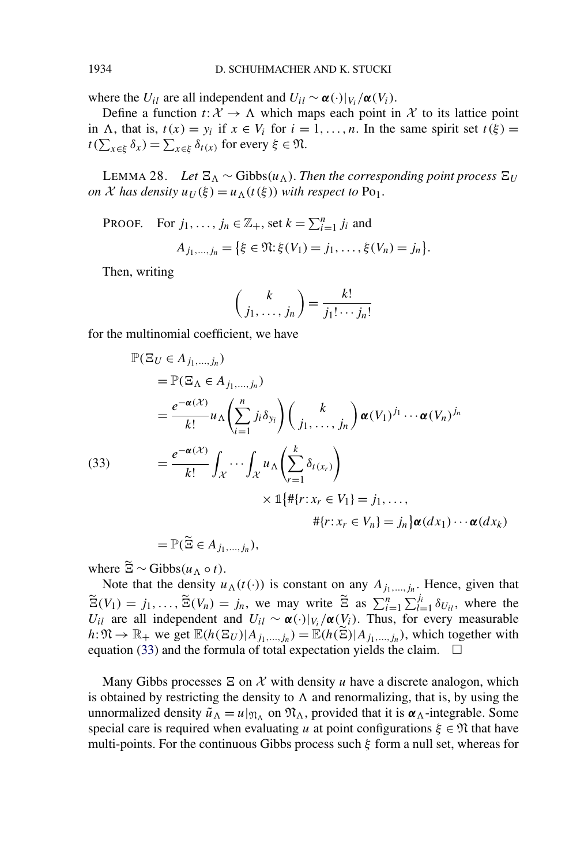where the *U<sub>il</sub>* are all independent and  $U_{il} \sim \alpha(\cdot)|_{V_i}/\alpha(V_i)$ .

Define a function  $t: X \to \Lambda$  which maps each point in X to its lattice point in  $\Lambda$ , that is,  $t(x) = y_i$  if  $x \in V_i$  for  $i = 1, ..., n$ . In the same spirit set  $t(\xi) =$  $t(\sum_{x \in \xi} \delta_x) = \sum_{x \in \xi} \delta_{t(x)}$  for every  $\xi \in \mathfrak{N}$ .

LEMMA 28. *Let*  $\Xi_{\Lambda} \sim$  Gibbs( $u_{\Lambda}$ ). *Then the corresponding point process*  $\Xi_U$ *on X* has density  $u_U(\xi) = u_\Lambda(t(\xi))$  *with respect to* Po<sub>1</sub>.

PROOF. For  $j_1, \ldots, j_n \in \mathbb{Z}_+$ , set  $k = \sum_{i=1}^n j_i$  and  $A_{j_1,...,j_n} = \{ \xi \in \mathfrak{N} : \xi(V_1) = j_1, \ldots, \xi(V_n) = j_n \}.$ 

Then, writing

$$
\binom{k}{j_1,\ldots,j_n} = \frac{k!}{j_1!\cdots j_n!}
$$

for the multinomial coefficient, we have

$$
\mathbb{P}(\Xi_U \in A_{j_1,\dots,j_n})
$$
\n
$$
= \mathbb{P}(\Xi_\Lambda \in A_{j_1,\dots,j_n})
$$
\n
$$
= \frac{e^{-\alpha(X)}}{k!} u_\Lambda \left(\sum_{i=1}^n j_i \delta_{y_i}\right) \left(\frac{k}{j_1,\dots,j_n}\right) \alpha(V_1)^{j_1} \cdots \alpha(V_n)^{j_n}
$$
\n(33)\n
$$
= \frac{e^{-\alpha(X)}}{k!} \int_{\mathcal{X}} \cdots \int_{\mathcal{X}} u_\Lambda \left(\sum_{r=1}^k \delta_{t(x_r)}\right)
$$
\n
$$
\times \mathbb{1}\{\# \{r : x_r \in V_1\} = j_1, \dots, \# \{r : x_r \in V_n\} = j_n\} \alpha(dx_1) \cdots \alpha(dx_k)
$$

 $=$   $\mathbb{P}(\tilde{\Xi} \in A_{j_1,...,j_n}),$ 

where  $\widetilde{\Xi} \sim \text{Gibbs}(u_{\Lambda} \circ t)$ .

Note that the density  $u_{\Lambda}(t(\cdot))$  is constant on any  $A_{j_1,...,j_n}$ . Hence, given that  $\widetilde{\Xi}(V_1) = j_1, \ldots, \widetilde{\Xi}(V_n) = j_n$ , we may write  $\widetilde{\Xi}$  as  $\sum_{i=1}^n \sum_{l=1}^{j_i} \delta_{U_{il}}$ , where the *U<sub>il</sub>* are all independent and  $U_{il} \sim \alpha(\cdot)|_{V_i}/\alpha(V_i)$ . Thus, for every measurable  $h: \mathfrak{N} \to \mathbb{R}_+$  we get  $\mathbb{E}(h(\Xi_U)|A_{j_1,\dots,j_n}) = \mathbb{E}(h(\widetilde{\Xi})|A_{j_1,\dots,j_n})$ , which together with equation (33) and the formula of total expectation yields the claim.  $\Box$ 

Many Gibbs processes  $\Xi$  on  $\mathcal X$  with density *u* have a discrete analogon, which is obtained by restricting the density to  $\Lambda$  and renormalizing, that is, by using the unnormalized density  $\tilde{u}_\Lambda = u|_{\mathfrak{N}_\Lambda}$  on  $\mathfrak{N}_\Lambda$ , provided that it is  $\alpha_\Lambda$ -integrable. Some special care is required when evaluating *u* at point configurations  $\xi \in \mathfrak{N}$  that have multi-points. For the continuous Gibbs process such *ξ* form a null set, whereas for

<span id="page-23-0"></span>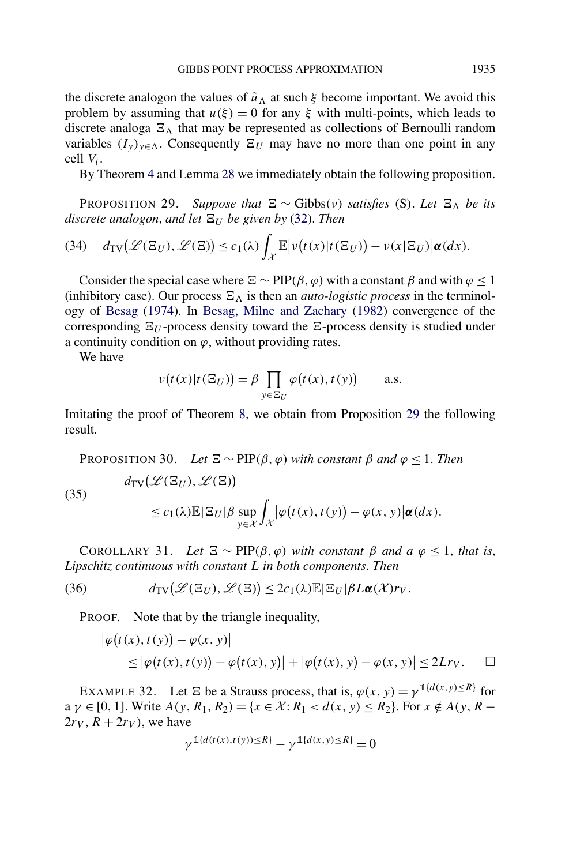<span id="page-24-0"></span>the discrete analogon the values of  $\tilde{u}_\Lambda$  at such  $\xi$  become important. We avoid this problem by assuming that  $u(\xi) = 0$  for any  $\xi$  with multi-points, which leads to discrete analoga  $\Xi_{\Lambda}$  that may be represented as collections of Bernoulli random variables  $(I_y)_{y \in \Lambda}$ . Consequently  $\Xi_U$  may have no more than one point in any cell *Vi*.

By Theorem [4](#page-6-0) and Lemma [28](#page-23-0) we immediately obtain the following proposition.

**PROPOSITION 29.** Suppose that  $\Xi \sim$  Gibbs(v) satisfies (S). Let  $\Xi_{\Lambda}$  be its  $discrete$  analogon, and let  $\Xi_U$  be given by [\(32\)](#page-22-0). Then

(34) 
$$
d_{TV}(\mathscr{L}(\Xi_U), \mathscr{L}(\Xi)) \le c_1(\lambda) \int_{\mathcal{X}} \mathbb{E} |\nu(t(x)|t(\Xi_U)) - \nu(x|\Xi_U)| \alpha(dx).
$$

Consider the special case where  $\Xi \sim \text{PIP}(\beta, \varphi)$  with a constant  $\beta$  and with  $\varphi \leq 1$ (inhibitory case). Our process  $\Xi_{\Lambda}$  is then an *auto-logistic process* in the terminology of [Besag](#page-39-0) [\(1974\)](#page-39-0). In [Besag, Milne and Zachary](#page-39-0) [\(1982\)](#page-39-0) convergence of the corresponding  $\Xi_U$ -process density toward the  $\Xi$ -process density is studied under a continuity condition on  $\varphi$ , without providing rates.

We have

 $\overline{\phantom{a}}$ 

$$
\nu(t(x)|t(\Xi_U)) = \beta \prod_{y \in \Xi_U} \varphi(t(x), t(y)) \quad \text{a.s.}
$$

Imitating the proof of Theorem [8,](#page-8-0) we obtain from Proposition 29 the following result.

PROPOSITION 30. *Let*  $\Xi \sim \text{PIP}(\beta, \varphi)$  *with constant*  $\beta$  *and*  $\varphi \leq 1$ *. Then*  $d_{\text{TV}}(\mathscr{L}(\Xi_U), \mathscr{L}(\Xi))$ (35)  $\leq c_1(\lambda) \mathbb{E} |\mathbf{\Xi}_U| \beta \sup$ *y*∈X  $\overline{\phantom{a}}$  $\lambda$  $|\varphi(t(x), t(y)) - \varphi(x, y)|\alpha(dx).$ 

COROLLARY 31. *Let*  $\Xi \sim \text{PIP}(\beta, \varphi)$  *with constant*  $\beta$  *and*  $a \varphi \leq 1$ *, that is, Lipschitz continuous with constant L in both components*. *Then*

(36) 
$$
d_{\text{TV}}(\mathscr{L}(\Xi_U), \mathscr{L}(\Xi)) \leq 2c_1(\lambda) \mathbb{E} |\Xi_U| \beta L \alpha(\mathscr{X}) r_V.
$$

PROOF. Note that by the triangle inequality,

$$
\begin{aligned} \left| \varphi\big(t(x), t(y)\big) - \varphi(x, y) \right| \\ &\leq \left| \varphi\big(t(x), t(y)\big) - \varphi\big(t(x), y\big) \right| + \left| \varphi\big(t(x), y\big) - \varphi(x, y) \right| \leq 2Lr_V. \end{aligned} \quad \Box
$$

EXAMPLE 32. Let  $\Xi$  be a Strauss process, that is,  $\varphi(x, y) = \gamma^{\mathbb{1}{d(x,y) \leq R}}$  for  $a \gamma \in [0, 1]$ . Write  $A(y, R_1, R_2) = \{x \in \mathcal{X} : R_1 < d(x, y) \leq R_2\}$ . For  $x \notin A(y, R - 1)$ .  $2r_V$ ,  $R + 2r_V$ ), we have

$$
\gamma^{\mathbb{1}{d(t(x),t(y))\leq R}} - \gamma^{\mathbb{1}{d(x,y)\leq R}} = 0
$$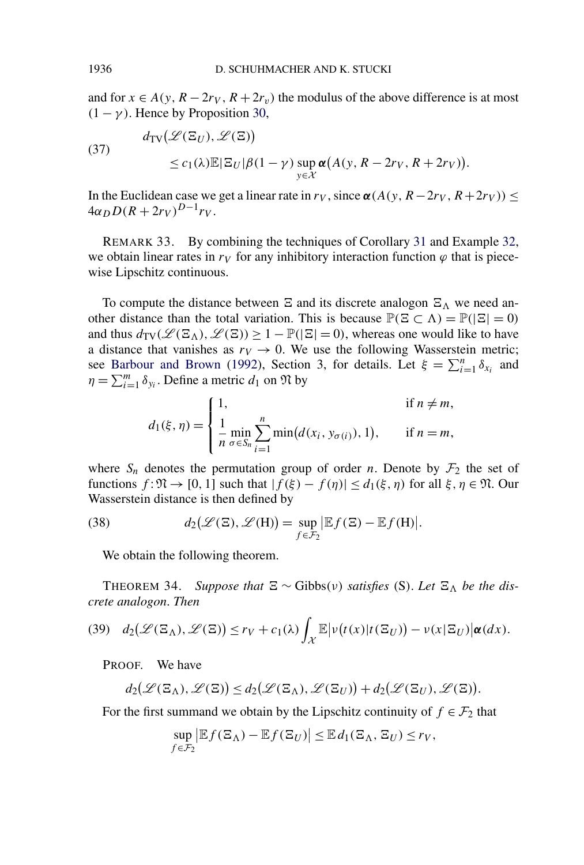and for  $x \in A(y, R - 2r_V, R + 2r_v)$  the modulus of the above difference is at most  $(1 - \gamma)$ . Hence by Proposition [30,](#page-24-0)

(37)  

$$
d_{TV}(\mathcal{L}(\Xi_U), \mathcal{L}(\Xi))
$$

$$
\leq c_1(\lambda) \mathbb{E}|\Xi_U|\beta(1-\gamma) \sup_{y \in \mathcal{X}} \alpha(A(y, R - 2r_V, R + 2r_V)).
$$

In the Euclidean case we get a linear rate in  $r_V$ , since  $\alpha(A(y, R-2r_V, R+2r_V)) \le$  $4\alpha_D D(R+2r_V)^{D-1}r_V$ .

REMARK 33. By combining the techniques of Corollary [31](#page-24-0) and Example [32,](#page-24-0) we obtain linear rates in  $r<sub>V</sub>$  for any inhibitory interaction function  $\varphi$  that is piecewise Lipschitz continuous.

To compute the distance between  $\Xi$  and its discrete analogon  $\Xi_{\Lambda}$  we need another distance than the total variation. This is because  $\mathbb{P}(\Xi \subset \Lambda) = \mathbb{P}(|\Xi| = 0)$ and thus  $d_{TV}(\mathcal{L}(\Xi_\Lambda), \mathcal{L}(\Xi)) \geq 1 - \mathbb{P}(|\Xi| = 0)$ , whereas one would like to have a distance that vanishes as  $r_V \rightarrow 0$ . We use the following Wasserstein metric; see [Barbour and Brown](#page-39-0) [\(1992\)](#page-39-0), Section 3, for details. Let  $\xi = \sum_{i=1}^{n} \delta_{x_i}$  and  $\eta = \sum_{i=1}^{m} \delta_{y_i}$ . Define a metric  $d_1$  on  $\Re$  by

$$
d_1(\xi, \eta) = \begin{cases} 1, & \text{if } n \neq m, \\ \frac{1}{n} \min_{\sigma \in S_n} \sum_{i=1}^n \min(d(x_i, y_{\sigma(i)}), 1), & \text{if } n = m, \end{cases}
$$

where  $S_n$  denotes the permutation group of order *n*. Denote by  $\mathcal{F}_2$  the set of functions  $f: \mathfrak{N} \to [0, 1]$  such that  $|f(\xi) - f(\eta)| \leq d_1(\xi, \eta)$  for all  $\xi, \eta \in \mathfrak{N}$ . Our Wasserstein distance is then defined by

(38) 
$$
d_2(\mathscr{L}(\Xi), \mathscr{L}(\mathrm{H})) = \sup_{f \in \mathcal{F}_2} |\mathbb{E}f(\Xi) - \mathbb{E}f(\mathrm{H})|.
$$

We obtain the following theorem.

THEOREM 34. *Suppose that*  $\Xi \sim$  Gibbs(*v*) *satisfies* (S). Let  $\Xi_{\Lambda}$  be the dis*crete analogon*. *Then*

(39) 
$$
d_2(\mathscr{L}(\Xi_\Lambda), \mathscr{L}(\Xi)) \le r_V + c_1(\lambda) \int_{\mathcal{X}} \mathbb{E} |\nu(t(x)|t(\Xi_U)) - \nu(x|\Xi_U)| \alpha(dx).
$$

PROOF. We have

$$
d_2(\mathcal{L}(\Xi_\Lambda),\mathcal{L}(\Xi))\leq d_2(\mathcal{L}(\Xi_\Lambda),\mathcal{L}(\Xi_U))+d_2(\mathcal{L}(\Xi_U),\mathcal{L}(\Xi)).
$$

For the first summand we obtain by the Lipschitz continuity of  $f \in \mathcal{F}_2$  that

$$
\sup_{f \in \mathcal{F}_2} |\mathbb{E} f(\Xi_\Lambda) - \mathbb{E} f(\Xi_U)| \leq \mathbb{E} d_1(\Xi_\Lambda, \Xi_U) \leq r_V,
$$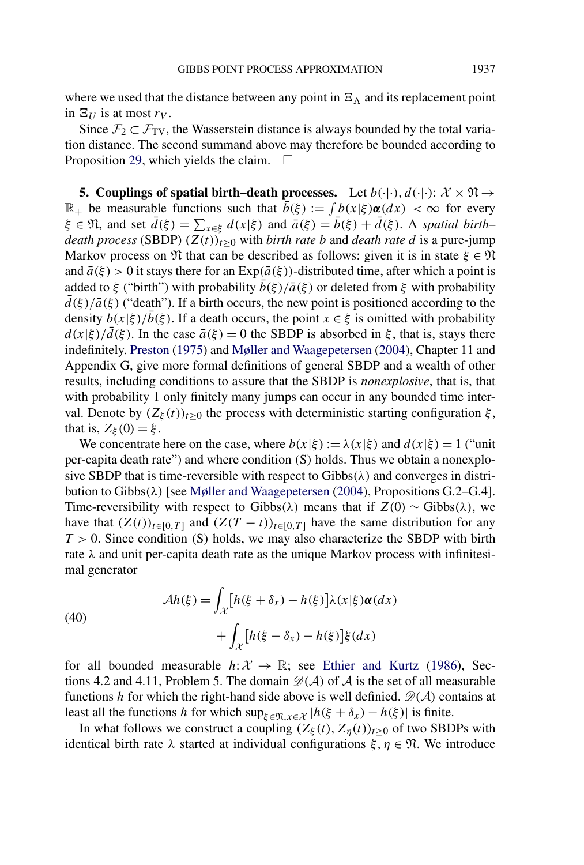<span id="page-26-0"></span>where we used that the distance between any point in  $\Xi_{\Lambda}$  and its replacement point in  $\Xi_U$  is at most  $r_V$ .

Since  $\mathcal{F}_2 \subset \mathcal{F}_{TV}$ , the Wasserstein distance is always bounded by the total variation distance. The second summand above may therefore be bounded according to Proposition [29,](#page-24-0) which yields the claim.  $\Box$ 

**5. Couplings of spatial birth–death processes.** Let  $b(\cdot|\cdot), d(\cdot|\cdot): \mathcal{X} \times \mathfrak{N} \rightarrow$  $\mathbb{R}_+$  be measurable functions such that  $\bar{b}(\xi) := \int b(x|\xi) \alpha(dx) < \infty$  for every  $\xi \in \mathfrak{N}$ , and set  $\bar{d}(\xi) = \sum_{x \in \xi} d(x|\xi)$  and  $\bar{a}(\xi) = \bar{b}(\xi) + \bar{d}(\xi)$ . A *spatial birth– death process* (SBDP)  $(Z(t))_{t>0}$  with *birth rate b* and *death rate d* is a pure-jump Markov process on  $\mathfrak N$  that can be described as follows: given it is in state  $\xi \in \mathfrak N$ and  $\bar{a}(\xi) > 0$  it stays there for an  $Exp(\bar{a}(\xi))$ -distributed time, after which a point is added to  $\xi$  ("birth") with probability  $b(\xi)/\bar{a}(\xi)$  or deleted from  $\xi$  with probability  $d(\xi)/\bar{a}(\xi)$  ("death"). If a birth occurs, the new point is positioned according to the density  $b(x|\xi)/\overline{b}(\xi)$ . If a death occurs, the point  $x \in \xi$  is omitted with probability  $d(x|\xi)/\bar{d}(\xi)$ . In the case  $\bar{a}(\xi) = 0$  the SBDP is absorbed in  $\xi$ , that is, stays there indefinitely. [Preston](#page-39-0) [\(1975\)](#page-39-0) and [Møller and Waagepetersen](#page-39-0) [\(2004\)](#page-39-0), Chapter 11 and Appendix G, give more formal definitions of general SBDP and a wealth of other results, including conditions to assure that the SBDP is *nonexplosive*, that is, that with probability 1 only finitely many jumps can occur in any bounded time interval. Denote by  $(Z_{\xi}(t))_{t\geq0}$  the process with deterministic starting configuration  $\xi$ , that is,  $Z_{\xi}(0) = \xi$ .

We concentrate here on the case, where  $b(x|\xi) := \lambda(x|\xi)$  and  $d(x|\xi) = 1$  ("unit per-capita death rate") and where condition *(*S*)* holds. Thus we obtain a nonexplosive SBDP that is time-reversible with respect to Gibbs*(λ)* and converges in distribution to Gibbs*(λ)* [see [Møller and Waagepetersen](#page-39-0) [\(2004\)](#page-39-0), Propositions G.2–G.4]. Time-reversibility with respect to Gibbs( $\lambda$ ) means that if  $Z(0) \sim$  Gibbs( $\lambda$ ), we have that  $(Z(t))_{t\in[0,T]}$  and  $(Z(T-t))_{t\in[0,T]}$  have the same distribution for any *T >* 0. Since condition *(*S*)* holds, we may also characterize the SBDP with birth rate *λ* and unit per-capita death rate as the unique Markov process with infinitesimal generator

(40)  

$$
\mathcal{A}h(\xi) = \int_{\mathcal{X}} \left[ h(\xi + \delta_x) - h(\xi) \right] \lambda(x|\xi) \alpha(dx) + \int_{\mathcal{X}} \left[ h(\xi - \delta_x) - h(\xi) \right] \xi(dx)
$$

for all bounded measurable  $h: \mathcal{X} \to \mathbb{R}$ ; see [Ethier and Kurtz](#page-39-0) [\(1986\)](#page-39-0), Sections 4.2 and 4.11, Problem 5. The domain  $\mathcal{D}(\mathcal{A})$  of  $\mathcal{A}$  is the set of all measurable functions *h* for which the right-hand side above is well definied.  $\mathcal{D}(\mathcal{A})$  contains at least all the functions *h* for which  $\sup_{\xi \in \mathfrak{N}, x \in \mathcal{X}} |h(\xi + \delta_x) - h(\xi)|$  is finite.

In what follows we construct a coupling  $(Z_{\xi}(t), Z_{\eta}(t))_{t\geq0}$  of two SBDPs with identical birth rate  $\lambda$  started at individual configurations  $\xi, \eta \in \mathfrak{N}$ . We introduce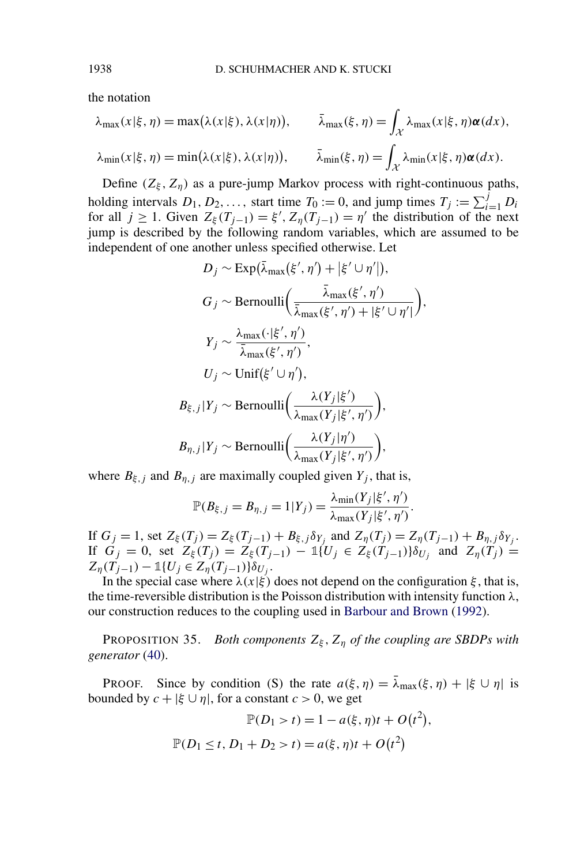the notation

$$
\lambda_{\max}(x|\xi,\eta) = \max(\lambda(x|\xi),\lambda(x|\eta)), \qquad \bar{\lambda}_{\max}(\xi,\eta) = \int_{\mathcal{X}} \lambda_{\max}(x|\xi,\eta) \alpha(dx),
$$

$$
\lambda_{\min}(x|\xi,\eta) = \min(\lambda(x|\xi),\lambda(x|\eta)), \qquad \bar{\lambda}_{\min}(\xi,\eta) = \int_{\mathcal{X}} \lambda_{\min}(x|\xi,\eta) \alpha(dx).
$$

Define  $(Z_{\xi}, Z_{\eta})$  as a pure-jump Markov process with right-continuous paths, holding intervals  $D_1, D_2, \ldots$ , start time  $T_0 := 0$ , and jump times  $T_j := \sum_{i=1}^j D_i$ for all  $j \ge 1$ . Given  $Z_{\xi}(T_{j-1}) = \xi'$ ,  $Z_{\eta}(T_{j-1}) = \eta'$  the distribution of the next jump is described by the following random variables, which are assumed to be independent of one another unless specified otherwise. Let

$$
D_j \sim \text{Exp}(\bar{\lambda}_{\max}(\xi', \eta') + |\xi' \cup \eta'|),
$$
  
\n
$$
G_j \sim \text{Bernoulli}\left(\frac{\bar{\lambda}_{\max}(\xi', \eta')}{\bar{\lambda}_{\max}(\xi', \eta') + |\xi' \cup \eta'|}\right)
$$
  
\n
$$
Y_j \sim \frac{\lambda_{\max}(\cdot|\xi', \eta')}{\bar{\lambda}_{\max}(\xi', \eta')},
$$
  
\n
$$
U_j \sim \text{Unif}(\xi' \cup \eta'),
$$
  
\n
$$
B_{\xi, j}|Y_j \sim \text{Bernoulli}\left(\frac{\lambda(Y_j|\xi')}{\lambda_{\max}(Y_j|\xi', \eta')}\right),
$$
  
\n
$$
B_{\eta, j}|Y_j \sim \text{Bernoulli}\left(\frac{\lambda(Y_j|\eta')}{\lambda_{\max}(Y_j|\xi', \eta')}\right),
$$

*,*

where  $B_{\xi, j}$  and  $B_{\eta, j}$  are maximally coupled given  $Y_j$ , that is,

$$
\mathbb{P}(B_{\xi,j}=B_{\eta,j}=1|Y_j)=\frac{\lambda_{\min}(Y_j|\xi',\eta')}{\lambda_{\max}(Y_j|\xi',\eta')}.
$$

If  $G_j = 1$ , set  $Z_\xi(T_j) = Z_\xi(T_{j-1}) + B_{\xi,j} \delta_{Y_j}$  and  $Z_\eta(T_j) = Z_\eta(T_{j-1}) + B_{\eta,j} \delta_{Y_j}$ . If  $G_j = 0$ , set  $Z'_\xi(T_j) = Z'_\xi(T_{j-1}) - 1$   $(U_j \in Z'_\xi(T_{j-1})$   $S'_{U_j}$  and  $Z_\eta(T_j) = 0$  $Z_{\eta}(T_{j-1}) - \mathbb{1}\{U_j \in Z_{\eta}(T_{j-1})\}\delta_{U_j}.$ 

In the special case where  $\lambda(x|\xi)$  does not depend on the configuration  $\xi$ , that is, the time-reversible distribution is the Poisson distribution with intensity function *λ*, our construction reduces to the coupling used in [Barbour and Brown](#page-39-0) [\(1992\)](#page-39-0).

PROPOSITION 35. *Both components Zξ , Zη of the coupling are SBDPs with generator* [\(40\)](#page-26-0).

**PROOF.** Since by condition *(S)* the rate  $a(\xi, \eta) = \bar{\lambda}_{max}(\xi, \eta) + |\xi \cup \eta|$  is bounded by  $c + |\xi \cup \eta|$ , for a constant  $c > 0$ , we get

$$
\mathbb{P}(D_1 > t) = 1 - a(\xi, \eta)t + O(t^2),
$$
  

$$
\mathbb{P}(D_1 \le t, D_1 + D_2 > t) = a(\xi, \eta)t + O(t^2)
$$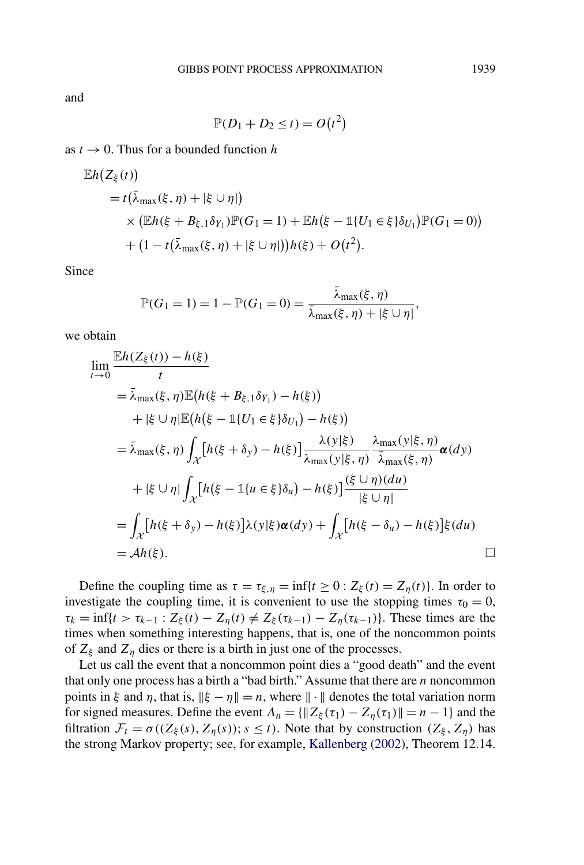and

$$
\mathbb{P}(D_1 + D_2 \le t) = O(t^2)
$$

as  $t \to 0$ . Thus for a bounded function h

$$
\mathbb{E}h(Z_{\xi}(t))
$$
  
=  $t(\bar{\lambda}_{\max}(\xi, \eta) + |\xi \cup \eta|)$   
×  $(\mathbb{E}h(\xi + B_{\xi,1}\delta_{Y_1})\mathbb{P}(G_1 = 1) + \mathbb{E}h(\xi - \mathbb{1}\{U_1 \in \xi\}\delta_{U_1})\mathbb{P}(G_1 = 0))$   
+  $(1 - t(\bar{\lambda}_{\max}(\xi, \eta) + |\xi \cup \eta|))h(\xi) + O(t^2).$ 

Since

$$
\mathbb{P}(G_1 = 1) = 1 - \mathbb{P}(G_1 = 0) = \frac{\bar{\lambda}_{\max}(\xi, \eta)}{\bar{\lambda}_{\max}(\xi, \eta) + |\xi \cup \eta|},
$$

we obtain

$$
\lim_{t \to 0} \frac{\mathbb{E}h(Z_{\xi}(t)) - h(\xi)}{t}
$$
\n
$$
= \bar{\lambda}_{\max}(\xi, \eta) \mathbb{E}\big(h(\xi + B_{\xi,1}\delta_{Y_1}) - h(\xi)\big)
$$
\n
$$
+ |\xi \cup \eta| \mathbb{E}\big(h(\xi - \mathbb{1}\{U_1 \in \xi\} \delta_{U_1}) - h(\xi)\big)
$$
\n
$$
= \bar{\lambda}_{\max}(\xi, \eta) \int_{\mathcal{X}} \big[h(\xi + \delta_{y}) - h(\xi)\big] \frac{\lambda(y|\xi)}{\lambda_{\max}(y|\xi, \eta)} \frac{\lambda_{\max}(y|\xi, \eta)}{\bar{\lambda}_{\max}(\xi, \eta)} \alpha(dy)
$$
\n
$$
+ |\xi \cup \eta| \int_{\mathcal{X}} \big[h(\xi - \mathbb{1}\{u \in \xi\} \delta_{u}) - h(\xi)\big] \frac{(\xi \cup \eta)(du)}{|\xi \cup \eta|}
$$
\n
$$
= \int_{\mathcal{X}} \big[h(\xi + \delta_{y}) - h(\xi)\big] \lambda(y|\xi) \alpha(dy) + \int_{\mathcal{X}} \big[h(\xi - \delta_{u}) - h(\xi)\big] \xi(du)
$$
\n
$$
= Ah(\xi).
$$

Define the coupling time as  $\tau = \tau_{\xi, \eta} = \inf\{t \ge 0 : Z_{\xi}(t) = Z_{\eta}(t)\}\)$ . In order to investigate the coupling time, it is convenient to use the stopping times  $\tau_0 = 0$ ,  $\tau_k = \inf\{t > \tau_{k-1} : Z_{\xi}(t) - Z_{\eta}(t) \neq Z_{\xi}(\tau_{k-1}) - Z_{\eta}(\tau_{k-1})\}$ . These times are the times when something interesting happens, that is, one of the noncommon points of  $Z_{\xi}$  and  $Z_{\eta}$  dies or there is a birth in just one of the processes.

Let us call the event that a noncommon point dies a "good death" and the event that only one process has a birth a "bad birth." Assume that there are *n* noncommon points in *ξ* and *η*, that is,  $\|\xi - \eta\| = n$ , where  $\|\cdot\|$  denotes the total variation norm for signed measures. Define the event  $A_n = \{ ||Z_\xi(\tau_1) - Z_n(\tau_1)|| = n - 1 \}$  and the filtration  $\mathcal{F}_t = \sigma((Z_\xi(s), Z_\eta(s)); s \le t)$ . Note that by construction  $(Z_\xi, Z_\eta)$  has the strong Markov property; see, for example, [Kallenberg](#page-39-0) [\(2002\)](#page-39-0), Theorem 12.14.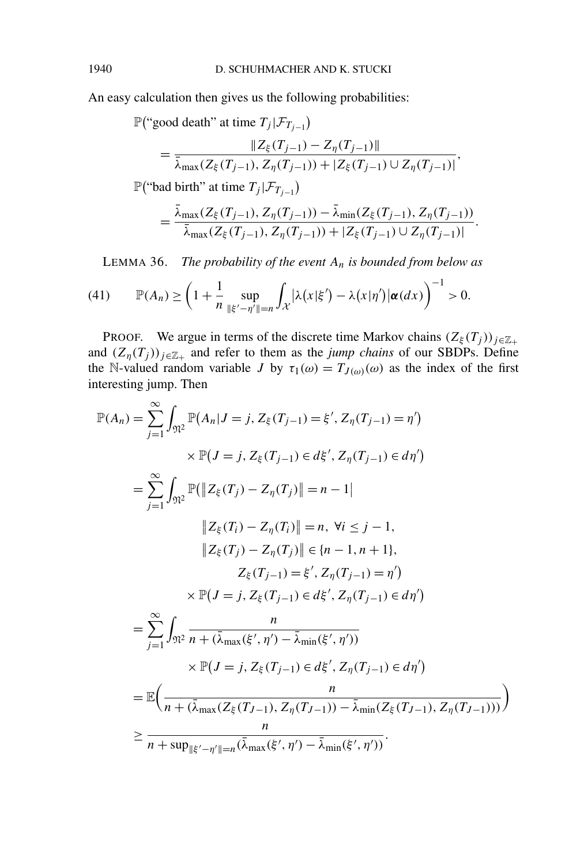<span id="page-29-0"></span>An easy calculation then gives us the following probabilities:

$$
\mathbb{P}(\text{``good death'' at time } T_j | \mathcal{F}_{T_{j-1}})
$$
\n
$$
= \frac{\|Z_{\xi}(T_{j-1}) - Z_{\eta}(T_{j-1})\|}{\bar{\lambda}_{\max}(Z_{\xi}(T_{j-1}), Z_{\eta}(T_{j-1})) + |Z_{\xi}(T_{j-1}) \cup Z_{\eta}(T_{j-1})|},
$$
\n
$$
\mathbb{P}(\text{``bad birth'' at time } T_j | \mathcal{F}_{T_{j-1}})
$$

$$
= \frac{\bar{\lambda}_{\max}(Z_{\xi}(T_{j-1}), Z_{\eta}(T_{j-1})) - \bar{\lambda}_{\min}(Z_{\xi}(T_{j-1}), Z_{\eta}(T_{j-1}))}{\bar{\lambda}_{\max}(Z_{\xi}(T_{j-1}), Z_{\eta}(T_{j-1})) + |Z_{\xi}(T_{j-1}) \cup Z_{\eta}(T_{j-1})|}.
$$

LEMMA 36. *The probability of the event An is bounded from below as*

(41) 
$$
\mathbb{P}(A_n) \ge \left(1 + \frac{1}{n} \sup_{\|\xi' - \eta'\| = n} \int_{\mathcal{X}} |\lambda(x|\xi') - \lambda(x|\eta')| \alpha(dx)\right)^{-1} > 0.
$$

PROOF. We argue in terms of the discrete time Markov chains  $(Z_{\xi}(T_j))_{j\in\mathbb{Z}_+}$ and  $(Z_{\eta}(T_j))_{j\in\mathbb{Z}_+}$  and refer to them as the *jump chains* of our SBDPs. Define the N-valued random variable *J* by  $\tau_1(\omega) = T_{J(\omega)}(\omega)$  as the index of the first interesting jump. Then

$$
\mathbb{P}(A_n) = \sum_{j=1}^{\infty} \int_{\mathfrak{N}^2} \mathbb{P}(A_n | J = j, Z_{\xi}(T_{j-1}) = \xi', Z_{\eta}(T_{j-1}) = \eta')
$$
\n
$$
\times \mathbb{P}(J = j, Z_{\xi}(T_{j-1}) \in d\xi', Z_{\eta}(T_{j-1}) \in d\eta')
$$
\n
$$
= \sum_{j=1}^{\infty} \int_{\mathfrak{N}^2} \mathbb{P}(\|Z_{\xi}(T_j) - Z_{\eta}(T_j)\| = n - 1|
$$
\n
$$
\|Z_{\xi}(T_i) - Z_{\eta}(T_i)\| = n, \forall i \leq j - 1,
$$
\n
$$
\|Z_{\xi}(T_j) - Z_{\eta}(T_j)\| \in \{n - 1, n + 1\},
$$
\n
$$
Z_{\xi}(T_{j-1}) = \xi', Z_{\eta}(T_{j-1}) = \eta')
$$
\n
$$
\times \mathbb{P}(J = j, Z_{\xi}(T_{j-1}) \in d\xi', Z_{\eta}(T_{j-1}) \in d\eta')
$$
\n
$$
= \sum_{j=1}^{\infty} \int_{\mathfrak{N}^2} \frac{n}{n + (\bar{\lambda}_{\max}(\xi', \eta') - \bar{\lambda}_{\min}(\xi', \eta'))}
$$
\n
$$
\times \mathbb{P}(J = j, Z_{\xi}(T_{j-1}) \in d\xi', Z_{\eta}(T_{j-1}) \in d\eta')
$$
\n
$$
= \mathbb{E}\left(\frac{n}{n + (\bar{\lambda}_{\max}(Z_{\xi}(T_{j-1}), Z_{\eta}(T_{j-1})) - \bar{\lambda}_{\min}(Z_{\xi}(T_{j-1}), Z_{\eta}(T_{j-1})))}{n}\right)
$$
\n
$$
\geq \frac{n}{n + \sup_{\|\xi' - \eta'\| = n} (\bar{\lambda}_{\max}(\xi', \eta') - \bar{\lambda}_{\min}(\xi', \eta'))}.
$$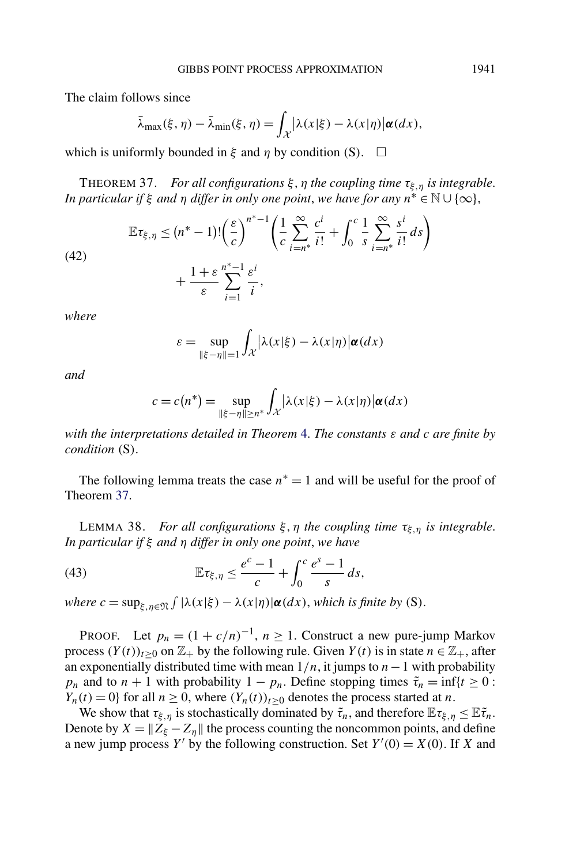<span id="page-30-0"></span>The claim follows since

$$
\bar{\lambda}_{\max}(\xi,\eta) - \bar{\lambda}_{\min}(\xi,\eta) = \int_{\mathcal{X}} |\lambda(x|\xi) - \lambda(x|\eta)| \alpha(dx),
$$

which is uniformly bounded in  $\xi$  and  $\eta$  by condition *(S)*.  $\Box$ 

THEOREM 37. *For all configurations ξ,η the coupling time τξ,η is integrable*. *In particular if*  $\xi$  *and*  $\eta$  *differ in only one point, we have for any*  $n^* \in \mathbb{N} \cup \{\infty\}$ ,

(42)  

$$
\mathbb{E}\tau_{\xi,\eta} \leq (n^* - 1)!\left(\frac{\varepsilon}{c}\right)^{n^*-1}\left(\frac{1}{c}\sum_{i=n^*}^{\infty}\frac{c^i}{i!} + \int_0^c \frac{1}{s}\sum_{i=n^*}^{\infty}\frac{s^i}{i!}ds\right) + \frac{1+\varepsilon}{\varepsilon}\sum_{i=1}^{n^*-1}\frac{\varepsilon^i}{i},
$$

*where*

$$
\varepsilon = \sup_{\|\xi - \eta\| = 1} \int_{\mathcal{X}} |\lambda(x|\xi) - \lambda(x|\eta)| \alpha(dx)
$$

*and*

$$
c = c(n^*) = \sup_{\|\xi - \eta\| \ge n^*} \int_{\mathcal{X}} |\lambda(x|\xi) - \lambda(x|\eta)| \alpha(dx)
$$

*with the interpretations detailed in Theorem* [4.](#page-6-0) *The constants ε and c are finite by condition (*S*)*.

The following lemma treats the case  $n<sup>*</sup> = 1$  and will be useful for the proof of Theorem 37.

LEMMA 38. *For all configurations ξ,η the coupling time τξ,η is integrable*. *In particular if ξ and η differ in only one point*, *we have*

(43) 
$$
\mathbb{E}\tau_{\xi,\eta} \leq \frac{e^c-1}{c} + \int_0^c \frac{e^s-1}{s} ds,
$$

*where*  $c = \sup_{\xi, \eta \in \mathfrak{N}} \int |\lambda(x|\xi) - \lambda(x|\eta)| \alpha(dx)$ , *which is finite by (S)*.

PROOF. Let  $p_n = (1 + c/n)^{-1}$ ,  $n \ge 1$ . Construct a new pure-jump Markov process  $(Y(t))_{t>0}$  on  $\mathbb{Z}_+$  by the following rule. Given  $Y(t)$  is in state  $n \in \mathbb{Z}_+$ , after an exponentially distributed time with mean 1*/n*, it jumps to *n*−1 with probability *p<sub>n</sub>* and to  $n + 1$  with probability  $1 - p_n$ . Define stopping times  $\tilde{\tau}_n = \inf\{t \geq 0$ : *Y<sub>n</sub>*(*t*) = 0} for all  $n \ge 0$ , where  $(Y_n(t))_{t \ge 0}$  denotes the process started at *n*.

We show that  $\tau_{\xi,\eta}$  is stochastically dominated by  $\tilde{\tau}_n$ , and therefore  $\mathbb{E} \tau_{\xi,\eta} \leq \mathbb{E} \tilde{\tau}_n$ . Denote by  $X = \|Z_{\xi} - Z_{\eta}\|$  the process counting the noncommon points, and define a new jump process *Y'* by the following construction. Set  $Y'(0) = X(0)$ . If *X* and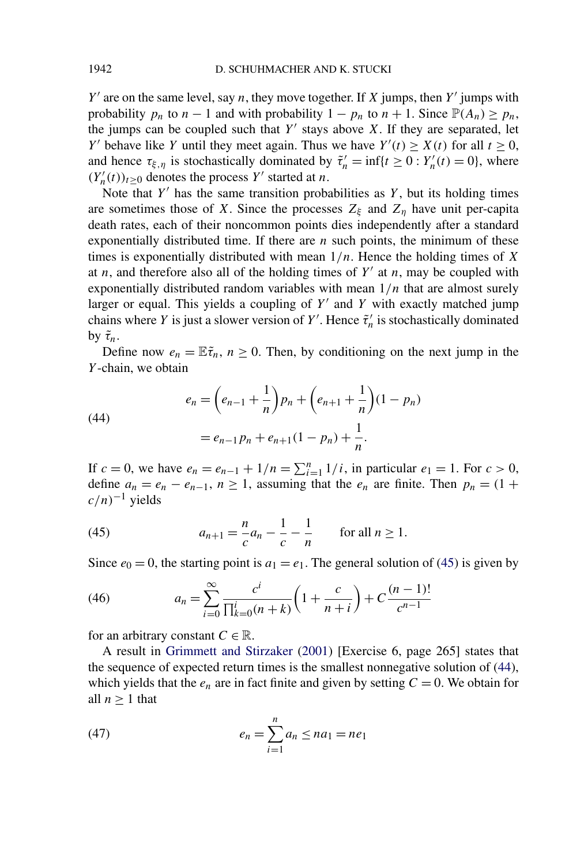$Y'$  are on the same level, say *n*, they move together. If *X* jumps, then  $Y'$  jumps with probability  $p_n$  to  $n-1$  and with probability  $1 - p_n$  to  $n + 1$ . Since  $\mathbb{P}(A_n) \geq p_n$ , the jumps can be coupled such that  $Y'$  stays above  $X$ . If they are separated, let *Y* behave like *Y* until they meet again. Thus we have  $Y'(t) \ge X(t)$  for all  $t \ge 0$ , and hence  $\tau_{\xi,\eta}$  is stochastically dominated by  $\tilde{\tau}'_n = \inf\{t \ge 0 : Y'_n(t) = 0\}$ , where  $(Y'_n(t))_{t\geq 0}$  denotes the process *Y'* started at *n*.

Note that  $Y'$  has the same transition probabilities as  $Y$ , but its holding times are sometimes those of *X*. Since the processes  $Z_{\xi}$  and  $Z_{\eta}$  have unit per-capita death rates, each of their noncommon points dies independently after a standard exponentially distributed time. If there are *n* such points, the minimum of these times is exponentially distributed with mean 1*/n*. Hence the holding times of *X* at *n*, and therefore also all of the holding times of  $Y'$  at *n*, may be coupled with exponentially distributed random variables with mean 1*/n* that are almost surely larger or equal. This yields a coupling of  $Y'$  and  $Y$  with exactly matched jump chains where *Y* is just a slower version of *Y'*. Hence  $\tilde{\tau}'_n$  is stochastically dominated by  $\tilde{\tau}_n$ .

Define now  $e_n = \mathbb{E} \tilde{\tau}_n$ ,  $n \geq 0$ . Then, by conditioning on the next jump in the *Y* -chain, we obtain

(44)  

$$
e_n = \left(e_{n-1} + \frac{1}{n}\right)p_n + \left(e_{n+1} + \frac{1}{n}\right)(1 - p_n)
$$

$$
= e_{n-1}p_n + e_{n+1}(1 - p_n) + \frac{1}{n}.
$$

If  $c = 0$ , we have  $e_n = e_{n-1} + 1/n = \sum_{i=1}^n 1/i$ , in particular  $e_1 = 1$ . For  $c > 0$ , define  $a_n = e_n - e_{n-1}$ ,  $n \ge 1$ , assuming that the  $e_n$  are finite. Then  $p_n = (1 +$ *c/n)*−<sup>1</sup> yields

(45) 
$$
a_{n+1} = \frac{n}{c} a_n - \frac{1}{c} - \frac{1}{n} \quad \text{for all } n \ge 1.
$$

Since  $e_0 = 0$ , the starting point is  $a_1 = e_1$ . The general solution of (45) is given by

(46) 
$$
a_n = \sum_{i=0}^{\infty} \frac{c^i}{\prod_{k=0}^i (n+k)} \left(1 + \frac{c}{n+i}\right) + C \frac{(n-1)!}{c^{n-1}}
$$

for an arbitrary constant  $C \in \mathbb{R}$ .

A result in [Grimmett and Stirzaker](#page-39-0) [\(2001\)](#page-39-0) [Exercise 6, page 265] states that the sequence of expected return times is the smallest nonnegative solution of (44), which yields that the  $e_n$  are in fact finite and given by setting  $C = 0$ . We obtain for all  $n \geq 1$  that

(47) 
$$
e_n = \sum_{i=1}^n a_n \le na_1 = ne_1
$$

<span id="page-31-0"></span>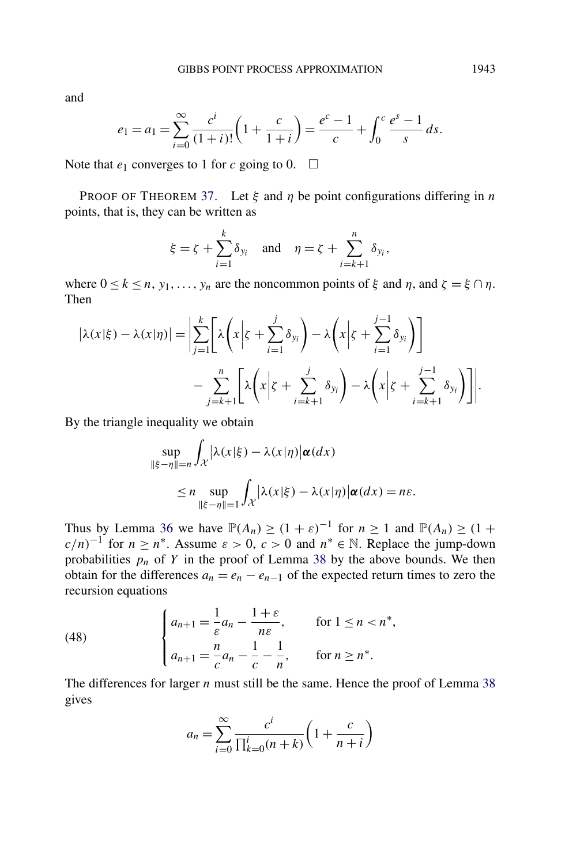<span id="page-32-0"></span>and

$$
e_1 = a_1 = \sum_{i=0}^{\infty} \frac{c^i}{(1+i)!} \left( 1 + \frac{c}{1+i} \right) = \frac{e^c - 1}{c} + \int_0^c \frac{e^s - 1}{s} ds.
$$

Note that  $e_1$  converges to 1 for *c* going to 0.  $\Box$ 

PROOF OF THEOREM [37.](#page-30-0) Let *ξ* and *η* be point configurations differing in *n* points, that is, they can be written as

$$
\xi = \zeta + \sum_{i=1}^{k} \delta_{y_i}
$$
 and  $\eta = \zeta + \sum_{i=k+1}^{n} \delta_{y_i}$ ,

where  $0 \le k \le n$ ,  $y_1, \ldots, y_n$  are the noncommon points of  $\xi$  and  $\eta$ , and  $\zeta = \xi \cap \eta$ . Then

$$
|\lambda(x|\xi) - \lambda(x|\eta)| = \left| \sum_{j=1}^{k} \left[ \lambda \left( x \middle| \xi + \sum_{i=1}^{j} \delta_{y_i} \right) - \lambda \left( x \middle| \xi + \sum_{i=1}^{j-1} \delta_{y_i} \right) \right] - \sum_{j=k+1}^{n} \left[ \lambda \left( x \middle| \xi + \sum_{i=k+1}^{j} \delta_{y_i} \right) - \lambda \left( x \middle| \xi + \sum_{i=k+1}^{j-1} \delta_{y_i} \right) \right] \right|.
$$

By the triangle inequality we obtain

$$
\sup_{\|\xi-\eta\|=n} \int_{\mathcal{X}} |\lambda(x|\xi) - \lambda(x|\eta)| \alpha(dx)
$$
  
\n
$$
\leq n \sup_{\|\xi-\eta\|=1} \int_{\mathcal{X}} |\lambda(x|\xi) - \lambda(x|\eta)| \alpha(dx) = n\varepsilon.
$$

Thus by Lemma [36](#page-29-0) we have  $\mathbb{P}(A_n) \ge (1 + \varepsilon)^{-1}$  for  $n \ge 1$  and  $\mathbb{P}(A_n) \ge (1 + \varepsilon)^{-1}$  $c/n$ <sup>-1</sup> for  $n \ge n^*$ . Assume  $\varepsilon > 0$ ,  $c > 0$  and  $n^* \in \mathbb{N}$ . Replace the jump-down probabilities  $p_n$  of  $Y$  in the proof of Lemma [38](#page-30-0) by the above bounds. We then obtain for the differences  $a_n = e_n - e_{n-1}$  of the expected return times to zero the recursion equations

(48) 
$$
\begin{cases} a_{n+1} = \frac{1}{\varepsilon} a_n - \frac{1+\varepsilon}{n\varepsilon}, & \text{for } 1 \le n < n^*, \\ a_{n+1} = \frac{n}{c} a_n - \frac{1}{c} - \frac{1}{n}, & \text{for } n \ge n^*. \end{cases}
$$

The differences for larger *n* must still be the same. Hence the proof of Lemma [38](#page-30-0) gives

$$
a_n = \sum_{i=0}^{\infty} \frac{c^i}{\prod_{k=0}^i (n+k)} \left(1 + \frac{c}{n+i}\right)
$$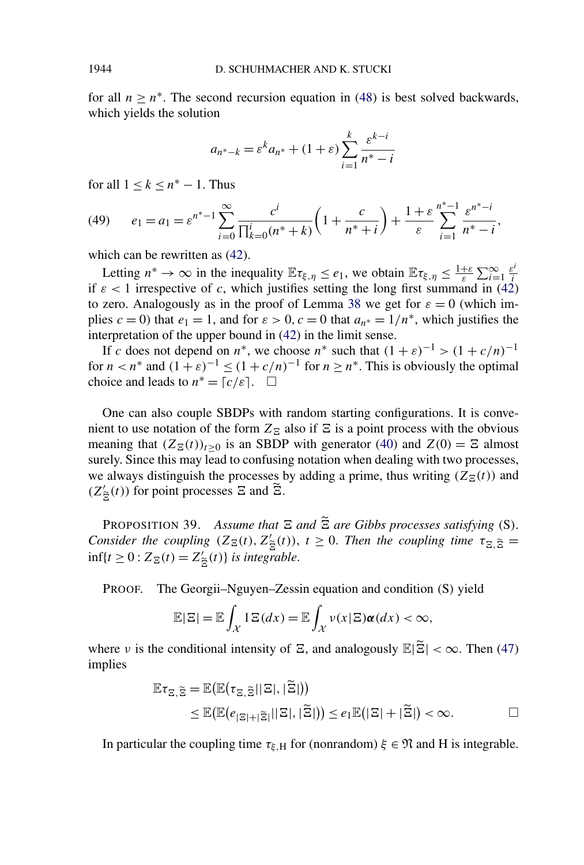<span id="page-33-0"></span>for all  $n \geq n^*$ . The second recursion equation in [\(48\)](#page-32-0) is best solved backwards, which yields the solution

$$
a_{n^* - k} = \varepsilon^k a_{n^*} + (1 + \varepsilon) \sum_{i=1}^k \frac{\varepsilon^{k-i}}{n^* - i}
$$

for all  $1 \leq k \leq n^* - 1$ . Thus

(49) 
$$
e_1 = a_1 = \varepsilon^{n^* - 1} \sum_{i=0}^{\infty} \frac{c^i}{\prod_{k=0}^i (n^* + k)} \left( 1 + \frac{c}{n^* + i} \right) + \frac{1 + \varepsilon}{\varepsilon} \sum_{i=1}^{n^* - 1} \frac{\varepsilon^{n^* - i}}{n^* - i},
$$

which can be rewritten as [\(42\)](#page-30-0).

Letting  $n^* \to \infty$  in the inequality  $\mathbb{E} \tau_{\xi, \eta} \leq e_1$ , we obtain  $\mathbb{E} \tau_{\xi, \eta} \leq \frac{1+\varepsilon}{\varepsilon} \sum_{i=1}^{\infty} \frac{\varepsilon^i}{i}$ *i* if  $\varepsilon$  < 1 irrespective of *c*, which justifies setting the long first summand in [\(42\)](#page-30-0) to zero. Analogously as in the proof of Lemma [38](#page-30-0) we get for  $\varepsilon = 0$  (which implies  $c = 0$ ) that  $e_1 = 1$ , and for  $\varepsilon > 0$ ,  $c = 0$  that  $a_n * = 1/n^*$ , which justifies the interpretation of the upper bound in [\(42\)](#page-30-0) in the limit sense.

If *c* does not depend on *n*<sup>∗</sup>, we choose *n*<sup>∗</sup> such that  $(1 + \varepsilon)^{-1} > (1 + c/n)^{-1}$ for  $n < n^*$  and  $(1 + \varepsilon)^{-1} \le (1 + c/n)^{-1}$  for  $n \ge n^*$ . This is obviously the optimal choice and leads to  $n^* = \lceil c/\varepsilon \rceil$ .  $\Box$ 

One can also couple SBDPs with random starting configurations. It is convenient to use notation of the form  $Z_{\Xi}$  also if  $\Xi$  is a point process with the obvious meaning that  $(Z_{\Xi}(t))_{t\geq0}$  is an SBDP with generator [\(40\)](#page-26-0) and  $Z(0) = \Xi$  almost surely. Since this may lead to confusing notation when dealing with two processes, we always distinguish the processes by adding a prime, thus writing  $(Z_{\Xi}(t))$  and  $(Z'_{\widetilde{\Xi}}(t))$  for point processes  $\Xi$  and  $\widetilde{\Xi}$ .

**PROPOSITION 39.** Assume that  $\Xi$  and  $\bar{\Xi}$  are Gibbs processes satisfying (S). *Consider the coupling*  $(Z_{\Xi}(t), Z'_{\widetilde{\Xi}}(t))$ ,  $t \ge 0$ . Then the coupling time  $\tau_{\Xi, \widetilde{\Xi}} =$  $\inf\{t \geq 0 : Z_{\Xi}(t) = Z'_{\widetilde{\Xi}}(t)\}$  *is integrable.* 

PROOF. The Georgii–Nguyen–Zessin equation and condition *(*S*)* yield

$$
\mathbb{E}|\Xi| = \mathbb{E}\int_{\mathcal{X}}1\Xi(dx) = \mathbb{E}\int_{\mathcal{X}}\nu(x|\Xi)\alpha(dx) < \infty,
$$

where *ν* is the conditional intensity of  $\Xi$ , and analogously  $\mathbb{E}|\tilde{\Xi}| < \infty$ . Then [\(47\)](#page-31-0) implies

$$
\mathbb{E}\tau_{\mathbb{E},\widetilde{\mathbb{E}}} = \mathbb{E}(\mathbb{E}(\tau_{\mathbb{E},\widetilde{\mathbb{E}}}||\mathbb{E}|,|\widetilde{\mathbb{E}}|))
$$
  
\n
$$
\leq \mathbb{E}(\mathbb{E}(e_{|\mathbb{E}|+|\widetilde{\mathbb{E}}|}||\mathbb{E}|,|\widetilde{\mathbb{E}}|)) \leq e_1 \mathbb{E}(|\mathbb{E}|+|\widetilde{\mathbb{E}}|) < \infty.
$$

In particular the coupling time  $\tau_{\xi,H}$  for (nonrandom)  $\xi \in \mathfrak{N}$  and H is integrable.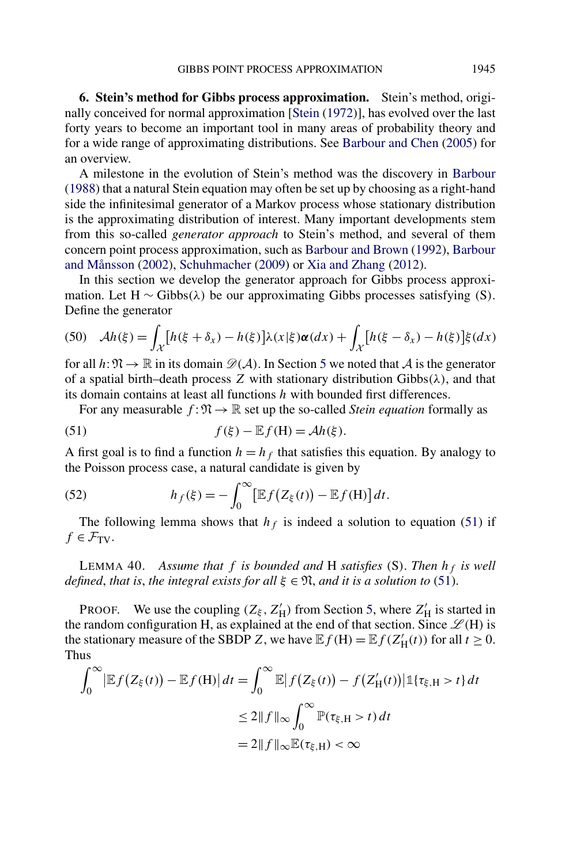<span id="page-34-0"></span>**6. Stein's method for Gibbs process approximation.** Stein's method, originally conceived for normal approximation [\[Stein](#page-40-0) [\(1972\)](#page-40-0)], has evolved over the last forty years to become an important tool in many areas of probability theory and for a wide range of approximating distributions. See [Barbour and Chen](#page-39-0) [\(2005\)](#page-39-0) for an overview.

A milestone in the evolution of Stein's method was the discovery in [Barbour](#page-39-0) [\(1988\)](#page-39-0) that a natural Stein equation may often be set up by choosing as a right-hand side the infinitesimal generator of a Markov process whose stationary distribution is the approximating distribution of interest. Many important developments stem from this so-called *generator approach* to Stein's method, and several of them concern point process approximation, such as [Barbour and Brown](#page-39-0) [\(1992\)](#page-39-0), [Barbour](#page-39-0) [and Månsson](#page-39-0) [\(2002\)](#page-39-0), [Schuhmacher](#page-40-0) [\(2009\)](#page-40-0) or [Xia and Zhang](#page-40-0) [\(2012\)](#page-40-0).

In this section we develop the generator approach for Gibbs process approximation. Let H ∼ Gibbs*(λ)* be our approximating Gibbs processes satisfying *(*S*)*. Define the generator

(50) 
$$
\mathcal{A}h(\xi) = \int_{\mathcal{X}} \left[ h(\xi + \delta_x) - h(\xi) \right] \lambda(x|\xi) \alpha(dx) + \int_{\mathcal{X}} \left[ h(\xi - \delta_x) - h(\xi) \right] \xi(dx)
$$

for all  $h: \mathfrak{N} \to \mathbb{R}$  in its domain  $\mathcal{D}(\mathcal{A})$ . In Section [5](#page-26-0) we noted that  $\mathcal{A}$  is the generator of a spatial birth–death process *Z* with stationary distribution Gibbs*(λ)*, and that its domain contains at least all functions *h* with bounded first differences.

For any measurable  $f: \mathfrak{N} \to \mathbb{R}$  set up the so-called *Stein equation* formally as

(51) 
$$
f(\xi) - \mathbb{E}f(H) = \mathcal{A}h(\xi).
$$

A first goal is to find a function  $h = h_f$  that satisfies this equation. By analogy to the Poisson process case, a natural candidate is given by

(52) 
$$
h_f(\xi) = -\int_0^\infty \left[ \mathbb{E} f(Z_\xi(t)) - \mathbb{E} f(\mathbf{H}) \right] dt.
$$

The following lemma shows that  $h_f$  is indeed a solution to equation (51) if  $f \in \mathcal{F}_{TV}$ .

LEMMA 40. *Assume that*  $f$  *is bounded and*  $H$  *satisfies* (S). Then  $h_f$  *is well defined, that is, the integral exists for all*  $\xi \in \mathfrak{N}$ *, and it is a solution to* (51).

**PROOF.** We use the coupling  $(Z_{\xi}, Z'_{H})$  from Section [5,](#page-26-0) where  $Z'_{H}$  is started in the random configuration H, as explained at the end of that section. Since  $\mathcal{L}(H)$  is the stationary measure of the SBDP *Z*, we have  $\mathbb{E} f(H) = \mathbb{E} f(Z'_H(t))$  for all  $t \ge 0$ . Thus

$$
\int_0^\infty \left| \mathbb{E} f(Z_{\xi}(t)) - \mathbb{E} f(H) \right| dt = \int_0^\infty \mathbb{E} \left| f(Z_{\xi}(t)) - f(Z'_H(t)) \right| \mathbb{1} \{\tau_{\xi, H} > t\} dt
$$
  
\n
$$
\leq 2 \|f\|_\infty \int_0^\infty \mathbb{P}(\tau_{\xi, H} > t) dt
$$
  
\n
$$
= 2 \|f\|_\infty \mathbb{E}(\tau_{\xi, H}) < \infty
$$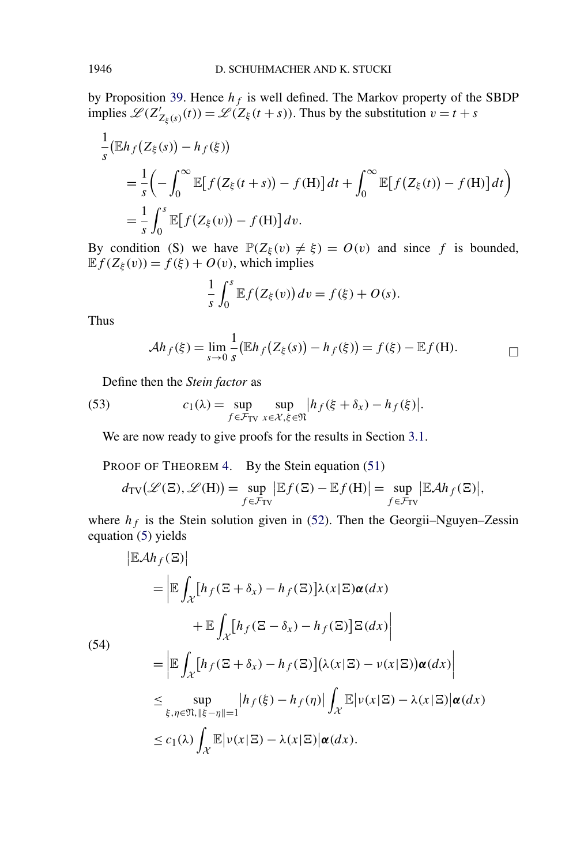<span id="page-35-0"></span>by Proposition [39.](#page-33-0) Hence  $h_f$  is well defined. The Markov property of the SBDP implies  $\mathcal{L}(Z'_{Z_{\xi}(s)}(t)) = \mathcal{L}(Z_{\xi}(t+s))$ . Thus by the substitution  $v = t + s$ 

$$
\frac{1}{s}(\mathbb{E}h_f(Z_{\xi}(s)) - h_f(\xi))
$$
\n
$$
= \frac{1}{s} \left( -\int_0^\infty \mathbb{E} \big[ f(Z_{\xi}(t+s)) - f(H) \big] dt + \int_0^\infty \mathbb{E} \big[ f(Z_{\xi}(t)) - f(H) \big] dt \right)
$$
\n
$$
= \frac{1}{s} \int_0^s \mathbb{E} \big[ f(Z_{\xi}(v)) - f(H) \big] dv.
$$

By condition *(S)* we have  $\mathbb{P}(Z_{\xi}(v) \neq \xi) = O(v)$  and since f is bounded,  $\mathbb{E} f(Z_{\xi}(v)) = f(\xi) + O(v)$ , which implies

$$
\frac{1}{s}\int_0^s \mathbb{E}f(Z_{\xi}(v))dv = f(\xi) + O(s).
$$

Thus

 $\mathcal{L}^{\mathcal{L}}$ 

$$
\mathcal{A}h_f(\xi) = \lim_{s \to 0} \frac{1}{s} (\mathbb{E}h_f(Z_{\xi}(s)) - h_f(\xi)) = f(\xi) - \mathbb{E}f(H). \qquad \qquad \Box
$$

Define then the *Stein factor* as

(53) 
$$
c_1(\lambda) = \sup_{f \in \mathcal{F}_{TV}} \sup_{x \in \mathcal{X}, \xi \in \mathfrak{N}} |h_f(\xi + \delta_x) - h_f(\xi)|.
$$

We are now ready to give proofs for the results in Section [3.1.](#page-6-0)

PROOF OF THEOREM [4.](#page-6-0) By the Stein equation [\(51\)](#page-34-0)

$$
d_{\text{TV}}(\mathscr{L}(\Xi), \mathscr{L}(\text{H})) = \sup_{f \in \mathcal{F}_{\text{TV}}} |\mathbb{E} f(\Xi) - \mathbb{E} f(\text{H})| = \sup_{f \in \mathcal{F}_{\text{TV}}} |\mathbb{E} \mathcal{A} h_f(\Xi)|,
$$

where  $h_f$  is the Stein solution given in [\(52\)](#page-34-0). Then the Georgii–Nguyen–Zessin equation [\(5\)](#page-3-0) yields

$$
|\mathbb{E}\mathcal{A}h_f(\mathbb{E})|
$$
  
\n
$$
= \left| \mathbb{E} \int_{\mathcal{X}} [h_f(\mathbb{E} + \delta_x) - h_f(\mathbb{E})] \lambda(x | \mathbb{E}) \alpha(dx) + \mathbb{E} \int_{\mathcal{X}} [h_f(\mathbb{E} - \delta_x) - h_f(\mathbb{E})] \mathbb{E}(dx) \right|
$$
  
\n(54)  
\n
$$
= \left| \mathbb{E} \int_{\mathcal{X}} [h_f(\mathbb{E} + \delta_x) - h_f(\mathbb{E})] (\lambda(x | \mathbb{E}) - \nu(x | \mathbb{E})) \alpha(dx) \right|
$$
  
\n
$$
\leq \sup_{\xi, \eta \in \mathfrak{N}, \|\xi - \eta\| = 1} |h_f(\xi) - h_f(\eta)| \int_{\mathcal{X}} \mathbb{E} |\nu(x | \mathbb{E}) - \lambda(x | \mathbb{E})| \alpha(dx)
$$
  
\n
$$
\leq c_1(\lambda) \int_{\mathcal{X}} \mathbb{E} |\nu(x | \mathbb{E}) - \lambda(x | \mathbb{E})| \alpha(dx).
$$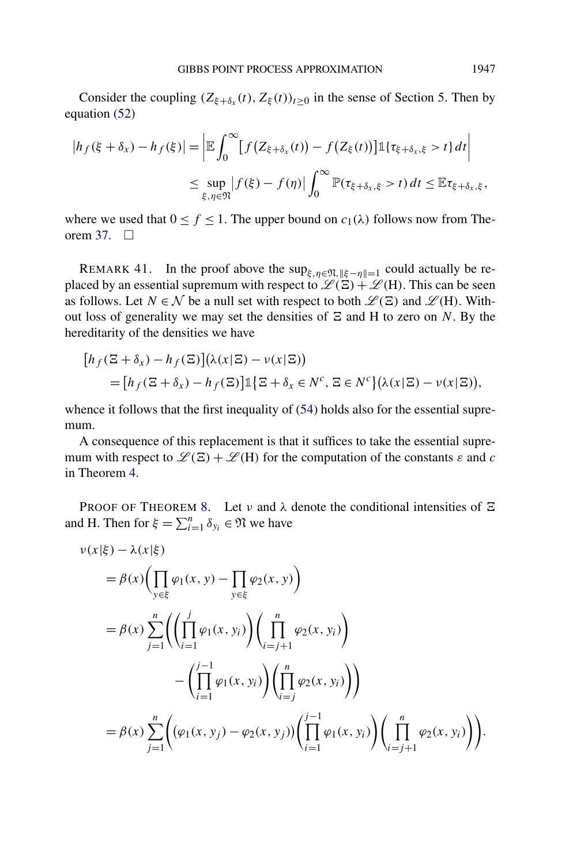<span id="page-36-0"></span>Consider the coupling  $(Z_{\xi+\delta_x}(t), Z_{\xi}(t))_{t>0}$  in the sense of Section [5.](#page-26-0) Then by equation [\(52\)](#page-34-0)

$$
|h_f(\xi + \delta_x) - h_f(\xi)| = \left| \mathbb{E} \int_0^{\infty} [f(Z_{\xi + \delta_x}(t)) - f(Z_{\xi}(t))] \mathbb{1}_{\{\tau_{\xi + \delta_x, \xi} > t\}} dt \right|
$$
  

$$
\leq \sup_{\xi, \eta \in \mathfrak{N}} |f(\xi) - f(\eta)| \int_0^{\infty} \mathbb{P}(\tau_{\xi + \delta_x, \xi} > t) dt \leq \mathbb{E} \tau_{\xi + \delta_x, \xi},
$$

where we used that  $0 \le f \le 1$ . The upper bound on  $c_1(\lambda)$  follows now from The-orem [37.](#page-30-0)  $\Box$ 

REMARK 41. In the proof above the sup<sub> $\xi, \eta \in \mathfrak{N}, \|\xi - \eta\| = 1$  could actually be re-</sub> placed by an essential supremum with respect to  $\mathcal{L}(\Xi) + \mathcal{L}(H)$ . This can be seen as follows. Let  $N \in \mathcal{N}$  be a null set with respect to both  $\mathcal{L}(\Xi)$  and  $\mathcal{L}(H)$ . Without loss of generality we may set the densities of  $\Xi$  and  $H$  to zero on  $N$ . By the hereditarity of the densities we have

$$
[h_f(\Xi + \delta_x) - h_f(\Xi)](\lambda(x|\Xi) - \nu(x|\Xi))
$$
  
= 
$$
[h_f(\Xi + \delta_x) - h_f(\Xi)]\mathbb{1}\{\Xi + \delta_x \in N^c, \Xi \in N^c\}(\lambda(x|\Xi) - \nu(x|\Xi)),
$$

whence it follows that the first inequality of  $(54)$  holds also for the essential supremum.

A consequence of this replacement is that it suffices to take the essential supremum with respect to  $\mathcal{L}(\mathbf{E}) + \mathcal{L}(\mathbf{H})$  for the computation of the constants  $\varepsilon$  and  $c$ in Theorem [4.](#page-6-0)

PROOF OF THEOREM [8.](#page-8-0) Let  $\nu$  and  $\lambda$  denote the conditional intensities of  $\Xi$ and H. Then for  $\xi = \sum_{i=1}^{n} \delta_{y_i} \in \mathfrak{N}$  we have

$$
\nu(x|\xi) - \lambda(x|\xi) \n= \beta(x) \Biggl( \prod_{y \in \xi} \varphi_1(x, y) - \prod_{y \in \xi} \varphi_2(x, y) \Biggr) \n= \beta(x) \sum_{j=1}^n \Biggl( \Biggl( \prod_{i=1}^j \varphi_1(x, y_i) \Biggr) \Biggl( \prod_{i=j+1}^n \varphi_2(x, y_i) \Biggr) \n- \Biggl( \prod_{i=1}^{j-1} \varphi_1(x, y_i) \Biggr) \Biggl( \prod_{i=j}^n \varphi_2(x, y_i) \Biggr) \Biggr) \n= \beta(x) \sum_{j=1}^n \Biggl( \bigl( \varphi_1(x, y_j) - \varphi_2(x, y_j) \bigr) \Biggl( \prod_{i=1}^{j-1} \varphi_1(x, y_i) \Biggr) \Biggl( \prod_{i=j+1}^n \varphi_2(x, y_i) \Biggr) \Biggr).
$$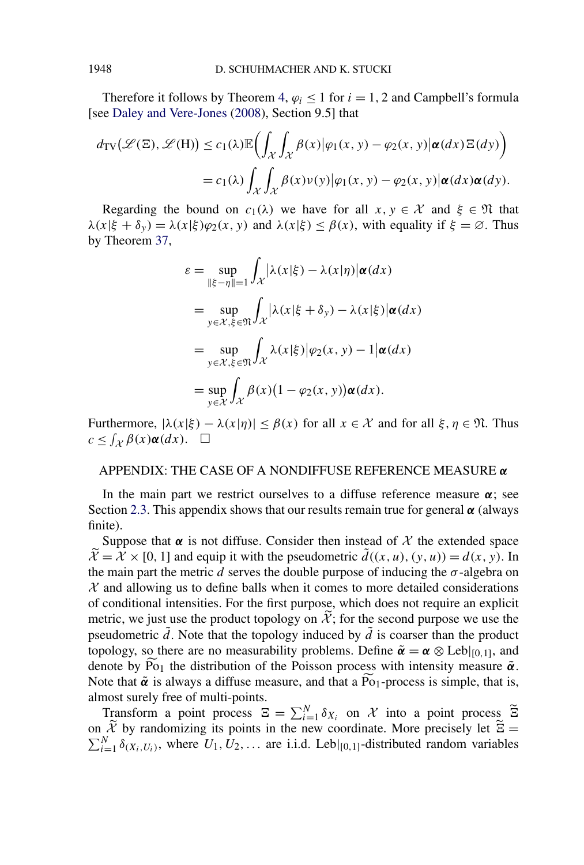<span id="page-37-0"></span>Therefore it follows by Theorem [4,](#page-6-0)  $\varphi_i \leq 1$  for  $i = 1, 2$  and Campbell's formula [see [Daley and Vere-Jones](#page-39-0) [\(2008\)](#page-39-0), Section 9.5] that

$$
d_{\text{TV}}(\mathcal{L}(\Xi), \mathcal{L}(\mathbf{H})) \le c_1(\lambda) \mathbb{E}\Big(\int_{\mathcal{X}} \int_{\mathcal{X}} \beta(x) |\varphi_1(x, y) - \varphi_2(x, y)| \alpha(dx) \Xi(dy)\Big) = c_1(\lambda) \int_{\mathcal{X}} \int_{\mathcal{X}} \beta(x) \nu(y) |\varphi_1(x, y) - \varphi_2(x, y)| \alpha(dx) \alpha(dy).
$$

Regarding the bound on  $c_1(\lambda)$  we have for all  $x, y \in \mathcal{X}$  and  $\xi \in \mathfrak{N}$  that *λ*(*x*|*ξ* + *δ<sub>y</sub>*) =  $\lambda$ (*x*|*ξ*) $\varphi$ <sub>2</sub>(*x, y*) and  $\lambda$ (*x*|*ξ*)  $\leq \beta$ (*x*), with equality if *ξ* =  $\varnothing$ . Thus by Theorem [37,](#page-30-0)

$$
\varepsilon = \sup_{\|\xi - \eta\| = 1} \int_{\mathcal{X}} |\lambda(x|\xi) - \lambda(x|\eta)| \alpha(dx)
$$
  
\n
$$
= \sup_{y \in \mathcal{X}, \xi \in \mathfrak{N}} \int_{\mathcal{X}} |\lambda(x|\xi + \delta_y) - \lambda(x|\xi)| \alpha(dx)
$$
  
\n
$$
= \sup_{y \in \mathcal{X}, \xi \in \mathfrak{N}} \int_{\mathcal{X}} \lambda(x|\xi)| \varphi_2(x, y) - 1 |\alpha(dx)
$$
  
\n
$$
= \sup_{y \in \mathcal{X}} \int_{\mathcal{X}} \beta(x) (1 - \varphi_2(x, y)) \alpha(dx).
$$

Furthermore,  $|\lambda(x|\xi) - \lambda(x|\eta)| \leq \beta(x)$  for all  $x \in \mathcal{X}$  and for all  $\xi, \eta \in \mathfrak{N}$ . Thus  $c \leq \int_{\mathcal{X}} \beta(x) \alpha(dx)$ . □

# APPENDIX: THE CASE OF A NONDIFFUSE REFERENCE MEASURE *α*

In the main part we restrict ourselves to a diffuse reference measure *α*; see Section [2.3.](#page-5-0) This appendix shows that our results remain true for general *α* (always finite).

Suppose that  $\alpha$  is not diffuse. Consider then instead of  $\chi$  the extended space  $\widetilde{\mathcal{X}} = \widetilde{\mathcal{X}} \times [0, 1]$  and equip it with the pseudometric  $\widetilde{d}((x, u), (y, u)) = d(x, y)$ . In the main part the metric *d* serves the double purpose of inducing the  $\sigma$ -algebra on  $X$  and allowing us to define balls when it comes to more detailed considerations of conditional intensities. For the first purpose, which does not require an explicit metric, we just use the product topology on  $\mathcal{X}$ ; for the second purpose we use the pseudometric  $\tilde{d}$ . Note that the topology induced by  $\tilde{d}$  is coarser than the product topology, so there are no measurability problems. Define  $\tilde{\alpha} = \alpha \otimes \text{Leb}|_{[0,1]}$ , and denote by  $\widetilde{P}_{01}$  the distribution of the Poisson process with intensity measure  $\tilde{\alpha}$ . Note that  $\tilde{\alpha}$  is always a diffuse measure, and that a  $\tilde{P}_{01}$ -process is simple, that is, almost surely free of multi-points.

Transform a point process  $\Xi = \sum_{i=1}^{N} \delta_{X_i}$  on X into a point process  $\widetilde{\Xi}$ on  $\tilde{X}$  by randomizing its points in the new coordinate. More precisely let  $\tilde{\Xi} = \sum_{i=1}^{N} \delta(x_i, y_i)$ , where  $U_1, U_2, \ldots$  are i.i.d. Lebl<sub>10</sub> 11-distributed random variables  $\sum_{i=1}^{N} \delta_{(X_i, U_i)}$ , where  $U_1, U_2, \ldots$  are i.i.d. Leb $|_{[0,1]}$ -distributed random variables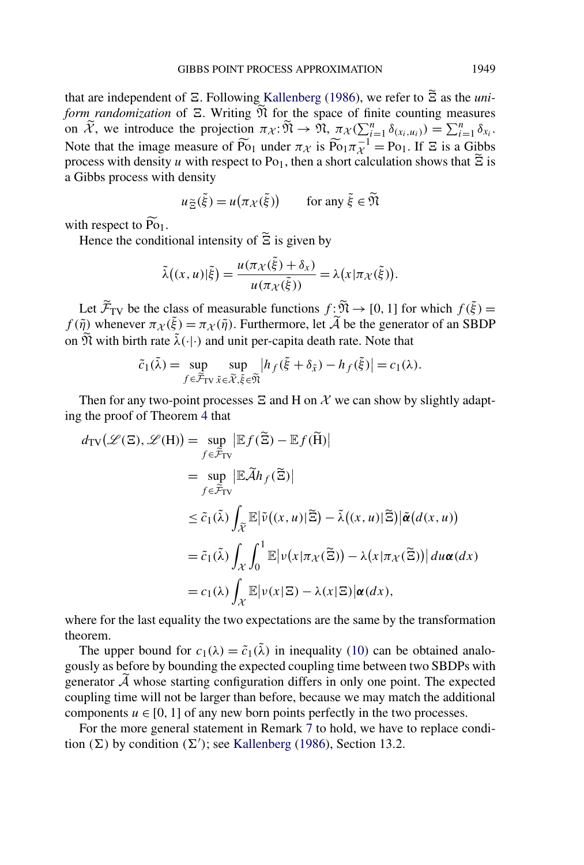that are independent of  $\Xi$ . Following [Kallenberg](#page-39-0) [\(1986\)](#page-39-0), we refer to  $\Xi$  as the *uni*form randomization of  $E$ . Writing  $M$  for the space of finite counting measures on  $\widetilde{\mathcal{X}}$ , we introduce the projection  $\pi_{\mathcal{X}}:\widetilde{\mathfrak{N}} \to \widetilde{\mathfrak{N}}, \pi_{\mathcal{X}}(\sum_{i=1}^{n} \delta_{(x_i, u_i)}) = \sum_{i=1}^{n} \delta_{x_i}$ . Note that the image measure of  $\widetilde{P_{O_1}}$  under  $\pi_{\mathcal{X}}$  is  $\widetilde{P_{O_1}}\pi_{\mathcal{X}}^{-1} = P_{O_1}$ . If  $\Xi$  is a Gibbs process with density *u* with respect to Po<sub>1</sub>, then a short calculation shows that  $\Xi$  is a Gibbs process with density

$$
u_{\widetilde{\Xi}}(\widetilde{\xi}) = u(\pi_{\mathcal{X}}(\widetilde{\xi})) \qquad \text{for any } \widetilde{\xi} \in \widetilde{\mathfrak{N}}
$$

with respect to  $\widetilde{P6}_1$ .

Hence the conditional intensity of  $\Xi$  is given by

$$
\tilde{\lambda}((x, u)|\tilde{\xi}) = \frac{u(\pi_{\mathcal{X}}(\tilde{\xi}) + \delta_{x})}{u(\pi_{\mathcal{X}}(\tilde{\xi}))} = \lambda(x|\pi_{\mathcal{X}}(\tilde{\xi})).
$$

Let  $\widetilde{\mathcal{F}}_{TV}$  be the class of measurable functions  $f: \widetilde{\mathfrak{N}} \to [0, 1]$  for which  $f(\tilde{\xi}) =$ *f* ( $\tilde{\eta}$ ) whenever  $\pi_{\chi}(\tilde{\xi}) = \pi_{\chi}(\tilde{\eta})$ . Furthermore, let  $\tilde{\mathcal{A}}$  be the generator of an SBDP on  $\widetilde{\mathfrak{N}}$  with birth rate  $\widetilde{\lambda}(\cdot|\cdot)$  and unit per-capita death rate. Note that

$$
\tilde{c}_1(\tilde{\lambda}) = \sup_{f \in \tilde{\mathcal{F}}_{\text{TV}}} \sup_{\tilde{x} \in \tilde{\mathcal{X}}, \tilde{\xi} \in \tilde{\mathfrak{N}}} |h_f(\tilde{\xi} + \delta_{\tilde{x}}) - h_f(\tilde{\xi})| = c_1(\lambda).
$$

Then for any two-point processes  $\Xi$  and H on  $\mathcal X$  we can show by slightly adapting the proof of Theorem [4](#page-6-0) that

$$
d_{\text{TV}}(\mathscr{L}(\Xi), \mathscr{L}(H)) = \sup_{f \in \widetilde{\mathcal{F}}_{\text{TV}}} |\mathbb{E}f(\widetilde{\Xi}) - \mathbb{E}f(\widetilde{H})|
$$
  
\n
$$
= \sup_{f \in \widetilde{\mathcal{F}}_{\text{TV}}} |\mathbb{E}\widetilde{\mathcal{A}}h_f(\widetilde{\Xi})|
$$
  
\n
$$
\leq \widetilde{c}_1(\widetilde{\lambda}) \int_{\widetilde{\mathcal{X}}} \mathbb{E}|\widetilde{\nu}((x, u)|\widetilde{\Xi}) - \widetilde{\lambda}((x, u)|\widetilde{\Xi})|\widetilde{\alpha}(d(x, u))
$$
  
\n
$$
= \widetilde{c}_1(\widetilde{\lambda}) \int_{\mathcal{X}} \int_0^1 \mathbb{E}|\nu(x|\pi_{\mathcal{X}}(\widetilde{\Xi})) - \lambda(x|\pi_{\mathcal{X}}(\widetilde{\Xi}))| \, du \alpha(dx)
$$
  
\n
$$
= c_1(\lambda) \int_{\mathcal{X}} \mathbb{E}|\nu(x|\Xi) - \lambda(x|\Xi)|\alpha(dx),
$$

where for the last equality the two expectations are the same by the transformation theorem.

The upper bound for  $c_1(\lambda) = \tilde{c}_1(\tilde{\lambda})$  in inequality [\(10\)](#page-6-0) can be obtained analogously as before by bounding the expected coupling time between two SBDPs with generator  $\tilde{\mathcal{A}}$  whose starting configuration differs in only one point. The expected coupling time will not be larger than before, because we may match the additional components  $u \in [0, 1]$  of any new born points perfectly in the two processes.

For the more general statement in Remark [7](#page-7-0) to hold, we have to replace condition  $(\Sigma)$  by condition  $(\Sigma')$ ; see [Kallenberg](#page-39-0) [\(1986\)](#page-39-0), Section 13.2.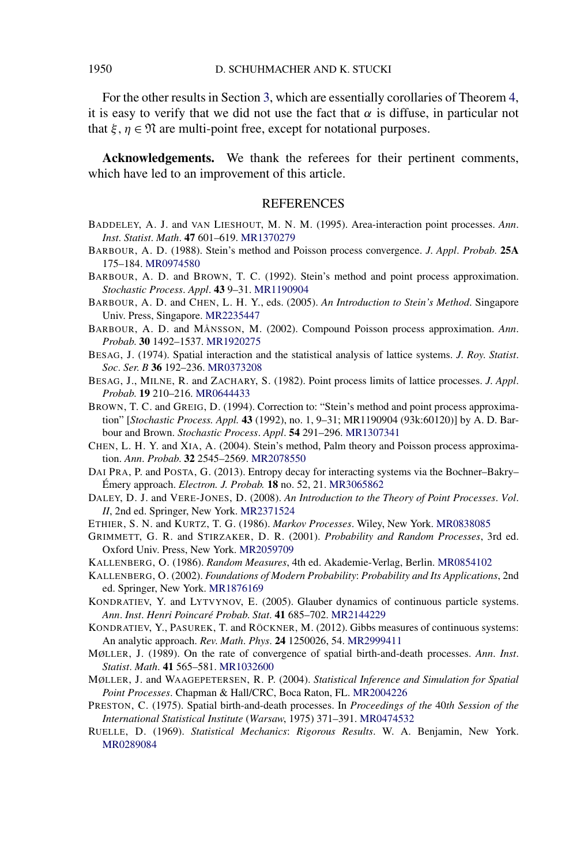For the other results in Section [3,](#page-6-0) which are essentially corollaries of Theorem [4,](#page-6-0) it is easy to verify that we did not use the fact that  $\alpha$  is diffuse, in particular not that  $\xi, \eta \in \mathfrak{N}$  are multi-point free, except for notational purposes.

**Acknowledgements.** We thank the referees for their pertinent comments, which have led to an improvement of this article.

### REFERENCES

- BADDELEY, A. J. and VAN LIESHOUT, M. N. M. (1995). Area-interaction point processes. *Ann*. *Inst*. *Statist*. *Math*. **47** 601–619. [MR1370279](http://www.ams.org/mathscinet-getitem?mr=1370279)
- BARBOUR, A. D. (1988). Stein's method and Poisson process convergence. *J*. *Appl*. *Probab*. **25A** 175–184. [MR0974580](http://www.ams.org/mathscinet-getitem?mr=0974580)
- BARBOUR, A. D. and BROWN, T. C. (1992). Stein's method and point process approximation. *Stochastic Process*. *Appl*. **43** 9–31. [MR1190904](http://www.ams.org/mathscinet-getitem?mr=1190904)
- BARBOUR, A. D. and CHEN, L. H. Y., eds. (2005). *An Introduction to Stein's Method*. Singapore Univ. Press, Singapore. [MR2235447](http://www.ams.org/mathscinet-getitem?mr=2235447)
- BARBOUR, A. D. and MÅNSSON, M. (2002). Compound Poisson process approximation. *Ann*. *Probab*. **30** 1492–1537. [MR1920275](http://www.ams.org/mathscinet-getitem?mr=1920275)
- BESAG, J. (1974). Spatial interaction and the statistical analysis of lattice systems. *J*. *Roy*. *Statist*. *Soc*. *Ser*. *B* **36** 192–236. [MR0373208](http://www.ams.org/mathscinet-getitem?mr=0373208)
- BESAG, J., MILNE, R. and ZACHARY, S. (1982). Point process limits of lattice processes. *J*. *Appl*. *Probab*. **19** 210–216. [MR0644433](http://www.ams.org/mathscinet-getitem?mr=0644433)
- BROWN, T. C. and GREIG, D. (1994). Correction to: "Stein's method and point process approximation" [*Stochastic Process. Appl.* **43** (1992), no. 1, 9–31; MR1190904 (93k:60120)] by A. D. Barbour and Brown. *Stochastic Process*. *Appl*. **54** 291–296. [MR1307341](http://www.ams.org/mathscinet-getitem?mr=1307341)
- CHEN, L. H. Y. and XIA, A. (2004). Stein's method, Palm theory and Poisson process approximation. *Ann*. *Probab*. **32** 2545–2569. [MR2078550](http://www.ams.org/mathscinet-getitem?mr=2078550)
- DAI PRA, P. and POSTA, G. (2013). Entropy decay for interacting systems via the Bochner–Bakry– Émery approach. *Electron. J. Probab.* **18** no. 52, 21. [MR3065862](http://www.ams.org/mathscinet-getitem?mr=3065862)
- DALEY, D. J. and VERE-JONES, D. (2008). *An Introduction to the Theory of Point Processes*. *Vol*. *II*, 2nd ed. Springer, New York. [MR2371524](http://www.ams.org/mathscinet-getitem?mr=2371524)
- ETHIER, S. N. and KURTZ, T. G. (1986). *Markov Processes*. Wiley, New York. [MR0838085](http://www.ams.org/mathscinet-getitem?mr=0838085)
- GRIMMETT, G. R. and STIRZAKER, D. R. (2001). *Probability and Random Processes*, 3rd ed. Oxford Univ. Press, New York. [MR2059709](http://www.ams.org/mathscinet-getitem?mr=2059709)
- KALLENBERG, O. (1986). *Random Measures*, 4th ed. Akademie-Verlag, Berlin. [MR0854102](http://www.ams.org/mathscinet-getitem?mr=0854102)
- KALLENBERG, O. (2002). *Foundations of Modern Probability*: *Probability and Its Applications*, 2nd ed. Springer, New York. [MR1876169](http://www.ams.org/mathscinet-getitem?mr=1876169)
- KONDRATIEV, Y. and LYTVYNOV, E. (2005). Glauber dynamics of continuous particle systems. *Ann*. *Inst*. *Henri Poincaré Probab*. *Stat*. **41** 685–702. [MR2144229](http://www.ams.org/mathscinet-getitem?mr=2144229)
- KONDRATIEV, Y., PASUREK, T. and RÖCKNER, M. (2012). Gibbs measures of continuous systems: An analytic approach. *Rev*. *Math*. *Phys*. **24** 1250026, 54. [MR2999411](http://www.ams.org/mathscinet-getitem?mr=2999411)
- MØLLER, J. (1989). On the rate of convergence of spatial birth-and-death processes. *Ann*. *Inst*. *Statist*. *Math*. **41** 565–581. [MR1032600](http://www.ams.org/mathscinet-getitem?mr=1032600)
- MØLLER, J. and WAAGEPETERSEN, R. P. (2004). *Statistical Inference and Simulation for Spatial Point Processes*. Chapman & Hall/CRC, Boca Raton, FL. [MR2004226](http://www.ams.org/mathscinet-getitem?mr=2004226)
- PRESTON, C. (1975). Spatial birth-and-death processes. In *Proceedings of the* 40*th Session of the International Statistical Institute* (*Warsaw*, 1975) 371–391. [MR0474532](http://www.ams.org/mathscinet-getitem?mr=0474532)
- RUELLE, D. (1969). *Statistical Mechanics*: *Rigorous Results*. W. A. Benjamin, New York. [MR0289084](http://www.ams.org/mathscinet-getitem?mr=0289084)

<span id="page-39-0"></span>